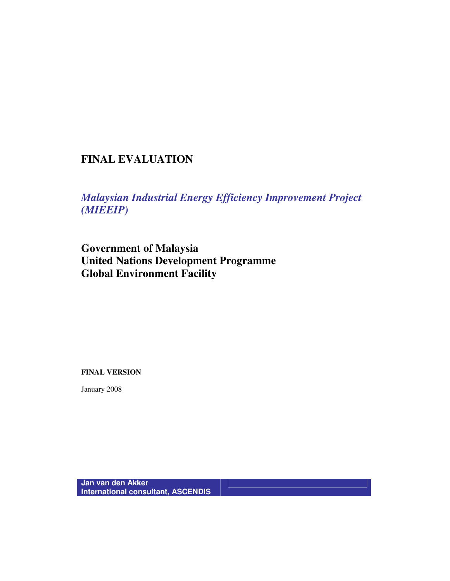# **FINAL EVALUATION**

*Malaysian Industrial Energy Efficiency Improvement Project (MIEEIP)* 

**Government of Malaysia United Nations Development Programme Global Environment Facility** 

**FINAL VERSION** 

January 2008

**Jan van den Akker International consultant, ASCENDIS**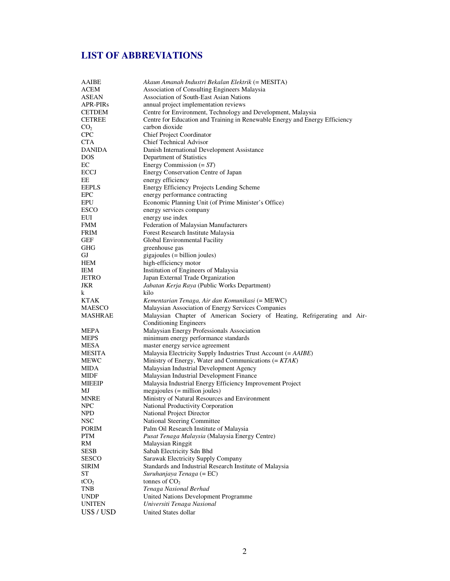# **LIST OF ABBREVIATIONS**

| <b>AAIBE</b>     | Akaun Amanah Industri Bekalan Elektrik (= MESITA)                           |  |  |
|------------------|-----------------------------------------------------------------------------|--|--|
| ACEM             | Association of Consulting Engineers Malaysia                                |  |  |
| <b>ASEAN</b>     | Association of South-East Asian Nations                                     |  |  |
| <b>APR-PIRs</b>  | annual project implementation reviews                                       |  |  |
| <b>CETDEM</b>    | Centre for Environment, Technology and Development, Malaysia                |  |  |
| <b>CETREE</b>    | Centre for Education and Training in Renewable Energy and Energy Efficiency |  |  |
| CO <sub>2</sub>  | carbon dioxide                                                              |  |  |
| <b>CPC</b>       |                                                                             |  |  |
| <b>CTA</b>       | <b>Chief Project Coordinator</b>                                            |  |  |
|                  | <b>Chief Technical Advisor</b>                                              |  |  |
| <b>DANIDA</b>    | Danish International Development Assistance                                 |  |  |
| <b>DOS</b>       | Department of Statistics                                                    |  |  |
| EС               | Energy Commission $(=ST)$                                                   |  |  |
| <b>ECCJ</b>      | Energy Conservation Centre of Japan                                         |  |  |
| EE               | energy efficiency                                                           |  |  |
| <b>EEPLS</b>     | Energy Efficiency Projects Lending Scheme                                   |  |  |
| <b>EPC</b>       | energy performance contracting                                              |  |  |
| EPU              | Economic Planning Unit (of Prime Minister's Office)                         |  |  |
| <b>ESCO</b>      | energy services company                                                     |  |  |
| EUI              | energy use index                                                            |  |  |
| <b>FMM</b>       | Federation of Malaysian Manufacturers                                       |  |  |
| <b>FRIM</b>      | Forest Research Institute Malaysia                                          |  |  |
| GEF              | Global Environmental Facility                                               |  |  |
| GHG              | greenhouse gas                                                              |  |  |
| GJ               | $gigajoules (= billion joules)$                                             |  |  |
| HEM              | high-efficiency motor                                                       |  |  |
| <b>IEM</b>       | Institution of Engineers of Malaysia                                        |  |  |
| <b>JETRO</b>     | Japan External Trade Organization                                           |  |  |
| JKR              | Jabatan Kerja Raya (Public Works Department)                                |  |  |
| k                | kilo                                                                        |  |  |
| KTAK             | Kementarian Tenaga, Air dan Komunikasi (= MEWC)                             |  |  |
| MAESCO           | Malaysian Association of Energy Services Companies                          |  |  |
| MASHRAE          | Malaysian Chapter of American Sociery of Heating, Refrigerating and Air-    |  |  |
|                  | <b>Conditioning Engineers</b>                                               |  |  |
|                  |                                                                             |  |  |
| MEPA             | Malaysian Energy Professionals Association                                  |  |  |
| <b>MEPS</b>      | minimum energy performance standards                                        |  |  |
| <b>MESA</b>      | master energy service agreement                                             |  |  |
| <b>MESITA</b>    | Malaysia Electricity Supply Industries Trust Account (= AAIBE)              |  |  |
| <b>MEWC</b>      | Ministry of Energy, Water and Communications $(=KTAK)$                      |  |  |
| MIDA             | Malaysian Industrial Development Agency                                     |  |  |
| MIDF             | Malaysian Industrial Development Finance                                    |  |  |
| <b>MIEEIP</b>    | Malaysia Industrial Energy Efficiency Improvement Project                   |  |  |
| MJ               | megajoules (= million joules)                                               |  |  |
| <b>MNRE</b>      | Ministry of Natural Resources and Environment                               |  |  |
| <b>NPC</b>       | National Productivity Corporation                                           |  |  |
| <b>NPD</b>       | National Project Director                                                   |  |  |
| <b>NSC</b>       | National Steering Committee                                                 |  |  |
| <b>PORIM</b>     | Palm Oil Research Institute of Malaysia                                     |  |  |
| <b>PTM</b>       | Pusat Tenaga Malaysia (Malaysia Energy Centre)                              |  |  |
| RM               | Malaysian Ringgit                                                           |  |  |
| <b>SESB</b>      | Sabah Electricity Sdn Bhd                                                   |  |  |
| SESCO            | Sarawak Electricity Supply Company                                          |  |  |
| <b>SIRIM</b>     | Standards and Industrial Research Institute of Malaysia                     |  |  |
| <b>ST</b>        | Suruhanjaya Tenaga (= EC)                                                   |  |  |
| tCO <sub>2</sub> | tonnes of $CO2$                                                             |  |  |
| TNB              | Tenaga Nasional Berhad                                                      |  |  |
| <b>UNDP</b>      | United Nations Development Programme                                        |  |  |
| <b>UNITEN</b>    | Universiti Tenaga Nasional                                                  |  |  |
| US\$ / USD       | United States dollar                                                        |  |  |
|                  |                                                                             |  |  |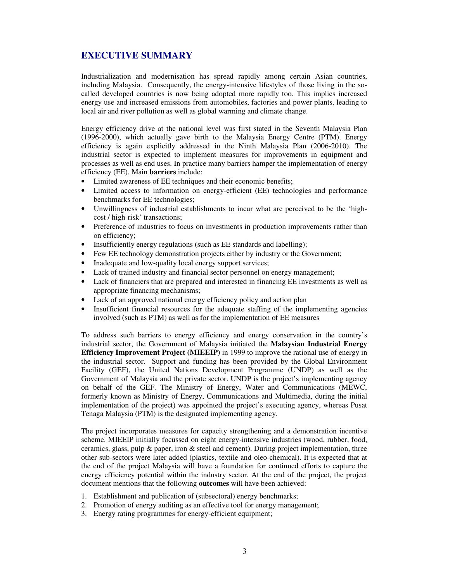# **EXECUTIVE SUMMARY**

Industrialization and modernisation has spread rapidly among certain Asian countries, including Malaysia. Consequently, the energy-intensive lifestyles of those living in the socalled developed countries is now being adopted more rapidly too. This implies increased energy use and increased emissions from automobiles, factories and power plants, leading to local air and river pollution as well as global warming and climate change.

Energy efficiency drive at the national level was first stated in the Seventh Malaysia Plan (1996-2000), which actually gave birth to the Malaysia Energy Centre (PTM). Energy efficiency is again explicitly addressed in the Ninth Malaysia Plan (2006-2010). The industrial sector is expected to implement measures for improvements in equipment and processes as well as end uses. In practice many barriers hamper the implementation of energy efficiency (EE). Main **barriers** include:

- Limited awareness of EE techniques and their economic benefits;
- Limited access to information on energy-efficient (EE) technologies and performance benchmarks for EE technologies;
- Unwillingness of industrial establishments to incur what are perceived to be the 'highcost / high-risk' transactions;
- Preference of industries to focus on investments in production improvements rather than on efficiency;
- Insufficiently energy regulations (such as EE standards and labelling);
- Few EE technology demonstration projects either by industry or the Government;
- Inadequate and low-quality local energy support services;
- Lack of trained industry and financial sector personnel on energy management;
- Lack of financiers that are prepared and interested in financing EE investments as well as appropriate financing mechanisms;
- Lack of an approved national energy efficiency policy and action plan
- Insufficient financial resources for the adequate staffing of the implementing agencies involved (such as PTM) as well as for the implementation of EE measures

To address such barriers to energy efficiency and energy conservation in the country's industrial sector, the Government of Malaysia initiated the **Malaysian Industrial Energy Efficiency Improvement Project (MIEEIP)** in 1999 to improve the rational use of energy in the industrial sector. Support and funding has been provided by the Global Environment Facility (GEF), the United Nations Development Programme (UNDP) as well as the Government of Malaysia and the private sector. UNDP is the project's implementing agency on behalf of the GEF. The Ministry of Energy, Water and Communications (MEWC, formerly known as Ministry of Energy, Communications and Multimedia, during the initial implementation of the project) was appointed the project's executing agency, whereas Pusat Tenaga Malaysia (PTM) is the designated implementing agency.

The project incorporates measures for capacity strengthening and a demonstration incentive scheme. MIEEIP initially focussed on eight energy-intensive industries (wood, rubber, food, ceramics, glass, pulp  $\&$  paper, iron  $\&$  steel and cement). During project implementation, three other sub-sectors were later added (plastics, textile and oleo-chemical). It is expected that at the end of the project Malaysia will have a foundation for continued efforts to capture the energy efficiency potential within the industry sector. At the end of the project, the project document mentions that the following **outcomes** will have been achieved:

- 1. Establishment and publication of (subsectoral) energy benchmarks;
- 2. Promotion of energy auditing as an effective tool for energy management;
- 3. Energy rating programmes for energy-efficient equipment;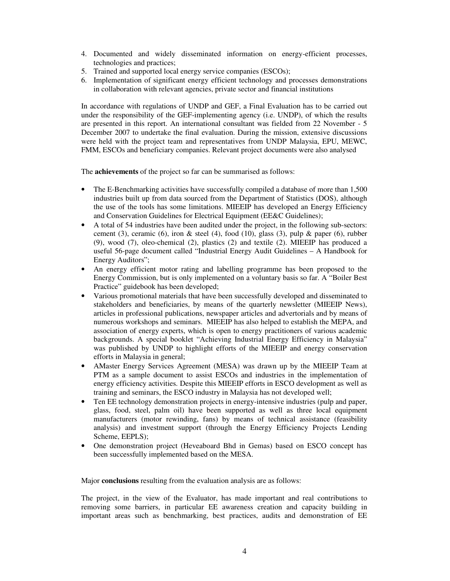- 4. Documented and widely disseminated information on energy-efficient processes, technologies and practices;
- 5. Trained and supported local energy service companies (ESCOs);
- 6. Implementation of significant energy efficient technology and processes demonstrations in collaboration with relevant agencies, private sector and financial institutions

In accordance with regulations of UNDP and GEF, a Final Evaluation has to be carried out under the responsibility of the GEF-implementing agency (i.e. UNDP), of which the results are presented in this report. An international consultant was fielded from 22 November - 5 December 2007 to undertake the final evaluation. During the mission, extensive discussions were held with the project team and representatives from UNDP Malaysia, EPU, MEWC, FMM, ESCOs and beneficiary companies. Relevant project documents were also analysed

The **achievements** of the project so far can be summarised as follows:

- The E-Benchmarking activities have successfully compiled a database of more than 1,500 industries built up from data sourced from the Department of Statistics (DOS), although the use of the tools has some limitations. MIEEIP has developed an Energy Efficiency and Conservation Guidelines for Electrical Equipment (EE&C Guidelines);
- A total of 54 industries have been audited under the project, in the following sub-sectors: cement (3), ceramic (6), iron & steel (4), food (10), glass (3), pulp & paper (6), rubber (9), wood (7), oleo-chemical (2), plastics (2) and textile (2). MIEEIP has produced a useful 56-page document called "Industrial Energy Audit Guidelines – A Handbook for Energy Auditors";
- An energy efficient motor rating and labelling programme has been proposed to the Energy Commission, but is only implemented on a voluntary basis so far. A "Boiler Best Practice" guidebook has been developed;
- Various promotional materials that have been successfully developed and disseminated to stakeholders and beneficiaries, by means of the quarterly newsletter (MIEEIP News), articles in professional publications, newspaper articles and advertorials and by means of numerous workshops and seminars. MIEEIP has also helped to establish the MEPA, and association of energy experts, which is open to energy practitioners of various academic backgrounds. A special booklet "Achieving Industrial Energy Efficiency in Malaysia" was published by UNDP to highlight efforts of the MIEEIP and energy conservation efforts in Malaysia in general;
- AMaster Energy Services Agreement (MESA) was drawn up by the MIEEIP Team at PTM as a sample document to assist ESCOs and industries in the implementation of energy efficiency activities. Despite this MIEEIP efforts in ESCO development as well as training and seminars, the ESCO industry in Malaysia has not developed well;
- Ten EE technology demonstration projects in energy-intensive industries (pulp and paper, glass, food, steel, palm oil) have been supported as well as three local equipment manufacturers (motor rewinding, fans) by means of technical assistance (feasibility analysis) and investment support (through the Energy Efficiency Projects Lending Scheme, EEPLS);
- One demonstration project (Heveaboard Bhd in Gemas) based on ESCO concept has been successfully implemented based on the MESA.

Major **conclusions** resulting from the evaluation analysis are as follows:

The project, in the view of the Evaluator, has made important and real contributions to removing some barriers, in particular EE awareness creation and capacity building in important areas such as benchmarking, best practices, audits and demonstration of EE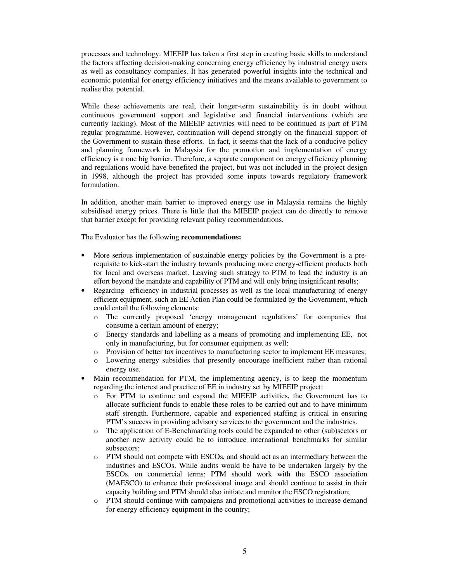processes and technology. MIEEIP has taken a first step in creating basic skills to understand the factors affecting decision-making concerning energy efficiency by industrial energy users as well as consultancy companies. It has generated powerful insights into the technical and economic potential for energy efficiency initiatives and the means available to government to realise that potential.

While these achievements are real, their longer-term sustainability is in doubt without continuous government support and legislative and financial interventions (which are currently lacking). Most of the MIEEIP activities will need to be continued as part of PTM regular programme. However, continuation will depend strongly on the financial support of the Government to sustain these efforts. In fact, it seems that the lack of a conducive policy and planning framework in Malaysia for the promotion and implementation of energy efficiency is a one big barrier. Therefore, a separate component on energy efficiency planning and regulations would have benefited the project, but was not included in the project design in 1998, although the project has provided some inputs towards regulatory framework formulation.

In addition, another main barrier to improved energy use in Malaysia remains the highly subsidised energy prices. There is little that the MIEEIP project can do directly to remove that barrier except for providing relevant policy recommendations.

The Evaluator has the following **recommendations:**

- More serious implementation of sustainable energy policies by the Government is a prerequisite to kick-start the industry towards producing more energy-efficient products both for local and overseas market. Leaving such strategy to PTM to lead the industry is an effort beyond the mandate and capability of PTM and will only bring insignificant results;
- Regarding efficiency in industrial processes as well as the local manufacturing of energy efficient equipment, such an EE Action Plan could be formulated by the Government, which could entail the following elements:
	- o The currently proposed 'energy management regulations' for companies that consume a certain amount of energy;
	- o Energy standards and labelling as a means of promoting and implementing EE, not only in manufacturing, but for consumer equipment as well;
	- o Provision of better tax incentives to manufacturing sector to implement EE measures;
	- o Lowering energy subsidies that presently encourage inefficient rather than rational energy use.
- Main recommendation for PTM, the implementing agency, is to keep the momentum regarding the interest and practice of EE in industry set by MIEEIP project:
	- o For PTM to continue and expand the MIEEIP activities, the Government has to allocate sufficient funds to enable these roles to be carried out and to have minimum staff strength. Furthermore, capable and experienced staffing is critical in ensuring PTM's success in providing advisory services to the government and the industries.
	- o The application of E-Benchmarking tools could be expanded to other (sub)sectors or another new activity could be to introduce international benchmarks for similar subsectors;
	- o PTM should not compete with ESCOs, and should act as an intermediary between the industries and ESCOs. While audits would be have to be undertaken largely by the ESCOs, on commercial terms; PTM should work with the ESCO association (MAESCO) to enhance their professional image and should continue to assist in their capacity building and PTM should also initiate and monitor the ESCO registration;
	- o PTM should continue with campaigns and promotional activities to increase demand for energy efficiency equipment in the country;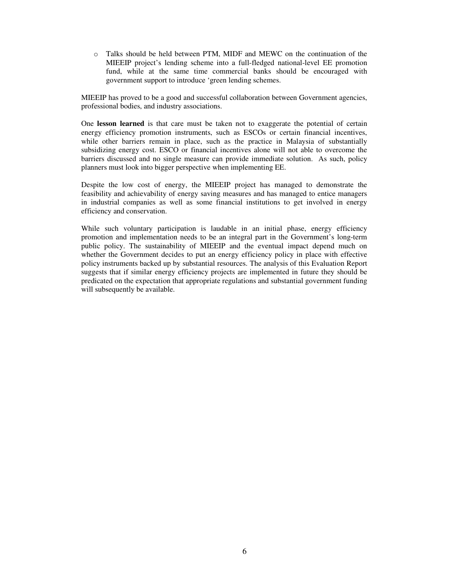o Talks should be held between PTM, MIDF and MEWC on the continuation of the MIEEIP project's lending scheme into a full-fledged national-level EE promotion fund, while at the same time commercial banks should be encouraged with government support to introduce 'green lending schemes.

MIEEIP has proved to be a good and successful collaboration between Government agencies, professional bodies, and industry associations.

One **lesson learned** is that care must be taken not to exaggerate the potential of certain energy efficiency promotion instruments, such as ESCOs or certain financial incentives, while other barriers remain in place, such as the practice in Malaysia of substantially subsidizing energy cost. ESCO or financial incentives alone will not able to overcome the barriers discussed and no single measure can provide immediate solution. As such, policy planners must look into bigger perspective when implementing EE.

Despite the low cost of energy, the MIEEIP project has managed to demonstrate the feasibility and achievability of energy saving measures and has managed to entice managers in industrial companies as well as some financial institutions to get involved in energy efficiency and conservation.

While such voluntary participation is laudable in an initial phase, energy efficiency promotion and implementation needs to be an integral part in the Government's long-term public policy. The sustainability of MIEEIP and the eventual impact depend much on whether the Government decides to put an energy efficiency policy in place with effective policy instruments backed up by substantial resources. The analysis of this Evaluation Report suggests that if similar energy efficiency projects are implemented in future they should be predicated on the expectation that appropriate regulations and substantial government funding will subsequently be available.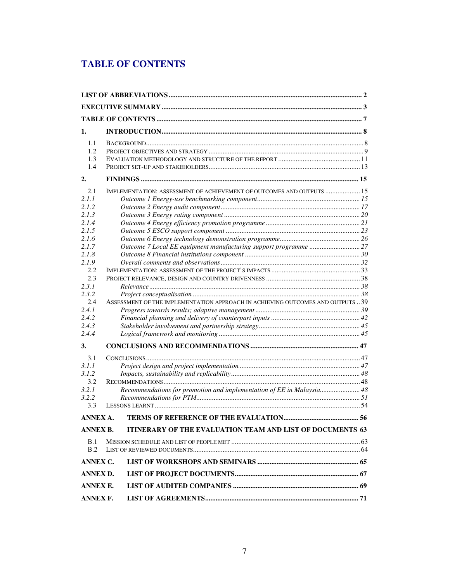# **TABLE OF CONTENTS**

| 1.              |                                                                                 |    |  |  |
|-----------------|---------------------------------------------------------------------------------|----|--|--|
| 1.1             |                                                                                 |    |  |  |
| 1.2             |                                                                                 |    |  |  |
| 1.3             |                                                                                 |    |  |  |
| 1.4             |                                                                                 |    |  |  |
| 2.              |                                                                                 |    |  |  |
| 2.1             | IMPLEMENTATION: ASSESSMENT OF ACHIEVEMENT OF OUTCOMES AND OUTPUTS  15           |    |  |  |
| 2.1.1           |                                                                                 |    |  |  |
| 2.1.2           |                                                                                 |    |  |  |
| 2.1.3           |                                                                                 |    |  |  |
| 2.1.4           |                                                                                 |    |  |  |
| 2.1.5           |                                                                                 |    |  |  |
| 2.1.6           |                                                                                 |    |  |  |
| 2.1.7           |                                                                                 |    |  |  |
| 2.1.8           |                                                                                 |    |  |  |
| 2.1.9<br>2.2    |                                                                                 |    |  |  |
| 2.3             |                                                                                 |    |  |  |
| 2.3.1           |                                                                                 |    |  |  |
| 2.3.2           |                                                                                 |    |  |  |
| 2.4             | ASSESSMENT OF THE IMPLEMENTATION APPROACH IN ACHIEVING OUTCOMES AND OUTPUTS  39 |    |  |  |
| 2.4.1           |                                                                                 |    |  |  |
| 2.4.2           |                                                                                 |    |  |  |
| 2.4.3           |                                                                                 |    |  |  |
| 2.4.4           |                                                                                 |    |  |  |
| 3.              |                                                                                 |    |  |  |
| 3.1             |                                                                                 |    |  |  |
| 3.1.1           |                                                                                 |    |  |  |
| 3.1.2           |                                                                                 |    |  |  |
| 3.2             |                                                                                 |    |  |  |
| 3.2.1           | Recommendations for promotion and implementation of EE in Malaysia 48           |    |  |  |
| 3.2.2           |                                                                                 |    |  |  |
| 3.3             |                                                                                 |    |  |  |
| ANNEX A.        | TERMS OF REFERENCE OF THE EVALUATION                                            | 56 |  |  |
| ANNEX B.        | ITINERARY OF THE EVALUATION TEAM AND LIST OF DOCUMENTS 63                       |    |  |  |
| B.1             |                                                                                 |    |  |  |
| B.2             |                                                                                 |    |  |  |
| <b>ANNEX C.</b> |                                                                                 |    |  |  |
| <b>ANNEX D.</b> |                                                                                 |    |  |  |
|                 | <b>ANNEX E.</b>                                                                 |    |  |  |
| <b>ANNEX F.</b> |                                                                                 |    |  |  |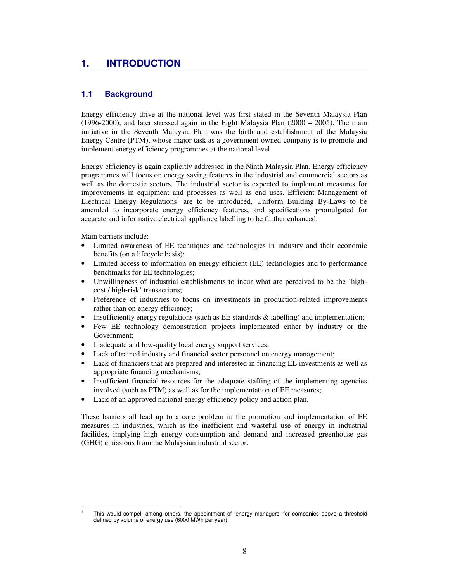# **1. INTRODUCTION**

# **1.1 Background**

Energy efficiency drive at the national level was first stated in the Seventh Malaysia Plan  $(1996-2000)$ , and later stressed again in the Eight Malaysia Plan  $(2000 - 2005)$ . The main initiative in the Seventh Malaysia Plan was the birth and establishment of the Malaysia Energy Centre (PTM), whose major task as a government-owned company is to promote and implement energy efficiency programmes at the national level.

Energy efficiency is again explicitly addressed in the Ninth Malaysia Plan. Energy efficiency programmes will focus on energy saving features in the industrial and commercial sectors as well as the domestic sectors. The industrial sector is expected to implement measures for improvements in equipment and processes as well as end uses. Efficient Management of Electrical Energy Regulations<sup>1</sup> are to be introduced, Uniform Building By-Laws to be amended to incorporate energy efficiency features, and specifications promulgated for accurate and informative electrical appliance labelling to be further enhanced.

Main barriers include:

-1

- Limited awareness of EE techniques and technologies in industry and their economic benefits (on a lifecycle basis);
- Limited access to information on energy-efficient (EE) technologies and to performance benchmarks for EE technologies;
- Unwillingness of industrial establishments to incur what are perceived to be the 'highcost / high-risk' transactions;
- Preference of industries to focus on investments in production-related improvements rather than on energy efficiency;
- Insufficiently energy regulations (such as EE standards & labelling) and implementation;
- Few EE technology demonstration projects implemented either by industry or the Government;
- Inadequate and low-quality local energy support services;
- Lack of trained industry and financial sector personnel on energy management;
- Lack of financiers that are prepared and interested in financing EE investments as well as appropriate financing mechanisms;
- Insufficient financial resources for the adequate staffing of the implementing agencies involved (such as PTM) as well as for the implementation of EE measures;
- Lack of an approved national energy efficiency policy and action plan.

These barriers all lead up to a core problem in the promotion and implementation of EE measures in industries, which is the inefficient and wasteful use of energy in industrial facilities, implying high energy consumption and demand and increased greenhouse gas (GHG) emissions from the Malaysian industrial sector.

This would compel, among others, the appointment of 'energy managers' for companies above a threshold defined by volume of energy use (6000 MWh per year)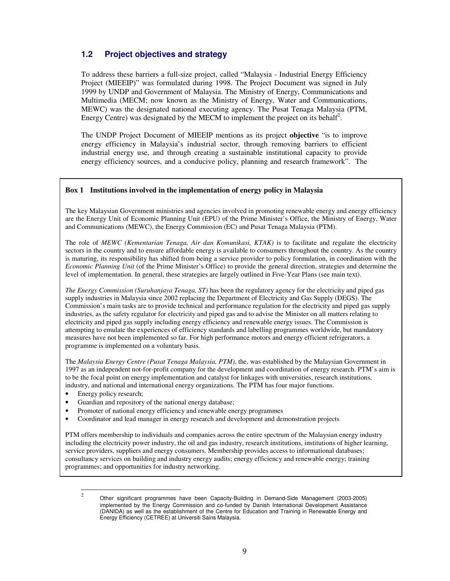# **1.2 Project objectives and strategy**

To address these barriers a full-size project, called "Malaysia - Industrial Energy Efficiency Project (MIEEIP)" was formulated during 1998. The Project Document was signed in July 1999 by UNDP and Government of Malaysia. The Ministry of Energy, Communications and Multimedia (MECM; now known as the Ministry of Energy, Water and Communications, MEWC) was the designated national executing agency. The Pusat Tenaga Malaysia (PTM, Energy Centre) was designated by the MECM to implement the project on its behalf<sup>2</sup>.

The UNDP Project Document of MIEEIP mentions as its project **objective** "is to improve energy efficiency in Malaysia's industrial sector, through removing barriers to efficient industrial energy use, and through creating a sustainable institutional capacity to provide energy efficiency sources, and a conducive policy, planning and research framework". The

### **Box 1 Institutions involved in the implementation of energy policy in Malaysia**

The key Malaysian Government ministries and agencies involved in promoting renewable energy and energy efficiency are the Energy Unit of Economic Planning Unit (EPU) of the Prime Minister's Office, the Ministry of Energy, Water and Communications (MEWC), the Energy Commission (EC) and Pusat Tenaga Malaysia (PTM).

The role of *MEWC (Kementarian Tenaga, Air dan Komunikasi, KTAK)* is to facilitate and regulate the electricity sectors in the country and to ensure affordable energy is available to consumers throughout the country. As the country is maturing, its responsibility has shifted from being a service provider to policy formulation, in coordination with the *Economic Planning Unit* (of the Prime Minister's Office) to provide the general direction, strategies and determine the level of implementation. In general, these strategies are largely outlined in Five-Year Plans (see main text).

*The Energy Commission (Suruhanjaya Tenaga, ST)* has been the regulatory agency for the electricity and piped gas supply industries in Malaysia since 2002 replacing the Department of Electricity and Gas Supply (DEGS). The Commission's main tasks are to provide technical and performance regulation for the electricity and piped gas supply industries, as the safety regulator for electricity and piped gas and to advise the Minister on all matters relating to electricity and piped gas supply including energy efficiency and renewable energy issues. The Commission is attempting to emulate the experiences of efficiency standards and labelling programmes worldwide, but mandatory measures have not been implemented so far. For high performance motors and energy efficient refrigerators, a programme is implemented on a voluntary basis.

The *Malaysia Energy Centre (Pusat Tenaga Malaysia, PTM)*, the, was established by the Malaysian Government in 1997 as an independent not-for-profit company for the development and coordination of energy research. PTM's aim is to be the focal point on energy implementation and catalyst for linkages with universities, research institutions, industry, and national and international energy organizations. The PTM has four major functions.

- Energy policy research;
- Guardian and repository of the national energy database;
- Promoter of national energy efficiency and renewable energy programmes
- Coordinator and lead manager in energy research and development and demonstration projects

PTM offers membership to individuals and companies across the entire spectrum of the Malaysian energy industry including the electricity power industry, the oil and gas industry, research institutions, institutions of higher learning, service providers, suppliers and energy consumers. Membership provides access to informational databases; consultancy services on building and industry energy audits; energy efficiency and renewable energy; training programmes; and opportunities for industry networking.

 $\frac{1}{2}$  Other significant programmes have been Capacity-Building in Demand-Side Management (2003-2005) implemented by the Energy Commission and co-funded by Danish International Development Assistance (DANIDA) as well as the establishment of the Centre for Education and Training in Renewable Energy and Energy Efficiency (CETREE) at Universiti Sains Malaysia.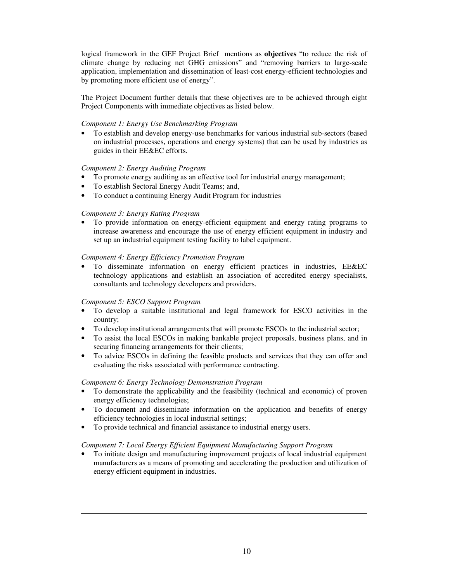logical framework in the GEF Project Brief mentions as **objectives** "to reduce the risk of climate change by reducing net GHG emissions" and "removing barriers to large-scale application, implementation and dissemination of least-cost energy-efficient technologies and by promoting more efficient use of energy".

The Project Document further details that these objectives are to be achieved through eight Project Components with immediate objectives as listed below.

# *Component 1: Energy Use Benchmarking Program*

• To establish and develop energy-use benchmarks for various industrial sub-sectors (based on industrial processes, operations and energy systems) that can be used by industries as guides in their EE&EC efforts.

# *Component 2: Energy Auditing Program*

- To promote energy auditing as an effective tool for industrial energy management;
- To establish Sectoral Energy Audit Teams; and,
- To conduct a continuing Energy Audit Program for industries

# *Component 3: Energy Rating Program*

• To provide information on energy-efficient equipment and energy rating programs to increase awareness and encourage the use of energy efficient equipment in industry and set up an industrial equipment testing facility to label equipment.

# *Component 4: Energy Efficiency Promotion Program*

• To disseminate information on energy efficient practices in industries, EE&EC technology applications and establish an association of accredited energy specialists, consultants and technology developers and providers.

# *Component 5: ESCO Support Program*

-

- To develop a suitable institutional and legal framework for ESCO activities in the country;
- To develop institutional arrangements that will promote ESCOs to the industrial sector;
- To assist the local ESCOs in making bankable project proposals, business plans, and in securing financing arrangements for their clients;
- To advice ESCOs in defining the feasible products and services that they can offer and evaluating the risks associated with performance contracting.

# *Component 6: Energy Technology Demonstration Program*

- To demonstrate the applicability and the feasibility (technical and economic) of proven energy efficiency technologies;
- To document and disseminate information on the application and benefits of energy efficiency technologies in local industrial settings;
- To provide technical and financial assistance to industrial energy users.

# *Component 7: Local Energy Efficient Equipment Manufacturing Support Program*

• To initiate design and manufacturing improvement projects of local industrial equipment manufacturers as a means of promoting and accelerating the production and utilization of energy efficient equipment in industries.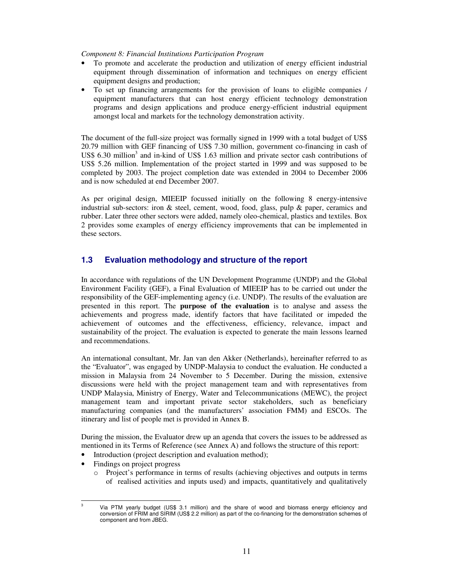*Component 8: Financial Institutions Participation Program* 

- To promote and accelerate the production and utilization of energy efficient industrial equipment through dissemination of information and techniques on energy efficient equipment designs and production;
- To set up financing arrangements for the provision of loans to eligible companies / equipment manufacturers that can host energy efficient technology demonstration programs and design applications and produce energy-efficient industrial equipment amongst local and markets for the technology demonstration activity.

The document of the full-size project was formally signed in 1999 with a total budget of US\$ 20.79 million with GEF financing of US\$ 7.30 million, government co-financing in cash of US\$ 6.30 million<sup>3</sup> and in-kind of US\$ 1.63 million and private sector cash contributions of US\$ 5.26 million. Implementation of the project started in 1999 and was supposed to be completed by 2003. The project completion date was extended in 2004 to December 2006 and is now scheduled at end December 2007.

As per original design, MIEEIP focussed initially on the following 8 energy-intensive industrial sub-sectors: iron  $\&$  steel, cement, wood, food, glass, pulp  $\&$  paper, ceramics and rubber. Later three other sectors were added, namely oleo-chemical, plastics and textiles. Box 2 provides some examples of energy efficiency improvements that can be implemented in these sectors.

# **1.3 Evaluation methodology and structure of the report**

In accordance with regulations of the UN Development Programme (UNDP) and the Global Environment Facility (GEF), a Final Evaluation of MIEEIP has to be carried out under the responsibility of the GEF-implementing agency (i.e. UNDP). The results of the evaluation are presented in this report. The **purpose of the evaluation** is to analyse and assess the achievements and progress made, identify factors that have facilitated or impeded the achievement of outcomes and the effectiveness, efficiency, relevance, impact and sustainability of the project. The evaluation is expected to generate the main lessons learned and recommendations.

An international consultant, Mr. Jan van den Akker (Netherlands), hereinafter referred to as the "Evaluator", was engaged by UNDP-Malaysia to conduct the evaluation. He conducted a mission in Malaysia from 24 November to 5 December. During the mission, extensive discussions were held with the project management team and with representatives from UNDP Malaysia, Ministry of Energy, Water and Telecommunications (MEWC), the project management team and important private sector stakeholders, such as beneficiary manufacturing companies (and the manufacturers' association FMM) and ESCOs. The itinerary and list of people met is provided in Annex B.

During the mission, the Evaluator drew up an agenda that covers the issues to be addressed as mentioned in its Terms of Reference (see Annex A) and follows the structure of this report:

- Introduction (project description and evaluation method);
- Findings on project progress
	- o Project's performance in terms of results (achieving objectives and outputs in terms of realised activities and inputs used) and impacts, quantitatively and qualitatively

<sup>-&</sup>lt;br>3 Via PTM yearly budget (US\$ 3.1 million) and the share of wood and biomass energy efficiency and conversion of FRIM and SIRIM (US\$ 2.2 million) as part of the co-financing for the demonstration schemes of component and from JBEG.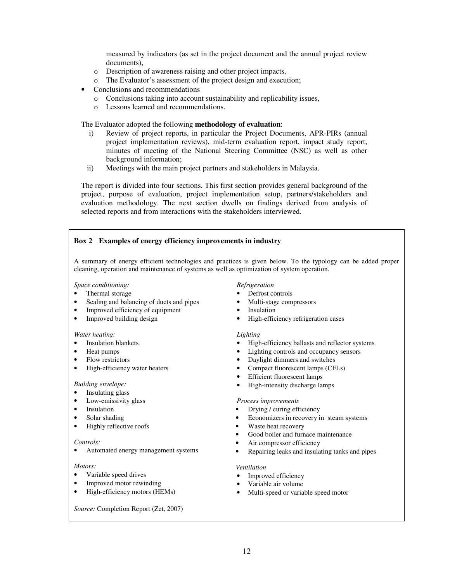measured by indicators (as set in the project document and the annual project review documents),

- o Description of awareness raising and other project impacts,
- o The Evaluator's assessment of the project design and execution;
- Conclusions and recommendations
	- o Conclusions taking into account sustainability and replicability issues,
	- o Lessons learned and recommendations.

The Evaluator adopted the following **methodology of evaluation**:

- i) Review of project reports, in particular the Project Documents, APR-PIRs (annual project implementation reviews), mid-term evaluation report, impact study report, minutes of meeting of the National Steering Committee (NSC) as well as other background information;
- ii) Meetings with the main project partners and stakeholders in Malaysia.

The report is divided into four sections. This first section provides general background of the project, purpose of evaluation, project implementation setup, partners/stakeholders and evaluation methodology. The next section dwells on findings derived from analysis of selected reports and from interactions with the stakeholders interviewed.

# **Box 2 Examples of energy efficiency improvements in industry**

A summary of energy efficient technologies and practices is given below. To the typology can be added proper cleaning, operation and maintenance of systems as well as optimization of system operation.

### *Space conditioning:*

- Thermal storage
- Sealing and balancing of ducts and pipes
- Improved efficiency of equipment
- Improved building design

#### *Water heating:*

- **Insulation blankets**
- Heat pumps
- Flow restrictors
- High-efficiency water heaters

#### *Building envelope:*

- Insulating glass
- Low-emissivity glass
- **Insulation**
- Solar shading
- Highly reflective roofs

#### *Controls:*

• Automated energy management systems

### *Motors:*

- Variable speed drives
- Improved motor rewinding
- High-efficiency motors (HEMs)

*Source:* Completion Report (Zet, 2007)

#### *Refrigeration*

- Defrost controls
- Multi-stage compressors
- **Insulation**
- High-efficiency refrigeration cases

#### *Lighting*

- High-efficiency ballasts and reflector systems
- Lighting controls and occupancy sensors
- Daylight dimmers and switches
- Compact fluorescent lamps (CFLs)
- Efficient fluorescent lamps
- High-intensity discharge lamps

#### *Process improvements*

- Drying / curing efficiency
- Economizers in recovery in steam systems
- Waste heat recovery
- Good boiler and furnace maintenance
- Air compressor efficiency
- Repairing leaks and insulating tanks and pipes

#### *Ventilation*

- Improved efficiency
- Variable air volume
- Multi-speed or variable speed motor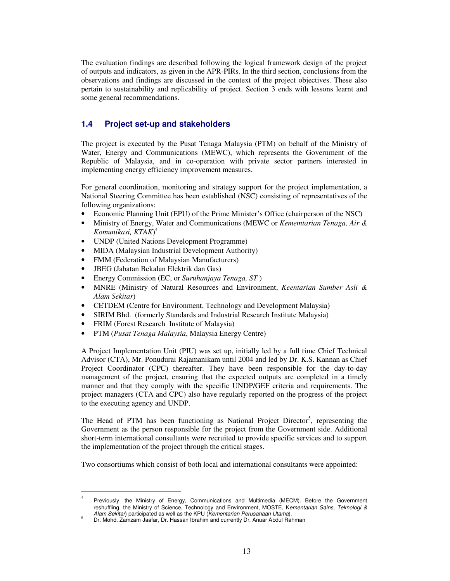The evaluation findings are described following the logical framework design of the project of outputs and indicators, as given in the APR-PIRs. In the third section, conclusions from the observations and findings are discussed in the context of the project objectives. These also pertain to sustainability and replicability of project. Section 3 ends with lessons learnt and some general recommendations.

# **1.4 Project set-up and stakeholders**

The project is executed by the Pusat Tenaga Malaysia (PTM) on behalf of the Ministry of Water, Energy and Communications (MEWC), which represents the Government of the Republic of Malaysia, and in co-operation with private sector partners interested in implementing energy efficiency improvement measures.

For general coordination, monitoring and strategy support for the project implementation, a National Steering Committee has been established (NSC) consisting of representatives of the following organizations:

- Economic Planning Unit (EPU) of the Prime Minister's Office (chairperson of the NSC)
- Ministry of Energy, Water and Communications (MEWC or *Kememtarian Tenaga, Air & Komunikasi, KTAK*) 4
- UNDP (United Nations Development Programme)
- MIDA (Malaysian Industrial Development Authority)
- FMM (Federation of Malaysian Manufacturers)
- JBEG (Jabatan Bekalan Elektrik dan Gas)
- Energy Commission (EC, or *Suruhanjaya Tenaga, ST* )
- MNRE (Ministry of Natural Resources and Environment, *Keentarian Sumber Asli & Alam Sekitar*)
- CETDEM (Centre for Environment, Technology and Development Malaysia)
- SIRIM Bhd. (formerly Standards and Industrial Research Institute Malaysia)
- FRIM (Forest Research Institute of Malaysia)
- PTM (*Pusat Tenaga Malaysia*, Malaysia Energy Centre)

A Project Implementation Unit (PIU) was set up, initially led by a full time Chief Technical Advisor (CTA), Mr. Ponudurai Rajamanikam until 2004 and led by Dr. K.S. Kannan as Chief Project Coordinator (CPC) thereafter. They have been responsible for the day-to-day management of the project, ensuring that the expected outputs are completed in a timely manner and that they comply with the specific UNDP/GEF criteria and requirements. The project managers (CTA and CPC) also have regularly reported on the progress of the project to the executing agency and UNDP.

The Head of PTM has been functioning as National Project Director<sup>5</sup>, representing the Government as the person responsible for the project from the Government side. Additional short-term international consultants were recruited to provide specific services and to support the implementation of the project through the critical stages.

Two consortiums which consist of both local and international consultants were appointed:

<sup>-&</sup>lt;br>4 Previously, the Ministry of Energy, Communications and Multimedia (MECM). Before the Government reshuffling, the Ministry of Science, Technology and Environment, MOSTE, Kementarian Sains, Teknologi & Alam Sekitar) participated as well as the KPU (Kementarian Perusahaan Utama).

<sup>5</sup> Dr. Mohd. Zamzam Jaafar, Dr. Hassan Ibrahim and currently Dr. Anuar Abdul Rahman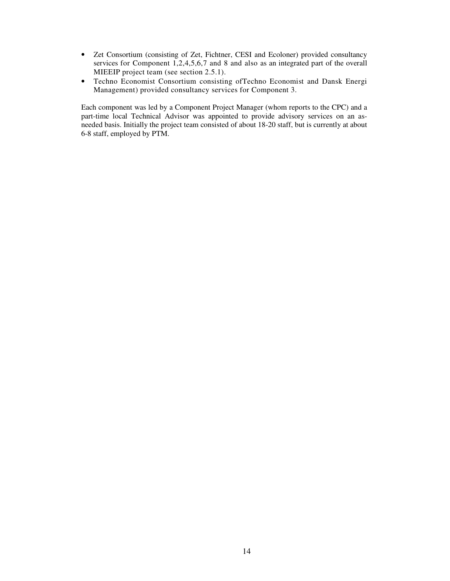- Zet Consortium (consisting of Zet, Fichtner, CESI and Ecoloner) provided consultancy services for Component 1,2,4,5,6,7 and 8 and also as an integrated part of the overall MIEEIP project team (see section 2.5.1).
- Techno Economist Consortium consisting ofTechno Economist and Dansk Energi Management) provided consultancy services for Component 3.

Each component was led by a Component Project Manager (whom reports to the CPC) and a part-time local Technical Advisor was appointed to provide advisory services on an asneeded basis. Initially the project team consisted of about 18-20 staff, but is currently at about 6-8 staff, employed by PTM.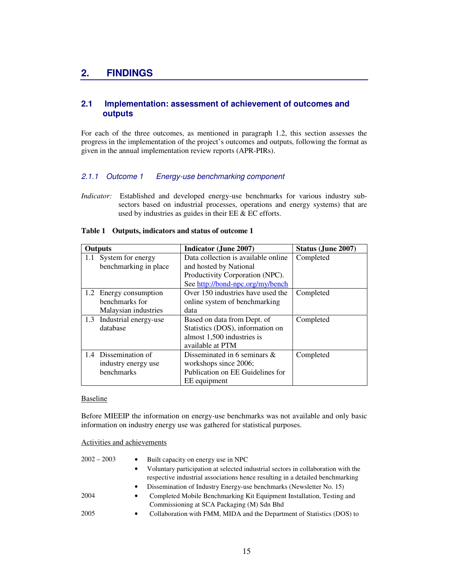# **2. FINDINGS**

# **2.1 Implementation: assessment of achievement of outcomes and outputs**

For each of the three outcomes, as mentioned in paragraph 1.2, this section assesses the progress in the implementation of the project's outcomes and outputs, following the format as given in the annual implementation review reports (APR-PIRs).

# 2.1.1 Outcome 1 Energy-use benchmarking component

*Indicator:* Established and developed energy-use benchmarks for various industry subsectors based on industrial processes, operations and energy systems) that are used by industries as guides in their EE & EC efforts.

| <b>Outputs</b> |                           | <b>Indicator (June 2007)</b>        | Status (June 2007) |
|----------------|---------------------------|-------------------------------------|--------------------|
| 1.1            | System for energy         | Data collection is available online | Completed          |
|                | benchmarking in place     | and hosted by National              |                    |
|                |                           | Productivity Corporation (NPC).     |                    |
|                |                           | See http://bond-npc.org/my/bench    |                    |
|                | 1.2 Energy consumption    | Over 150 industries have used the   | Completed          |
|                | benchmarks for            | online system of benchmarking       |                    |
|                | Malaysian industries      | data                                |                    |
|                | 1.3 Industrial energy-use | Based on data from Dept. of         | Completed          |
|                | database                  | Statistics (DOS), information on    |                    |
|                |                           | almost 1,500 industries is          |                    |
|                |                           | available at PTM                    |                    |
| 1.4            | Dissemination of          | Disseminated in 6 seminars $\&$     | Completed          |
|                | industry energy use       | workshops since 2006;               |                    |
|                | benchmarks                | Publication on EE Guidelines for    |                    |
|                |                           | EE equipment                        |                    |

#### **Table 1 Outputs, indicators and status of outcome 1**

#### Baseline

Before MIEEIP the information on energy-use benchmarks was not available and only basic information on industry energy use was gathered for statistical purposes.

#### Activities and achievements

| $2002 - 2003$<br>$\bullet$ | Built capacity on energy use in NPC                                              |
|----------------------------|----------------------------------------------------------------------------------|
| $\bullet$                  | Voluntary participation at selected industrial sectors in collaboration with the |
|                            | respective industrial associations hence resulting in a detailed benchmarking    |
| $\bullet$                  | Dissemination of Industry Energy-use benchmarks (Newsletter No. 15)              |
| 2004<br>$\bullet$          | Completed Mobile Benchmarking Kit Equipment Installation, Testing and            |
|                            | Commissioning at SCA Packaging (M) Sdn Bhd                                       |
| 2005<br>$\bullet$          | Collaboration with FMM, MIDA and the Department of Statistics (DOS) to           |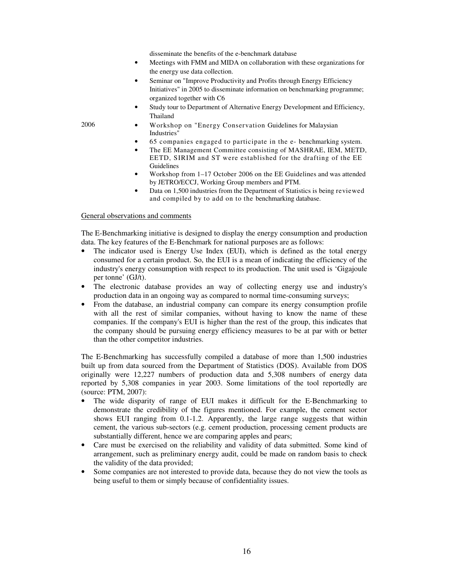disseminate the benefits of the e-benchmark database

- Meetings with FMM and MIDA on collaboration with these organizations for the energy use data collection.
- Seminar on "Improve Productivity and Profits through Energy Efficiency Initiatives" in 2005 to disseminate information on benchmarking programme; organized together with C6
- Study tour to Department of Alternative Energy Development and Efficiency, Thailand
- 2006 Workshop on "Energy Conservation Guidelines for Malaysian Industries"
	- 65 companies engaged to participate in the e- benchmarking system.
	- The EE Management Committee consisting of MASHRAE, IEM, METD, EETD, SIRIM and ST were established for the drafting of the EE Guidelines
	- Workshop from 1–17 October 2006 on the EE Guidelines and was attended by JETRO/ECCJ, Working Group members and PTM.
	- Data on 1,500 industries from the Department of Statistics is being reviewed and compiled by to add on to the benchmarking database.

### General observations and comments

The E-Benchmarking initiative is designed to display the energy consumption and production data. The key features of the E-Benchmark for national purposes are as follows:

- The indicator used is Energy Use Index (EUI), which is defined as the total energy consumed for a certain product. So, the EUI is a mean of indicating the efficiency of the industry's energy consumption with respect to its production. The unit used is 'Gigajoule per tonne' (GJ/t).
- The electronic database provides an way of collecting energy use and industry's production data in an ongoing way as compared to normal time-consuming surveys;
- From the database, an industrial company can compare its energy consumption profile with all the rest of similar companies, without having to know the name of these companies. If the company's EUI is higher than the rest of the group, this indicates that the company should be pursuing energy efficiency measures to be at par with or better than the other competitor industries.

The E-Benchmarking has successfully compiled a database of more than 1,500 industries built up from data sourced from the Department of Statistics (DOS). Available from DOS originally were 12,227 numbers of production data and 5,308 numbers of energy data reported by 5,308 companies in year 2003. Some limitations of the tool reportedly are (source: PTM, 2007):

- The wide disparity of range of EUI makes it difficult for the E-Benchmarking to demonstrate the credibility of the figures mentioned. For example, the cement sector shows EUI ranging from 0.1-1.2. Apparently, the large range suggests that within cement, the various sub-sectors (e.g. cement production, processing cement products are substantially different, hence we are comparing apples and pears;
- Care must be exercised on the reliability and validity of data submitted. Some kind of arrangement, such as preliminary energy audit, could be made on random basis to check the validity of the data provided;
- Some companies are not interested to provide data, because they do not view the tools as being useful to them or simply because of confidentiality issues.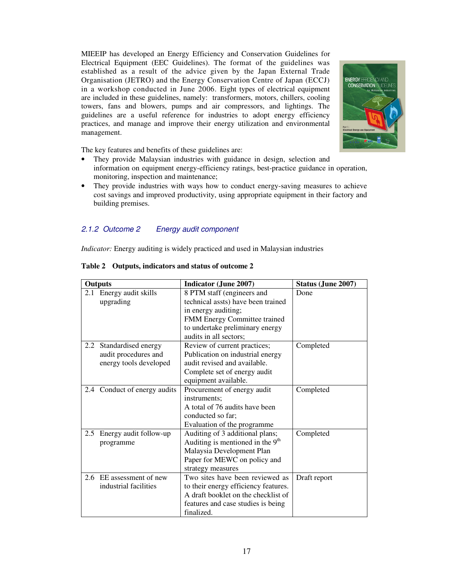MIEEIP has developed an Energy Efficiency and Conservation Guidelines for Electrical Equipment (EEC Guidelines). The format of the guidelines was established as a result of the advice given by the Japan External Trade Organisation (JETRO) and the Energy Conservation Centre of Japan (ECCJ) in a workshop conducted in June 2006. Eight types of electrical equipment are included in these guidelines, namely: transformers, motors, chillers, cooling towers, fans and blowers, pumps and air compressors, and lightings. The guidelines are a useful reference for industries to adopt energy efficiency practices, and manage and improve their energy utilization and environmental management.



The key features and benefits of these guidelines are:

- They provide Malaysian industries with guidance in design, selection and information on equipment energy-efficiency ratings, best-practice guidance in operation, monitoring, inspection and maintenance;
- They provide industries with ways how to conduct energy-saving measures to achieve cost savings and improved productivity, using appropriate equipment in their factory and building premises.

# 2.1.2 Outcome 2 Energy audit component

*Indicator:* Energy auditing is widely practiced and used in Malaysian industries

| <b>Outputs</b> |                              | <b>Indicator (June 2007)</b>         | Status (June 2007) |
|----------------|------------------------------|--------------------------------------|--------------------|
|                | 2.1 Energy audit skills      | 8 PTM staff (engineers and           | Done               |
|                | upgrading                    | technical assts) have been trained   |                    |
|                |                              | in energy auditing;                  |                    |
|                |                              | FMM Energy Committee trained         |                    |
|                |                              | to undertake preliminary energy      |                    |
|                |                              | audits in all sectors;               |                    |
|                | 2.2 Standardised energy      | Review of current practices;         | Completed          |
|                | audit procedures and         | Publication on industrial energy     |                    |
|                | energy tools developed       | audit revised and available.         |                    |
|                |                              | Complete set of energy audit         |                    |
|                |                              | equipment available.                 |                    |
|                | 2.4 Conduct of energy audits | Procurement of energy audit          | Completed          |
|                |                              | instruments:                         |                    |
|                |                              | A total of 76 audits have been       |                    |
|                |                              | conducted so far;                    |                    |
|                |                              | Evaluation of the programme          |                    |
|                | 2.5 Energy audit follow-up   | Auditing of 3 additional plans;      | Completed          |
|                | programme                    | Auditing is mentioned in the $9th$   |                    |
|                |                              | Malaysia Development Plan            |                    |
|                |                              | Paper for MEWC on policy and         |                    |
|                |                              | strategy measures                    |                    |
|                | 2.6 EE assessment of new     | Two sites have been reviewed as      | Draft report       |
|                | industrial facilities        | to their energy efficiency features. |                    |
|                |                              | A draft booklet on the checklist of  |                    |
|                |                              | features and case studies is being   |                    |
|                |                              | finalized.                           |                    |

# **Table 2 Outputs, indicators and status of outcome 2**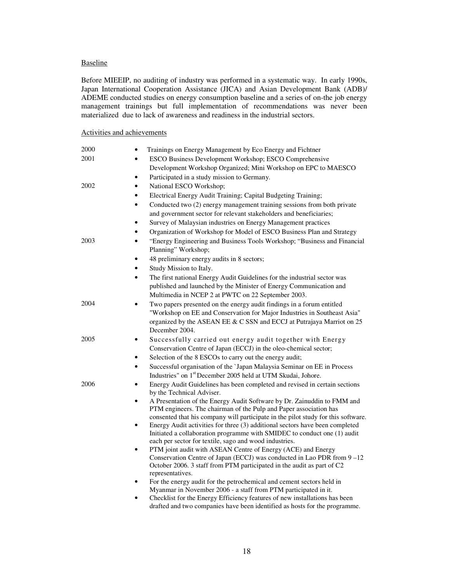### Baseline

Before MIEEIP, no auditing of industry was performed in a systematic way. In early 1990s, Japan International Cooperation Assistance (JICA) and Asian Development Bank (ADB)/ ADEME conducted studies on energy consumption baseline and a series of on-the job energy management trainings but full implementation of recommendations was never been materialized due to lack of awareness and readiness in the industrial sectors.

### Activities and achievements

| 2000 | Trainings on Energy Management by Eco Energy and Fichtner                                                                                                                                                                                      |  |  |
|------|------------------------------------------------------------------------------------------------------------------------------------------------------------------------------------------------------------------------------------------------|--|--|
| 2001 | ESCO Business Development Workshop; ESCO Comprehensive<br>$\bullet$                                                                                                                                                                            |  |  |
|      | Development Workshop Organized; Mini Workshop on EPC to MAESCO                                                                                                                                                                                 |  |  |
|      | Participated in a study mission to Germany.<br>$\bullet$                                                                                                                                                                                       |  |  |
| 2002 | National ESCO Workshop;<br>$\bullet$                                                                                                                                                                                                           |  |  |
|      | Electrical Energy Audit Training; Capital Budgeting Training;<br>$\bullet$                                                                                                                                                                     |  |  |
|      | Conducted two (2) energy management training sessions from both private<br>$\bullet$                                                                                                                                                           |  |  |
|      | and government sector for relevant stakeholders and beneficiaries;                                                                                                                                                                             |  |  |
|      | Survey of Malaysian industries on Energy Management practices                                                                                                                                                                                  |  |  |
|      | Organization of Workshop for Model of ESCO Business Plan and Strategy<br>$\bullet$                                                                                                                                                             |  |  |
| 2003 | "Energy Engineering and Business Tools Workshop; "Business and Financial<br>$\bullet$<br>Planning" Workshop;                                                                                                                                   |  |  |
|      | 48 preliminary energy audits in 8 sectors;<br>$\bullet$                                                                                                                                                                                        |  |  |
|      | Study Mission to Italy.<br>$\bullet$                                                                                                                                                                                                           |  |  |
|      | The first national Energy Audit Guidelines for the industrial sector was<br>$\bullet$<br>published and launched by the Minister of Energy Communication and<br>Multimedia in NCEP 2 at PWTC on 22 September 2003.                              |  |  |
| 2004 | Two papers presented on the energy audit findings in a forum entitled<br>$\bullet$                                                                                                                                                             |  |  |
|      | "Workshop on EE and Conservation for Major Industries in Southeast Asia"<br>organized by the ASEAN EE & C SSN and ECCJ at Putrajaya Marriot on 25<br>December 2004.                                                                            |  |  |
| 2005 | Successfully carried out energy audit together with Energy<br>٠                                                                                                                                                                                |  |  |
|      | Conservation Centre of Japan (ECCJ) in the oleo-chemical sector;                                                                                                                                                                               |  |  |
|      | Selection of the 8 ESCOs to carry out the energy audit;<br>$\bullet$                                                                                                                                                                           |  |  |
|      | Successful organisation of the 'Japan Malaysia Seminar on EE in Process<br>$\bullet$<br>Industries" on 1 <sup>st</sup> December 2005 held at UTM Skudai, Johore.                                                                               |  |  |
| 2006 | Energy Audit Guidelines has been completed and revised in certain sections<br>by the Technical Adviser.                                                                                                                                        |  |  |
|      | A Presentation of the Energy Audit Software by Dr. Zainuddin to FMM and<br>$\bullet$<br>PTM engineers. The chairman of the Pulp and Paper association has<br>consented that his company will participate in the pilot study for this software. |  |  |
|      | Energy Audit activities for three (3) additional sectors have been completed<br>$\bullet$<br>Initiated a collaboration programme with SMIDEC to conduct one (1) audit                                                                          |  |  |
|      | each per sector for textile, sago and wood industries.<br>PTM joint audit with ASEAN Centre of Energy (ACE) and Energy<br>$\bullet$<br>Conservation Centre of Japan (ECCJ) was conducted in Lao PDR from 9-12                                  |  |  |
|      | October 2006. 3 staff from PTM participated in the audit as part of C2<br>representatives.                                                                                                                                                     |  |  |
|      | For the energy audit for the petrochemical and cement sectors held in                                                                                                                                                                          |  |  |
|      | Myanmar in November 2006 - a staff from PTM participated in it.                                                                                                                                                                                |  |  |
|      | Checklist for the Energy Efficiency features of new installations has been                                                                                                                                                                     |  |  |
|      | drafted and two companies have been identified as hosts for the programme.                                                                                                                                                                     |  |  |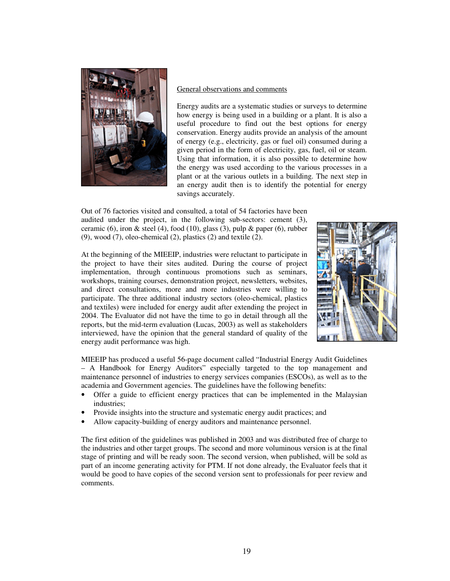

# General observations and comments

Energy audits are a systematic studies or surveys to determine how energy is being used in a building or a plant. It is also a useful procedure to find out the best options for energy conservation. Energy audits provide an analysis of the amount of energy (e.g., electricity, gas or fuel oil) consumed during a given period in the form of electricity, gas, fuel, oil or steam. Using that information, it is also possible to determine how the energy was used according to the various processes in a plant or at the various outlets in a building. The next step in an energy audit then is to identify the potential for energy savings accurately.

Out of 76 factories visited and consulted, a total of 54 factories have been audited under the project, in the following sub-sectors: cement (3), ceramic (6), iron & steel (4), food (10), glass (3), pulp & paper (6), rubber (9), wood (7), oleo-chemical (2), plastics (2) and textile (2).

At the beginning of the MIEEIP, industries were reluctant to participate in the project to have their sites audited. During the course of project implementation, through continuous promotions such as seminars, workshops, training courses, demonstration project, newsletters, websites, and direct consultations, more and more industries were willing to participate. The three additional industry sectors (oleo-chemical, plastics and textiles) were included for energy audit after extending the project in 2004. The Evaluator did not have the time to go in detail through all the reports, but the mid-term evaluation (Lucas, 2003) as well as stakeholders interviewed, have the opinion that the general standard of quality of the energy audit performance was high.



MIEEIP has produced a useful 56-page document called "Industrial Energy Audit Guidelines – A Handbook for Energy Auditors" especially targeted to the top management and maintenance personnel of industries to energy services companies (ESCOs), as well as to the academia and Government agencies. The guidelines have the following benefits:

- Offer a guide to efficient energy practices that can be implemented in the Malaysian industries;
- Provide insights into the structure and systematic energy audit practices; and
- Allow capacity-building of energy auditors and maintenance personnel.

The first edition of the guidelines was published in 2003 and was distributed free of charge to the industries and other target groups. The second and more voluminous version is at the final stage of printing and will be ready soon. The second version, when published, will be sold as part of an income generating activity for PTM. If not done already, the Evaluator feels that it would be good to have copies of the second version sent to professionals for peer review and comments.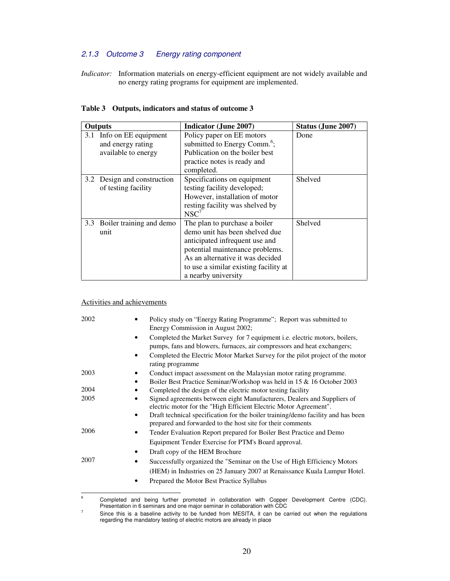# 2.1.3 Outcome 3 Energy rating component

*Indicator:* Information materials on energy-efficient equipment are not widely available and no energy rating programs for equipment are implemented.

| <b>Outputs</b> |                                                                  | Indicator (June 2007)                                                                                                                                                                                                                    | <b>Status (June 2007)</b> |
|----------------|------------------------------------------------------------------|------------------------------------------------------------------------------------------------------------------------------------------------------------------------------------------------------------------------------------------|---------------------------|
| 3.1            | Info on EE equipment<br>and energy rating<br>available to energy | Policy paper on EE motors<br>submitted to Energy Comm. <sup>6</sup> ;<br>Publication on the boiler best<br>practice notes is ready and<br>completed.                                                                                     | Done                      |
| 3.2            | Design and construction<br>of testing facility                   | Specifications on equipment<br>testing facility developed;<br>However, installation of motor<br>resting facility was shelved by<br>$NSC^7$                                                                                               | Shelved                   |
| 3.3            | Boiler training and demo<br>unit                                 | The plan to purchase a boiler<br>demo unit has been shelved due<br>anticipated infrequent use and<br>potential maintenance problems.<br>As an alternative it was decided<br>to use a similar existing facility at<br>a nearby university | Shelved                   |

|  |  | Table 3 Outputs, indicators and status of outcome 3 |  |  |
|--|--|-----------------------------------------------------|--|--|
|--|--|-----------------------------------------------------|--|--|

# Activities and achievements

| 2002 | Policy study on "Energy Rating Programme"; Report was submitted to                                                                                    |
|------|-------------------------------------------------------------------------------------------------------------------------------------------------------|
|      | Energy Commission in August 2002;                                                                                                                     |
|      | Completed the Market Survey for 7 equipment i.e. electric motors, boilers,<br>pumps, fans and blowers, furnaces, air compressors and heat exchangers; |
|      | Completed the Electric Motor Market Survey for the pilot project of the motor<br>rating programme                                                     |
| 2003 | Conduct impact assessment on the Malaysian motor rating programme.                                                                                    |
|      | Boiler Best Practice Seminar/Workshop was held in 15 & 16 October 2003                                                                                |
| 2004 | Completed the design of the electric motor testing facility                                                                                           |
| 2005 | Signed agreements between eight Manufacturers, Dealers and Suppliers of<br>electric motor for the "High Efficient Electric Motor Agreement".          |
|      | Draft technical specification for the boiler training/demo facility and has been<br>prepared and forwarded to the host site for their comments        |
| 2006 | Tender Evaluation Report prepared for Boiler Best Practice and Demo                                                                                   |
|      | Equipment Tender Exercise for PTM's Board approval.                                                                                                   |
|      | Draft copy of the HEM Brochure                                                                                                                        |
| 2007 | Successfully organized the "Seminar on the Use of High Efficiency Motors"                                                                             |
|      | (HEM) in Industries on 25 January 2007 at Renaissance Kuala Lumpur Hotel.                                                                             |
|      | Prepared the Motor Best Practice Syllabus                                                                                                             |
|      |                                                                                                                                                       |
| 6    | Completed and boing further promoted in colleboration with Conner Douglopment Contro (CDC)                                                            |

Completed and being further promoted in collaboration with Copper Development Centre (CDC). Presentation in 6 seminars and one major seminar in collaboration with CDC

<sup>7</sup> Since this is a baseline activity to be funded from MESITA, it can be carried out when the regulations regarding the mandatory testing of electric motors are already in place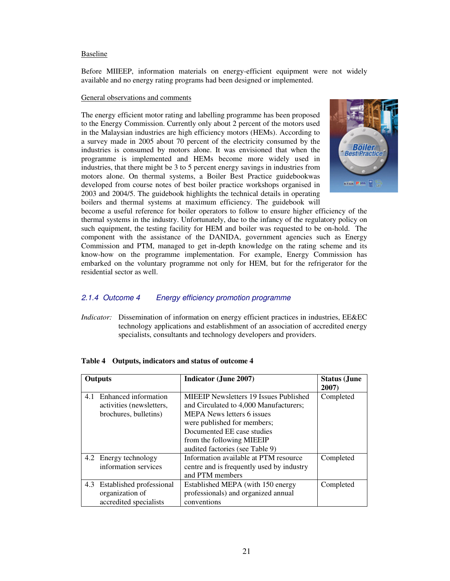### Baseline

Before MIIEEP, information materials on energy-efficient equipment were not widely available and no energy rating programs had been designed or implemented.

### General observations and comments

The energy efficient motor rating and labelling programme has been proposed to the Energy Commission. Currently only about 2 percent of the motors used in the Malaysian industries are high efficiency motors (HEMs). According to a survey made in 2005 about 70 percent of the electricity consumed by the industries is consumed by motors alone. It was envisioned that when the programme is implemented and HEMs become more widely used in industries, that there might be 3 to 5 percent energy savings in industries from motors alone. On thermal systems, a Boiler Best Practice guidebookwas developed from course notes of best boiler practice workshops organised in 2003 and 2004/5. The guidebook highlights the technical details in operating boilers and thermal systems at maximum efficiency. The guidebook will



become a useful reference for boiler operators to follow to ensure higher efficiency of the thermal systems in the industry. Unfortunately, due to the infancy of the regulatory policy on such equipment, the testing facility for HEM and boiler was requested to be on-hold. The component with the assistance of the DANIDA, government agencies such as Energy Commission and PTM, managed to get in-depth knowledge on the rating scheme and its know-how on the programme implementation. For example, Energy Commission has embarked on the voluntary programme not only for HEM, but for the refrigerator for the residential sector as well.

# 2.1.4 Outcome 4 Energy efficiency promotion programme

*Indicator:* Dissemination of information on energy efficient practices in industries, EE&EC technology applications and establishment of an association of accredited energy specialists, consultants and technology developers and providers.

| <b>Outputs</b> |                                                                           | <b>Indicator (June 2007)</b>                                                                                                                                                                                                                              | <b>Status</b> (June<br>2007) |
|----------------|---------------------------------------------------------------------------|-----------------------------------------------------------------------------------------------------------------------------------------------------------------------------------------------------------------------------------------------------------|------------------------------|
| 4.1            | Enhanced information<br>activities (newsletters,<br>brochures, bulletins) | <b>MIEEIP Newsletters 19 Issues Published</b><br>and Circulated to 4,000 Manufacturers;<br><b>MEPA News letters 6 issues</b><br>were published for members;<br>Documented EE case studies<br>from the following MIEEIP<br>audited factories (see Table 9) | Completed                    |
|                | 4.2 Energy technology<br>information services                             | Information available at PTM resource<br>centre and is frequently used by industry<br>and PTM members                                                                                                                                                     | Completed                    |
| 4.3            | Established professional<br>organization of<br>accredited specialists     | Established MEPA (with 150 energy<br>professionals) and organized annual<br>conventions                                                                                                                                                                   | Completed                    |

### **Table 4 Outputs, indicators and status of outcome 4**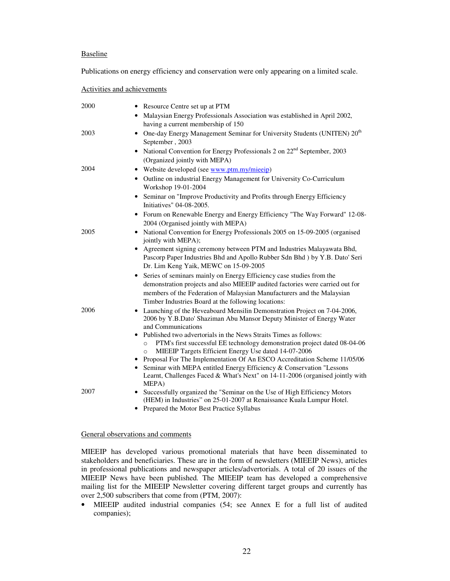### Baseline

Publications on energy efficiency and conservation were only appearing on a limited scale.

### Activities and achievements

| 2000      | • Resource Centre set up at PTM                                                                                                                                                                                                                                                        |
|-----------|----------------------------------------------------------------------------------------------------------------------------------------------------------------------------------------------------------------------------------------------------------------------------------------|
|           | • Malaysian Energy Professionals Association was established in April 2002,                                                                                                                                                                                                            |
|           | having a current membership of 150                                                                                                                                                                                                                                                     |
| 2003<br>٠ | One-day Energy Management Seminar for University Students (UNITEN) 20 <sup>th</sup><br>September, 2003                                                                                                                                                                                 |
| ٠         | National Convention for Energy Professionals 2 on 22 <sup>nd</sup> September, 2003<br>(Organized jointly with MEPA)                                                                                                                                                                    |
| 2004<br>٠ | Website developed (see www.ptm.my/mieeip)                                                                                                                                                                                                                                              |
|           | Outline on industrial Energy Management for University Co-Curriculum<br>Workshop 19-01-2004                                                                                                                                                                                            |
| ٠         | Seminar on "Improve Productivity and Profits through Energy Efficiency<br>Initiatives" 04-08-2005.                                                                                                                                                                                     |
| ٠         | Forum on Renewable Energy and Energy Efficiency "The Way Forward" 12-08-<br>2004 (Organised jointly with MEPA)                                                                                                                                                                         |
| 2005      | • National Convention for Energy Professionals 2005 on 15-09-2005 (organised<br>jointly with MEPA);                                                                                                                                                                                    |
| ٠         | Agreement signing ceremony between PTM and Industries Malayawata Bhd,<br>Pascorp Paper Industries Bhd and Apollo Rubber Sdn Bhd ) by Y.B. Dato' Seri<br>Dr. Lim Keng Yaik, MEWC on 15-09-2005                                                                                          |
| ٠         | Series of seminars mainly on Energy Efficiency case studies from the<br>demonstration projects and also MIEEIP audited factories were carried out for<br>members of the Federation of Malaysian Manufacturers and the Malaysian<br>Timber Industries Board at the following locations: |
| 2006<br>٠ | Launching of the Heveaboard Mensilin Demonstration Project on 7-04-2006,<br>2006 by Y.B.Dato' Shaziman Abu Mansor Deputy Minister of Energy Water<br>and Communications                                                                                                                |
|           | Published two advertorials in the News Straits Times as follows:<br>PTM's first successful EE technology demonstration project dated 08-04-06<br>$\circ$<br>MIEEIP Targets Efficient Energy Use dated 14-07-2006<br>$\circ$                                                            |
|           | Proposal For The Implementation Of An ESCO Accreditation Scheme 11/05/06<br>• Seminar with MEPA entitled Energy Efficiency & Conservation "Lessons"                                                                                                                                    |
|           | Learnt, Challenges Faced & What's Next" on 14-11-2006 (organised jointly with<br>MEPA)                                                                                                                                                                                                 |
| 2007      | Successfully organized the "Seminar on the Use of High Efficiency Motors<br>(HEM) in Industries" on 25-01-2007 at Renaissance Kuala Lumpur Hotel.<br>Drapared the Motor Beet Dressies Syllabus                                                                                         |

• Prepared the Motor Best Practice Syllabus

### General observations and comments

MIEEIP has developed various promotional materials that have been disseminated to stakeholders and beneficiaries. These are in the form of newsletters (MIEEIP News), articles in professional publications and newspaper articles/advertorials. A total of 20 issues of the MIEEIP News have been published*.* The MIEEIP team has developed a comprehensive mailing list for the MIEEIP Newsletter covering different target groups and currently has over 2,500 subscribers that come from (PTM, 2007):

• MIEEIP audited industrial companies (54; see Annex E for a full list of audited companies);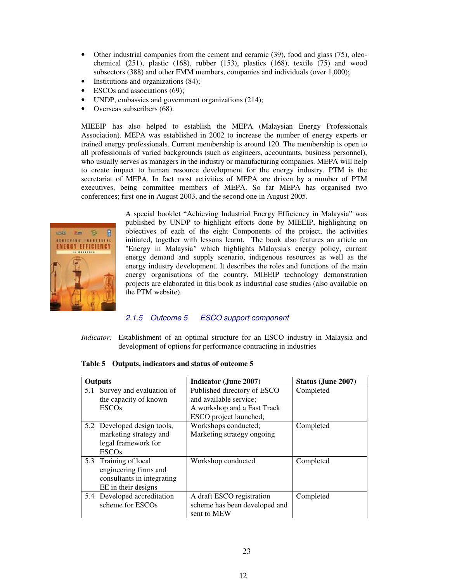- Other industrial companies from the cement and ceramic (39), food and glass (75), oleochemical  $(251)$ , plastic  $(168)$ , rubber  $(153)$ , plastics  $(168)$ , textile  $(75)$  and wood subsectors (388) and other FMM members, companies and individuals (over 1,000);
- Institutions and organizations (84);
- ESCOs and associations (69);
- UNDP, embassies and government organizations  $(214)$ ;
- Overseas subscribers (68).

MIEEIP has also helped to establish the MEPA (Malaysian Energy Professionals Association). MEPA was established in 2002 to increase the number of energy experts or trained energy professionals. Current membership is around 120. The membership is open to all professionals of varied backgrounds (such as engineers, accountants, business personnel), who usually serves as managers in the industry or manufacturing companies. MEPA will help to create impact to human resource development for the energy industry. PTM is the secretariat of MEPA. In fact most activities of MEPA are driven by a number of PTM executives, being committee members of MEPA. So far MEPA has organised two conferences; first one in August 2003, and the second one in August 2005.



A special booklet "Achieving Industrial Energy Efficiency in Malaysia" was published by UNDP to highlight efforts done by MIEEIP, highlighting on objectives of each of the eight Components of the project, the activities initiated, together with lessons learnt. The book also features an article on "Energy in Malaysia*"* which highlights Malaysia's energy policy, current energy demand and supply scenario, indigenous resources as well as the energy industry development. It describes the roles and functions of the main energy organisations of the country. MIEEIP technology demonstration projects are elaborated in this book as industrial case studies (also available on the PTM website).

### 2.1.5 Outcome 5 ESCO support component

*Indicator:* Establishment of an optimal structure for an ESCO industry in Malaysia and development of options for performance contracting in industries

**Table 5 Outputs, indicators and status of outcome 5**

| <b>Outputs</b> |                                                                                                 | Indicator (June 2007)                                                                                          | Status (June 2007) |
|----------------|-------------------------------------------------------------------------------------------------|----------------------------------------------------------------------------------------------------------------|--------------------|
|                | 5.1 Survey and evaluation of<br>the capacity of known<br><b>ESCOs</b>                           | Published directory of ESCO<br>and available service;<br>A workshop and a Fast Track<br>ESCO project launched; | Completed          |
|                | 5.2 Developed design tools,<br>marketing strategy and<br>legal framework for<br><b>ESCOs</b>    | Workshops conducted;<br>Marketing strategy ongoing                                                             | Completed          |
| 5.3            | Training of local<br>engineering firms and<br>consultants in integrating<br>EE in their designs | Workshop conducted                                                                                             | Completed          |
|                | 5.4 Developed accreditation<br>scheme for ESCOs                                                 | A draft ESCO registration<br>scheme has been developed and<br>sent to MEW                                      | Completed          |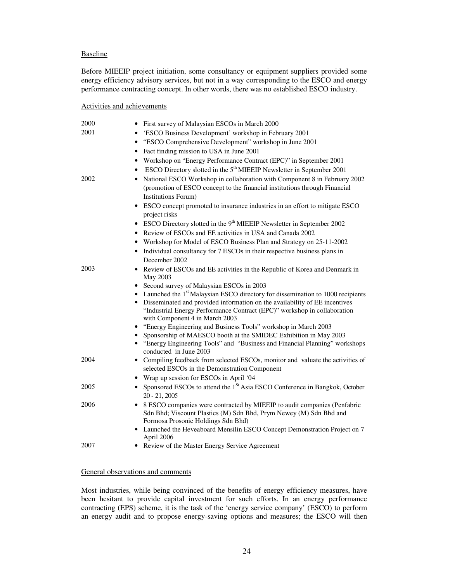### Baseline

Before MIEEIP project initiation, some consultancy or equipment suppliers provided some energy efficiency advisory services, but not in a way corresponding to the ESCO and energy performance contracting concept. In other words, there was no established ESCO industry.

#### Activities and achievements

| 2000 | First survey of Malaysian ESCOs in March 2000                                                                                                                                          |
|------|----------------------------------------------------------------------------------------------------------------------------------------------------------------------------------------|
| 2001 | 'ESCO Business Development' workshop in February 2001                                                                                                                                  |
|      | "ESCO Comprehensive Development" workshop in June 2001                                                                                                                                 |
|      | Fact finding mission to USA in June 2001<br>$\bullet$                                                                                                                                  |
|      | Workshop on "Energy Performance Contract (EPC)" in September 2001                                                                                                                      |
|      | ESCO Directory slotted in the 5 <sup>th</sup> MIEEIP Newsletter in September 2001                                                                                                      |
| 2002 | National ESCO Workshop in collaboration with Component 8 in February 2002<br>٠                                                                                                         |
|      | (promotion of ESCO concept to the financial institutions through Financial<br><b>Institutions Forum)</b>                                                                               |
|      | • ESCO concept promoted to insurance industries in an effort to mitigate ESCO                                                                                                          |
|      | project risks                                                                                                                                                                          |
|      | • ESCO Directory slotted in the 9 <sup>th</sup> MIEEIP Newsletter in September 2002                                                                                                    |
|      | Review of ESCOs and EE activities in USA and Canada 2002                                                                                                                               |
|      | Workshop for Model of ESCO Business Plan and Strategy on 25-11-2002<br>٠                                                                                                               |
|      | • Individual consultancy for 7 ESCOs in their respective business plans in                                                                                                             |
|      | December 2002                                                                                                                                                                          |
| 2003 | • Review of ESCOs and EE activities in the Republic of Korea and Denmark in<br>May 2003                                                                                                |
|      | • Second survey of Malaysian ESCOs in 2003                                                                                                                                             |
|      | Launched the 1 <sup>st</sup> Malaysian ESCO directory for dissemination to 1000 recipients                                                                                             |
|      | • Disseminated and provided information on the availability of EE incentives<br>"Industrial Energy Performance Contract (EPC)" workshop in collaboration                               |
|      | with Component 4 in March 2003<br>• "Energy Engineering and Business Tools" workshop in March 2003                                                                                     |
|      | • Sponsorship of MAESCO booth at the SMIDEC Exhibition in May 2003                                                                                                                     |
|      | • "Energy Engineering Tools" and "Business and Financial Planning" workshops<br>conducted in June 2003                                                                                 |
| 2004 | • Compiling feedback from selected ESCOs, monitor and valuate the activities of                                                                                                        |
|      | selected ESCOs in the Demonstration Component                                                                                                                                          |
|      | • Wrap up session for ESCOs in April '04                                                                                                                                               |
| 2005 | • Sponsored ESCOs to attend the $1St$ Asia ESCO Conference in Bangkok, October<br>$20 - 21, 2005$                                                                                      |
| 2006 | • 8 ESCO companies were contracted by MIEEIP to audit companies (Penfabric<br>Sdn Bhd; Viscount Plastics (M) Sdn Bhd, Prym Newey (M) Sdn Bhd and<br>Formosa Prosonic Holdings Sdn Bhd) |
|      | • Launched the Heveaboard Mensilin ESCO Concept Demonstration Project on 7<br>April 2006                                                                                               |
| 2007 | • Review of the Master Energy Service Agreement                                                                                                                                        |

# General observations and comments

Most industries, while being convinced of the benefits of energy efficiency measures, have been hesitant to provide capital investment for such efforts. In an energy performance contracting (EPS) scheme, it is the task of the 'energy service company' (ESCO) to perform an energy audit and to propose energy-saving options and measures; the ESCO will then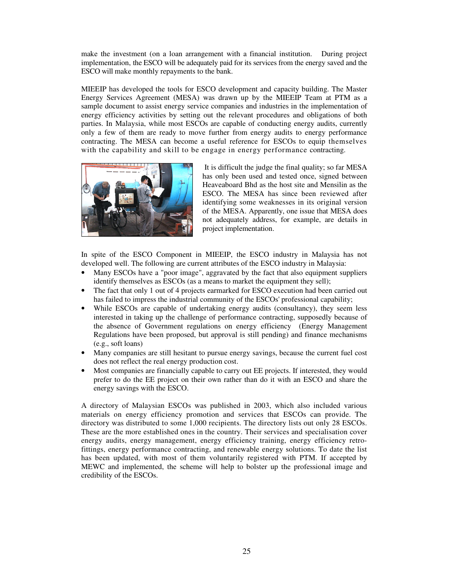make the investment (on a loan arrangement with a financial institution. During project implementation, the ESCO will be adequately paid for its services from the energy saved and the ESCO will make monthly repayments to the bank.

MIEEIP has developed the tools for ESCO development and capacity building. The Master Energy Services Agreement (MESA) was drawn up by the MIEEIP Team at PTM as a sample document to assist energy service companies and industries in the implementation of energy efficiency activities by setting out the relevant procedures and obligations of both parties. In Malaysia, while most ESCOs are capable of conducting energy audits, currently only a few of them are ready to move further from energy audits to energy performance contracting. The MESA can become a useful reference for ESCOs to equip themselves with the capability and skill to be engage in energy performance contracting.



 It is difficult the judge the final quality; so far MESA has only been used and tested once, signed between Heaveaboard Bhd as the host site and Mensilin as the ESCO. The MESA has since been reviewed after identifying some weaknesses in its original version of the MESA. Apparently, one issue that MESA does not adequately address, for example, are details in project implementation.

In spite of the ESCO Component in MIEEIP, the ESCO industry in Malaysia has not developed well. The following are current attributes of the ESCO industry in Malaysia:

- Many ESCOs have a "poor image", aggravated by the fact that also equipment suppliers identify themselves as ESCOs (as a means to market the equipment they sell);
- The fact that only 1 out of 4 projects earmarked for ESCO execution had been carried out has failed to impress the industrial community of the ESCOs' professional capability;
- While ESCOs are capable of undertaking energy audits (consultancy), they seem less interested in taking up the challenge of performance contracting, supposedly because of the absence of Government regulations on energy efficiency (Energy Management Regulations have been proposed, but approval is still pending) and finance mechanisms (e.g., soft loans)
- Many companies are still hesitant to pursue energy savings, because the current fuel cost does not reflect the real energy production cost.
- Most companies are financially capable to carry out EE projects. If interested, they would prefer to do the EE project on their own rather than do it with an ESCO and share the energy savings with the ESCO.

A directory of Malaysian ESCOs was published in 2003, which also included various materials on energy efficiency promotion and services that ESCOs can provide. The directory was distributed to some 1,000 recipients. The directory lists out only 28 ESCOs. These are the more established ones in the country. Their services and specialisation cover energy audits, energy management, energy efficiency training, energy efficiency retrofittings, energy performance contracting, and renewable energy solutions. To date the list has been updated, with most of them voluntarily registered with PTM. If accepted by MEWC and implemented, the scheme will help to bolster up the professional image and credibility of the ESCOs.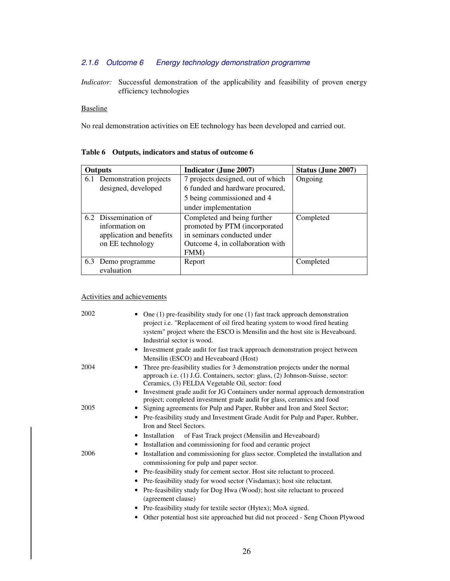# 2.1.6 Outcome 6 Energy technology demonstration programme

*Indicator:* Successful demonstration of the applicability and feasibility of proven energy efficiency technologies

# Baseline

No real demonstration activities on EE technology has been developed and carried out.

| <b>Outputs</b>             | <b>Indicator (June 2007)</b>      | Status (June 2007) |
|----------------------------|-----------------------------------|--------------------|
| 6.1 Demonstration projects | 7 projects designed, out of which | Ongoing            |
| designed, developed        | 6 funded and hardware procured,   |                    |
|                            | 5 being commissioned and 4        |                    |
|                            | under implementation              |                    |
| 6.2 Dissemination of       | Completed and being further       | Completed          |
| information on             | promoted by PTM (incorporated     |                    |
| application and benefits   | in seminars conducted under       |                    |
| on EE technology           | Outcome 4, in collaboration with  |                    |
|                            | FMM)                              |                    |
| 6.3<br>Demo programme      | Report                            | Completed          |
| evaluation                 |                                   |                    |

# **Table 6 Outputs, indicators and status of outcome 6**

# Activities and achievements

| 2002 | One $(1)$ pre-feasibility study for one $(1)$ fast track approach demonstration<br>project i.e. "Replacement of oil fired heating system to wood fired heating<br>system" project where the ESCO is Mensilin and the host site is Heveaboard.<br>Industrial sector is wood. |
|------|-----------------------------------------------------------------------------------------------------------------------------------------------------------------------------------------------------------------------------------------------------------------------------|
|      | • Investment grade audit for fast track approach demonstration project between<br>Mensilin (ESCO) and Heveaboard (Host)                                                                                                                                                     |
| 2004 | Three pre-feasibility studies for 3 demonstration projects under the normal<br>approach i.e. (1) J.G. Containers, sector: glass, (2) Johnson-Suisse, sector:<br>Ceramics, (3) FELDA Vegetable Oil, sector: food                                                             |
|      | Investment grade audit for JG Containers under normal approach demonstration<br>$\bullet$<br>project; completed investment grade audit for glass, ceramics and food                                                                                                         |
| 2005 | Signing agreements for Pulp and Paper, Rubber and Iron and Steel Sector;<br>$\bullet$<br>• Pre-feasibility study and Investment Grade Audit for Pulp and Paper, Rubber,                                                                                                     |
|      | Iron and Steel Sectors.                                                                                                                                                                                                                                                     |
|      | Installation<br>of Fast Track project (Mensilin and Heveaboard)<br>$\bullet$                                                                                                                                                                                                |
|      | Installation and commissioning for food and ceramic project<br>٠                                                                                                                                                                                                            |
| 2006 | Installation and commissioning for glass sector. Completed the installation and<br>٠<br>commissioning for pulp and paper sector.                                                                                                                                            |
|      | • Pre-feasibility study for cement sector. Host site reluctant to proceed.                                                                                                                                                                                                  |
|      | Pre-feasibility study for wood sector (Visdamax); host site reluctant.<br>$\bullet$                                                                                                                                                                                         |
|      | Pre-feasibility study for Dog Hwa (Wood); host site reluctant to proceed<br>$\bullet$<br>(agreement clause)                                                                                                                                                                 |
|      | • Pre-feasibility study for textile sector (Hytex); MoA signed.                                                                                                                                                                                                             |
|      | Other potential host site approached but did not proceed - Seng Choon Plywood<br>٠                                                                                                                                                                                          |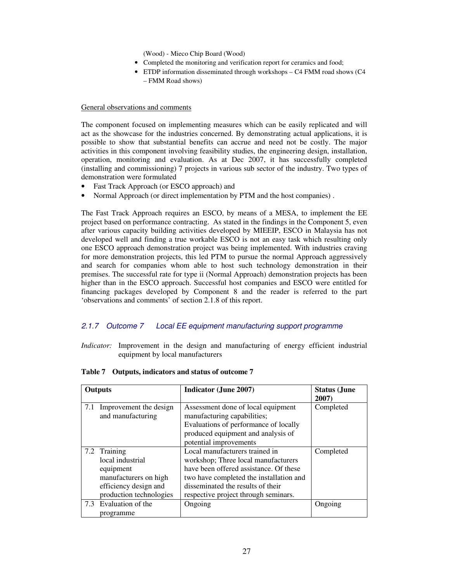(Wood) - Mieco Chip Board (Wood)

- Completed the monitoring and verification report for ceramics and food;
- ETDP information disseminated through workshops C4 FMM road shows (C4 – FMM Road shows)

### General observations and comments

The component focused on implementing measures which can be easily replicated and will act as the showcase for the industries concerned. By demonstrating actual applications, it is possible to show that substantial benefits can accrue and need not be costly. The major activities in this component involving feasibility studies, the engineering design, installation, operation, monitoring and evaluation. As at Dec 2007, it has successfully completed (installing and commissioning) 7 projects in various sub sector of the industry. Two types of demonstration were formulated

- Fast Track Approach (or ESCO approach) and
- Normal Approach (or direct implementation by PTM and the host companies).

The Fast Track Approach requires an ESCO, by means of a MESA, to implement the EE project based on performance contracting. As stated in the findings in the Component 5, even after various capacity building activities developed by MIEEIP, ESCO in Malaysia has not developed well and finding a true workable ESCO is not an easy task which resulting only one ESCO approach demonstration project was being implemented. With industries craving for more demonstration projects, this led PTM to pursue the normal Approach aggressively and search for companies whom able to host such technology demonstration in their premises. The successful rate for type ii (Normal Approach) demonstration projects has been higher than in the ESCO approach. Successful host companies and ESCO were entitled for financing packages developed by Component 8 and the reader is referred to the part 'observations and comments' of section 2.1.8 of this report.

# 2.1.7 Outcome 7 Local EE equipment manufacturing support programme

*Indicator:* Improvement in the design and manufacturing of energy efficient industrial equipment by local manufacturers

| Outputs |                                                                                                                            | <b>Indicator (June 2007)</b>                                                                                                                                                                                                            | <b>Status (June</b><br>2007) |
|---------|----------------------------------------------------------------------------------------------------------------------------|-----------------------------------------------------------------------------------------------------------------------------------------------------------------------------------------------------------------------------------------|------------------------------|
| 7.1     | Improvement the design<br>and manufacturing                                                                                | Assessment done of local equipment<br>manufacturing capabilities;<br>Evaluations of performance of locally<br>produced equipment and analysis of<br>potential improvements                                                              | Completed                    |
|         | 7.2 Training<br>local industrial<br>equipment<br>manufacturers on high<br>efficiency design and<br>production technologies | Local manufacturers trained in<br>workshop; Three local manufacturers<br>have been offered assistance. Of these<br>two have completed the installation and<br>disseminated the results of their<br>respective project through seminars. | Completed                    |
|         | 7.3 Evaluation of the<br>programme                                                                                         | Ongoing                                                                                                                                                                                                                                 | Ongoing                      |

|  | Table 7 Outputs, indicators and status of outcome 7 |  |
|--|-----------------------------------------------------|--|
|  |                                                     |  |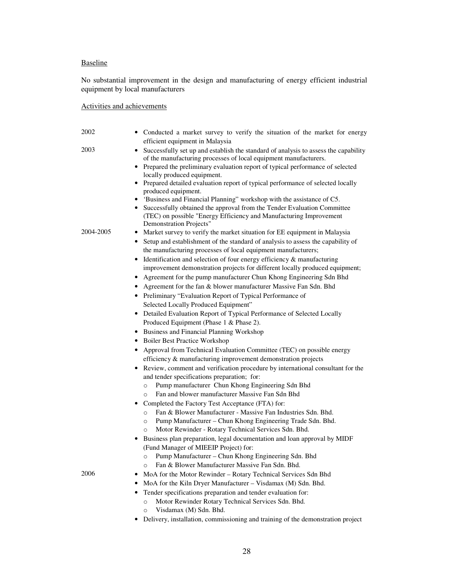# Baseline

No substantial improvement in the design and manufacturing of energy efficient industrial equipment by local manufacturers

# Activities and achievements

| 2002      | • Conducted a market survey to verify the situation of the market for energy                                                                            |
|-----------|---------------------------------------------------------------------------------------------------------------------------------------------------------|
|           | efficient equipment in Malaysia                                                                                                                         |
| 2003      | Successfully set up and establish the standard of analysis to assess the capability<br>of the manufacturing processes of local equipment manufacturers. |
|           | Prepared the preliminary evaluation report of typical performance of selected                                                                           |
|           | locally produced equipment.                                                                                                                             |
|           | • Prepared detailed evaluation report of typical performance of selected locally                                                                        |
|           | produced equipment.                                                                                                                                     |
|           | • 'Business and Financial Planning'' workshop with the assistance of C5.<br>• Successfully obtained the approval from the Tender Evaluation Committee   |
|           | (TEC) on possible "Energy Efficiency and Manufacturing Improvement<br>Demonstration Projects"                                                           |
| 2004-2005 | Market survey to verify the market situation for EE equipment in Malaysia<br>$\bullet$                                                                  |
|           |                                                                                                                                                         |
|           | Setup and establishment of the standard of analysis to assess the capability of<br>$\bullet$                                                            |
|           | the manufacturing processes of local equipment manufacturers;                                                                                           |
|           | Identification and selection of four energy efficiency & manufacturing<br>$\bullet$                                                                     |
|           | improvement demonstration projects for different locally produced equipment;                                                                            |
|           | Agreement for the pump manufacturer Chun Khong Engineering Sdn Bhd                                                                                      |
|           | • Agreement for the fan & blower manufacturer Massive Fan Sdn. Bhd                                                                                      |
|           | • Preliminary "Evaluation Report of Typical Performance of                                                                                              |
|           | Selected Locally Produced Equipment"                                                                                                                    |
|           | • Detailed Evaluation Report of Typical Performance of Selected Locally                                                                                 |
|           | Produced Equipment (Phase 1 & Phase 2).                                                                                                                 |
|           | • Business and Financial Planning Workshop                                                                                                              |
|           | • Boiler Best Practice Workshop                                                                                                                         |
|           | Approval from Technical Evaluation Committee (TEC) on possible energy                                                                                   |
|           | efficiency & manufacturing improvement demonstration projects                                                                                           |
|           | • Review, comment and verification procedure by international consultant for the                                                                        |
|           | and tender specifications preparation; for:                                                                                                             |
|           | Pump manufacturer Chun Khong Engineering Sdn Bhd<br>$\circ$                                                                                             |
|           | Fan and blower manufacturer Massive Fan Sdn Bhd<br>$\circ$                                                                                              |
|           | Completed the Factory Test Acceptance (FTA) for:<br>٠                                                                                                   |
|           | Fan & Blower Manufacturer - Massive Fan Industries Sdn. Bhd.<br>$\circ$                                                                                 |
|           | Pump Manufacturer - Chun Khong Engineering Trade Sdn. Bhd.<br>$\circ$                                                                                   |
|           | Motor Rewinder - Rotary Technical Services Sdn. Bhd.<br>$\circ$                                                                                         |
|           | Business plan preparation, legal documentation and loan approval by MIDF                                                                                |
|           | (Fund Manager of MIEEIP Project) for:                                                                                                                   |
|           | o Pump Manufacturer – Chun Khong Engineering Sdn. Bhd                                                                                                   |
|           | Fan & Blower Manufacturer Massive Fan Sdn. Bhd.                                                                                                         |
| 2006      |                                                                                                                                                         |
|           | MoA for the Motor Rewinder - Rotary Technical Services Sdn Bhd<br>٠                                                                                     |
|           | MoA for the Kiln Dryer Manufacturer - Visdamax (M) Sdn. Bhd.<br>٠                                                                                       |
|           | Tender specifications preparation and tender evaluation for:<br>٠                                                                                       |
|           | Motor Rewinder Rotary Technical Services Sdn. Bhd.<br>$\circ$                                                                                           |
|           | Visdamax (M) Sdn. Bhd.<br>$\circ$                                                                                                                       |
|           | Delivery, installation, commissioning and training of the demonstration project<br>٠                                                                    |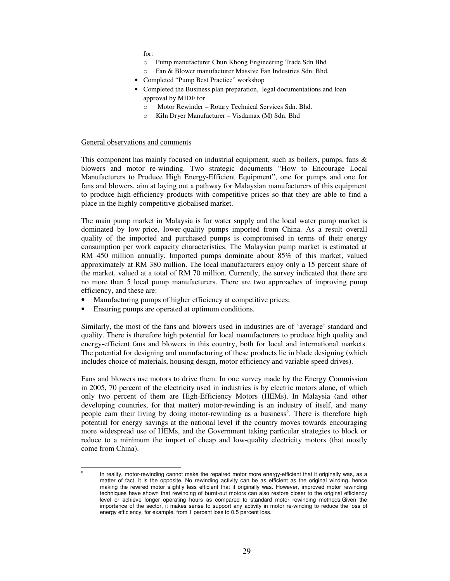for:

- o Pump manufacturer Chun Khong Engineering Trade Sdn Bhd
- o Fan & Blower manufacturer Massive Fan Industries Sdn. Bhd.
- Completed "Pump Best Practice" workshop
- Completed the Business plan preparation, legal documentations and loan approval by MIDF for
	- o Motor Rewinder Rotary Technical Services Sdn. Bhd.
	- o Kiln Dryer Manufacturer Visdamax (M) Sdn. Bhd

#### General observations and comments

This component has mainly focused on industrial equipment, such as boilers, pumps, fans & blowers and motor re-winding. Two strategic documents "How to Encourage Local Manufacturers to Produce High Energy-Efficient Equipment", one for pumps and one for fans and blowers, aim at laying out a pathway for Malaysian manufacturers of this equipment to produce high-efficiency products with competitive prices so that they are able to find a place in the highly competitive globalised market.

The main pump market in Malaysia is for water supply and the local water pump market is dominated by low-price, lower-quality pumps imported from China. As a result overall quality of the imported and purchased pumps is compromised in terms of their energy consumption per work capacity characteristics. The Malaysian pump market is estimated at RM 450 million annually. Imported pumps dominate about 85% of this market, valued approximately at RM 380 million. The local manufacturers enjoy only a 15 percent share of the market, valued at a total of RM 70 million. Currently, the survey indicated that there are no more than 5 local pump manufacturers. There are two approaches of improving pump efficiency, and these are:

- Manufacturing pumps of higher efficiency at competitive prices;
- Ensuring pumps are operated at optimum conditions.

-8

Similarly, the most of the fans and blowers used in industries are of 'average' standard and quality. There is therefore high potential for local manufacturers to produce high quality and energy-efficient fans and blowers in this country, both for local and international markets. The potential for designing and manufacturing of these products lie in blade designing (which includes choice of materials, housing design, motor efficiency and variable speed drives).

Fans and blowers use motors to drive them. In one survey made by the Energy Commission in 2005, 70 percent of the electricity used in industries is by electric motors alone, of which only two percent of them are High-Efficiency Motors (HEMs). In Malaysia (and other developing countries, for that matter) motor-rewinding is an industry of itself, and many people earn their living by doing motor-rewinding as a business<sup>8</sup>. There is therefore high potential for energy savings at the national level if the country moves towards encouraging more widespread use of HEMs, and the Government taking particular strategies to block or reduce to a minimum the import of cheap and low-quality electricity motors (that mostly come from China).

In reality, motor-rewinding cannot make the repaired motor more energy-efficient that it originally was, as a matter of fact, it is the opposite. No rewinding activity can be as efficient as the original winding, hence making the rewired motor slightly less efficient that it originally was. However, improved motor rewinding techniques have shown that rewinding of burnt-out motors can also restore closer to the original efficiency level or achieve longer operating hours as compared to standard motor rewinding methods.Given the importance of the sector, it makes sense to support any activity in motor re-winding to reduce the loss of energy efficiency, for example, from 1 percent loss to 0.5 percent loss.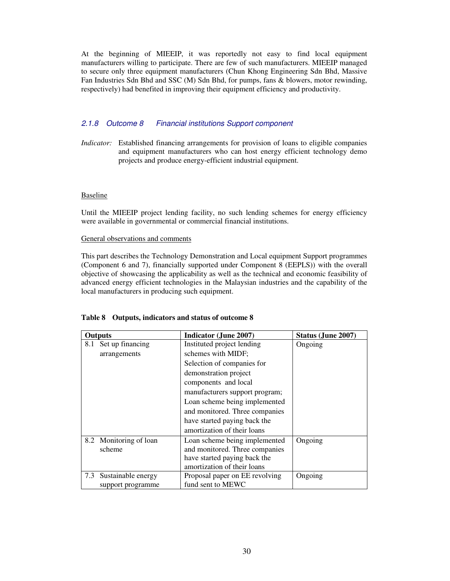At the beginning of MIEEIP, it was reportedly not easy to find local equipment manufacturers willing to participate. There are few of such manufacturers. MIEEIP managed to secure only three equipment manufacturers (Chun Khong Engineering Sdn Bhd, Massive Fan Industries Sdn Bhd and SSC (M) Sdn Bhd, for pumps, fans & blowers, motor rewinding, respectively) had benefited in improving their equipment efficiency and productivity.

# 2.1.8 Outcome 8 Financial institutions Support component

*Indicator:* Established financing arrangements for provision of loans to eligible companies and equipment manufacturers who can host energy efficient technology demo projects and produce energy-efficient industrial equipment.

### Baseline

Until the MIEEIP project lending facility, no such lending schemes for energy efficiency were available in governmental or commercial financial institutions.

General observations and comments

This part describes the Technology Demonstration and Local equipment Support programmes (Component 6 and 7), financially supported under Component 8 (EEPLS)) with the overall objective of showcasing the applicability as well as the technical and economic feasibility of advanced energy efficient technologies in the Malaysian industries and the capability of the local manufacturers in producing such equipment.

| <b>Outputs</b>            | <b>Indicator (June 2007)</b>   | Status (June 2007) |  |  |
|---------------------------|--------------------------------|--------------------|--|--|
| Set up financing<br>8.1   | Instituted project lending     | Ongoing            |  |  |
| arrangements              | schemes with MIDF;             |                    |  |  |
|                           | Selection of companies for     |                    |  |  |
|                           | demonstration project          |                    |  |  |
|                           | components and local           |                    |  |  |
|                           | manufacturers support program; |                    |  |  |
|                           | Loan scheme being implemented  |                    |  |  |
|                           | and monitored. Three companies |                    |  |  |
|                           | have started paying back the   |                    |  |  |
|                           | amortization of their loans    |                    |  |  |
| 8.2 Monitoring of loan    | Loan scheme being implemented  | Ongoing            |  |  |
| scheme                    | and monitored. Three companies |                    |  |  |
|                           | have started paying back the   |                    |  |  |
|                           | amortization of their loans    |                    |  |  |
| Sustainable energy<br>7.3 | Proposal paper on EE revolving | Ongoing            |  |  |
| support programme         | fund sent to MEWC              |                    |  |  |

### **Table 8 Outputs, indicators and status of outcome 8**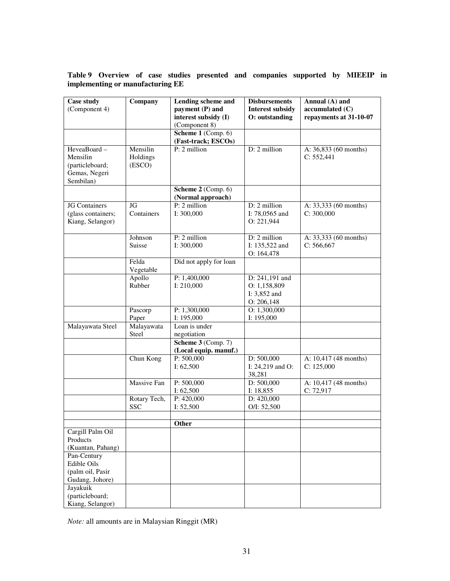# **Table 9 Overview of case studies presented and companies supported by MIEEIP in implementing or manufacturing EE**

| <b>Case study</b><br>(Component 4)                                                                  | Company                        | <b>Lending scheme and</b><br>payment (P) and<br>interest subsidy (I)<br>(Component 8) | <b>Disbursements</b><br><b>Interest subsidy</b><br>O: outstanding | Annual (A) and<br>accumulated (C)<br>repayments at 31-10-07 |
|-----------------------------------------------------------------------------------------------------|--------------------------------|---------------------------------------------------------------------------------------|-------------------------------------------------------------------|-------------------------------------------------------------|
|                                                                                                     |                                | Scheme 1 (Comp. 6)<br>(Fast-track; ESCOs)                                             |                                                                   |                                                             |
| HeveaBoard-<br>Mensilin<br>(particleboard;<br>Gemas, Negeri<br>Sembilan)                            | Mensilin<br>Holdings<br>(ESCO) | P: 2 million                                                                          | D: 2 million                                                      | A: 36,833 (60 months)<br>C: 552,441                         |
|                                                                                                     |                                | Scheme 2 (Comp. 6)<br>(Normal approach)                                               |                                                                   |                                                             |
| <b>JG</b> Containers<br>(glass containers;<br>Kiang, Selangor)                                      | JG<br>Containers               | $P: 2$ million<br>I: 300,000                                                          | $D: 2$ million<br>I: 78,0565 and<br>O: 221,944                    | A: 33,333 (60 months)<br>C: 300,000                         |
|                                                                                                     | Johnson<br>Suisse              | P: 2 million<br>I: 300,000                                                            | D: 2 million<br>I: 135,522 and<br>O: 164,478                      | A: 33,333 (60 months)<br>C: 566, 667                        |
|                                                                                                     | Felda<br>Vegetable             | Did not apply for loan                                                                |                                                                   |                                                             |
|                                                                                                     | Apollo<br>Rubber               | P: 1,400,000<br>I: 210,000                                                            | D: 241,191 and<br>O: 1,158,809<br>I: 3,852 and<br>O: 206,148      |                                                             |
|                                                                                                     | Pascorp<br>Paper               | P: 1,300,000<br>I: 195,000                                                            | O: 1,300,000<br>I: 195,000                                        |                                                             |
| Malayawata Steel                                                                                    | Malayawata<br>Steel            | Loan is under<br>negotiation<br>Scheme $3$ (Comp. 7)                                  |                                                                   |                                                             |
|                                                                                                     |                                | (Local equip. manuf.)                                                                 |                                                                   |                                                             |
|                                                                                                     | Chun Kong                      | P: 500,000<br>I: $62,500$                                                             | D: 500,000<br>I: $24,219$ and O:<br>38,281                        | A: 10,417 (48 months)<br>C: 125,000                         |
|                                                                                                     | Massive Fan                    | P: 500,000<br>I: $62,500$                                                             | D: 500,000<br>I: $18,855$                                         | A: 10,417 (48 months)<br>C: 72,917                          |
|                                                                                                     | Rotary Tech,<br><b>SSC</b>     | P: 420,000<br>I: $52,500$                                                             | D: 420,000<br>O/I: 52,500                                         |                                                             |
|                                                                                                     |                                | Other                                                                                 |                                                                   |                                                             |
| Cargill Palm Oil<br>Products<br>(Kuantan, Pahang)<br>Pan-Century<br>Edible Oils<br>(palm oil, Pasir |                                |                                                                                       |                                                                   |                                                             |
| Gudang, Johore)<br>Jayakuik<br>(particleboard;<br>Kiang, Selangor)                                  |                                |                                                                                       |                                                                   |                                                             |

*Note:* all amounts are in Malaysian Ringgit (MR)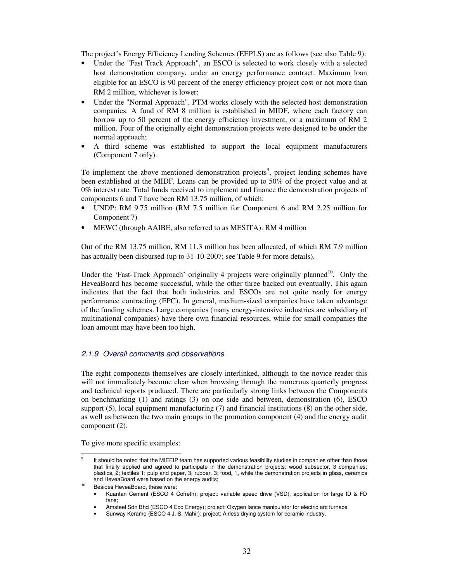The project's Energy Efficiency Lending Schemes (EEPLS) are as follows (see also Table 9):

- Under the "Fast Track Approach", an ESCO is selected to work closely with a selected host demonstration company, under an energy performance contract. Maximum loan eligible for an ESCO is 90 percent of the energy efficiency project cost or not more than RM 2 million, whichever is lower;
- Under the "Normal Approach", PTM works closely with the selected host demonstration companies. A fund of RM 8 million is established in MIDF, where each factory can borrow up to 50 percent of the energy efficiency investment, or a maximum of RM 2 million. Four of the originally eight demonstration projects were designed to be under the normal approach;
- A third scheme was established to support the local equipment manufacturers (Component 7 only).

To implement the above-mentioned demonstration projects<sup>9</sup>, project lending schemes have been established at the MIDF. Loans can be provided up to 50% of the project value and at 0% interest rate. Total funds received to implement and finance the demonstration projects of components 6 and 7 have been RM 13.75 million, of which:

- UNDP: RM 9.75 million (RM 7.5 million for Component 6 and RM 2.25 million for Component 7)
- MEWC (through AAIBE, also referred to as MESITA): RM 4 million

Out of the RM 13.75 million, RM 11.3 million has been allocated, of which RM 7.9 million has actually been disbursed (up to 31-10-2007; see Table 9 for more details).

Under the 'Fast-Track Approach' originally 4 projects were originally planned<sup>10</sup>. Only the HeveaBoard has become successful, while the other three backed out eventually. This again indicates that the fact that both industries and ESCOs are not quite ready for energy performance contracting (EPC). In general, medium-sized companies have taken advantage of the funding schemes. Large companies (many energy-intensive industries are subsidiary of multinational companies) have there own financial resources, while for small companies the loan amount may have been too high.

# 2.1.9 Overall comments and observations

The eight components themselves are closely interlinked, although to the novice reader this will not immediately become clear when browsing through the numerous quarterly progress and technical reports produced. There are particularly strong links between the Components on benchmarking (1) and ratings (3) on one side and between, demonstration (6), ESCO support (5), local equipment manufacturing (7) and financial institutions (8) on the other side, as well as between the two main groups in the promotion component (4) and the energy audit component (2).

To give more specific examples:

<sup>-&</sup>lt;br>9 It should be noted that the MIEEIP team has supported various feasibility studies in companies other than those that finally applied and agreed to participate in the demonstration projects: wood subsector, 3 companies; plastics, 2; textiles 1; pulp and paper, 3; rubber, 3; food, 1, while the demonstration projects in glass, ceramics and HeveaBoard were based on the energy audits;

<sup>10</sup> Besides HeveaBoard, these were:

<sup>•</sup> Kuantan Cement (ESCO 4 Cofreth); project: variable speed drive (VSD), application for large ID & FD fans;

<sup>•</sup> Amsteel Sdn Bhd (ESCO 4 Eco Energy); project: Oxygen lance manipulator for electric arc furnace

<sup>•</sup> Sunway Keramo (ESCO 4 J. S. Mahir); project: Airless drying system for ceramic industry.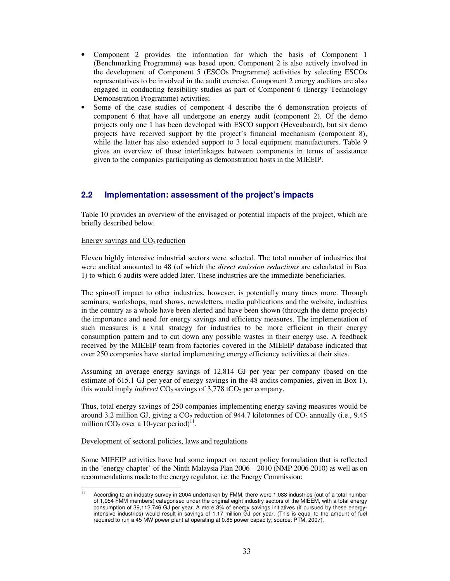- Component 2 provides the information for which the basis of Component 1 (Benchmarking Programme) was based upon. Component 2 is also actively involved in the development of Component 5 (ESCOs Programme) activities by selecting ESCOs representatives to be involved in the audit exercise. Component 2 energy auditors are also engaged in conducting feasibility studies as part of Component 6 (Energy Technology Demonstration Programme) activities;
- Some of the case studies of component 4 describe the 6 demonstration projects of component 6 that have all undergone an energy audit (component 2). Of the demo projects only one 1 has been developed with ESCO support (Heveaboard), but six demo projects have received support by the project's financial mechanism (component 8), while the latter has also extended support to 3 local equipment manufacturers. Table 9 gives an overview of these interlinkages between components in terms of assistance given to the companies participating as demonstration hosts in the MIEEIP.

# **2.2 Implementation: assessment of the project's impacts**

Table 10 provides an overview of the envisaged or potential impacts of the project, which are briefly described below.

### Energy savings and  $CO<sub>2</sub>$  reduction

Eleven highly intensive industrial sectors were selected. The total number of industries that were audited amounted to 48 (of which the *direct emission reductions* are calculated in Box 1) to which 6 audits were added later. These industries are the immediate beneficiaries.

The spin-off impact to other industries, however, is potentially many times more. Through seminars, workshops, road shows, newsletters, media publications and the website, industries in the country as a whole have been alerted and have been shown (through the demo projects) the importance and need for energy savings and efficiency measures. The implementation of such measures is a vital strategy for industries to be more efficient in their energy consumption pattern and to cut down any possible wastes in their energy use. A feedback received by the MIEEIP team from factories covered in the MIEEIP database indicated that over 250 companies have started implementing energy efficiency activities at their sites.

Assuming an average energy savings of 12,814 GJ per year per company (based on the estimate of 615.1 GJ per year of energy savings in the 48 audits companies, given in Box 1), this would imply *indirect*  $CO_2$  savings of 3,778 tCO<sub>2</sub> per company.

Thus, total energy savings of 250 companies implementing energy saving measures would be around 3.2 million GJ, giving a  $CO_2$  reduction of 944.7 kilotonnes of  $CO_2$  annually (i.e., 9.45) million tCO<sub>2</sub> over a 10-year period)<sup>11</sup>.

### Development of sectoral policies, laws and regulations

Some MIEEIP activities have had some impact on recent policy formulation that is reflected in the 'energy chapter' of the Ninth Malaysia Plan 2006 – 2010 (NMP 2006-2010) as well as on recommendations made to the energy regulator, i.e. the Energy Commission:

 $11$ According to an industry survey in 2004 undertaken by FMM, there were 1,088 industries (out of a total number of 1,954 FMM members) categorised under the original eight industry sectors of the MIEEM, with a total energy consumption of 39,112,746 GJ per year. A mere 3% of energy savings initiatives (if pursued by these energyintensive industries) would result in savings of 1.17 million GJ per year. (This is equal to the amount of fuel required to run a 45 MW power plant at operating at 0.85 power capacity; source: PTM, 2007).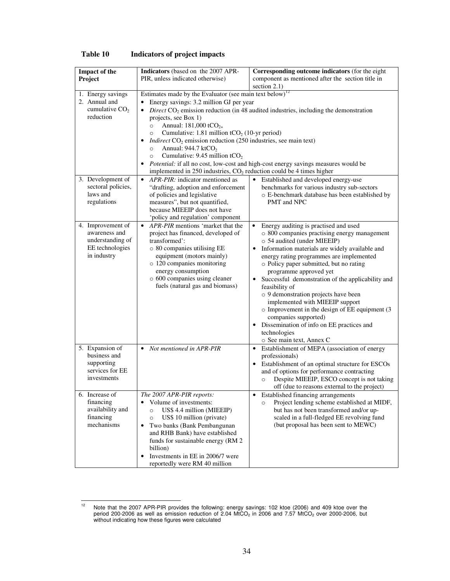| <b>Impact of the</b><br>Project                                                          | Indicators (based on the 2007 APR-<br>PIR, unless indicated otherwise)                                                                                                                                                                                                                                                                                                                                                                                                                                                                                                      | Corresponding outcome indicators (for the eight<br>component as mentioned after the section title in<br>section $2.1$ )                                                                                                                                                                                                                                                                                                                                                                                                                                                                                                                                          |  |  |  |
|------------------------------------------------------------------------------------------|-----------------------------------------------------------------------------------------------------------------------------------------------------------------------------------------------------------------------------------------------------------------------------------------------------------------------------------------------------------------------------------------------------------------------------------------------------------------------------------------------------------------------------------------------------------------------------|------------------------------------------------------------------------------------------------------------------------------------------------------------------------------------------------------------------------------------------------------------------------------------------------------------------------------------------------------------------------------------------------------------------------------------------------------------------------------------------------------------------------------------------------------------------------------------------------------------------------------------------------------------------|--|--|--|
| 1. Energy savings<br>2. Annual and<br>cumulative $CO2$<br>reduction                      | Estimates made by the Evaluator (see main text below) <sup>12</sup><br>Energy savings: 3.2 million GJ per year<br>$\bullet$<br>projects, see Box 1)<br>Annual: $181,000$ tCO <sub>2+</sub><br>$\circ$<br>Cumulative: $1.81$ million tCO <sub>2</sub> (10-yr period)<br>$\circ$<br><i>Indirect</i> $CO_2$ emission reduction (250 industries, see main text)<br>$\bullet$<br>Annual: $944.7$ ktCO <sub>2</sub><br>$\circ$<br>Cumulative: $9.45$ million tCO <sub>2</sub><br>$\circ$<br>$\bullet$<br>implemented in $250$ industries, $CO2$ reduction could be 4 times higher | Direct $CO_2$ emission reduction (in 48 audited industries, including the demonstration<br>Potential: if all no cost, low-cost and high-cost energy savings measures would be                                                                                                                                                                                                                                                                                                                                                                                                                                                                                    |  |  |  |
| 3. Development of<br>sectoral policies,<br>laws and<br>regulations                       | APR-PIR: indicator mentioned as<br>$\bullet$<br>"drafting, adoption and enforcement<br>of policies and legislative<br>measures", but not quantified,<br>because MIEEIP does not have<br>'policy and regulation' component                                                                                                                                                                                                                                                                                                                                                   | Established and developed energy-use<br>$\bullet$<br>benchmarks for various industry sub-sectors<br>o E-benchmark database has been established by<br>PMT and NPC                                                                                                                                                                                                                                                                                                                                                                                                                                                                                                |  |  |  |
| 4. Improvement of<br>awareness and<br>understanding of<br>EE technologies<br>in industry | APR-PIR mentions 'market that the<br>$\bullet$<br>project has financed, developed of<br>transformed':<br>o 80 companies utilising EE<br>equipment (motors mainly)<br>o 120 companies monitoring<br>energy consumption<br>o 600 companies using cleaner<br>fuels (natural gas and biomass)                                                                                                                                                                                                                                                                                   | Energy auditing is practised and used<br>$\bullet$<br>o 800 companies practising energy management<br>o 54 audited (under MIEEIP)<br>Information materials are widely available and<br>$\bullet$<br>energy rating programmes are implemented<br>o Policy paper submitted, but no rating<br>programme approved yet<br>$\bullet$<br>Successful demonstration of the applicability and<br>feasibility of<br>o 9 demonstration projects have been<br>implemented with MIEEIP support<br>o Improvement in the design of EE equipment (3<br>companies supported)<br>Dissemination of info on EE practices and<br>$\bullet$<br>technologies<br>o See main text, Annex C |  |  |  |
| 5. Expansion of<br>business and<br>supporting<br>services for EE<br>investments          | Not mentioned in APR-PIR<br>$\bullet$                                                                                                                                                                                                                                                                                                                                                                                                                                                                                                                                       | Establishment of MEPA (association of energy<br>$\bullet$<br>professionals)<br>Establishment of an optimal structure for ESCOs<br>$\bullet$<br>and of options for performance contracting<br>Despite MIEEIP, ESCO concept is not taking<br>$\circ$<br>off (due to reasons external to the project)                                                                                                                                                                                                                                                                                                                                                               |  |  |  |
| 6. Increase of<br>financing<br>availability and<br>financing<br>mechanisms               | The 2007 APR-PIR reports:<br>Volume of investments:<br>$\bullet$<br>US\$ 4.4 million (MIEEIP)<br>$\circ$<br>US\$ 10 million (private)<br>$\circ$<br>Two banks (Bank Pembangunan<br>$\bullet$<br>and RHB Bank) have established<br>funds for sustainable energy (RM 2)<br>billion)<br>Investments in EE in 2006/7 were<br>$\bullet$<br>reportedly were RM 40 million                                                                                                                                                                                                         | Established financing arrangements<br>٠<br>Project lending scheme established at MIDF,<br>$\circ$<br>but has not been transformed and/or up-<br>scaled in a full-fledged EE revolving fund<br>(but proposal has been sent to MEWC)                                                                                                                                                                                                                                                                                                                                                                                                                               |  |  |  |

# **Table 10 Indicators of project impacts**

 $12$ <sup>12</sup> Note that the 2007 APR-PIR provides the following: energy savings: 102 ktoe (2006) and 409 ktoe over the period 200-2006 as well as emission reduction of 2.04  $\text{MtCO}_2$  in 2006 and 7.57  $\text{MtCO}_2$  over 2000-2006, but without indicating how these figures were calculated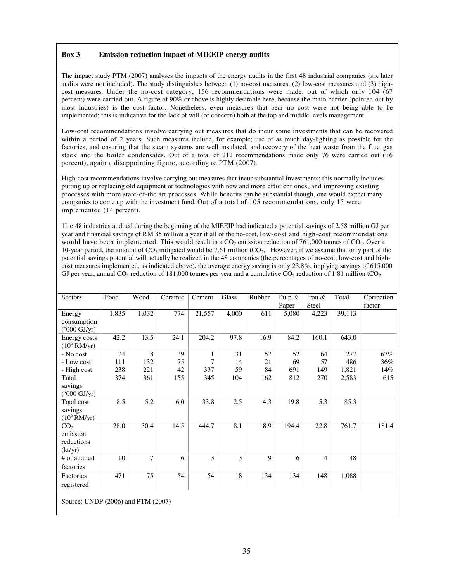# **Box 3 Emission reduction impact of MIEEIP energy audits**

The impact study PTM (2007) analyses the impacts of the energy audits in the first 48 industrial companies (six later audits were not included). The study distinguishes between (1) no-cost measures, (2) low-cost measures and (3) highcost measures. Under the no-cost category, 156 recommendations were made, out of which only 104 (67 percent) were carried out. A figure of 90% or above is highly desirable here, because the main barrier (pointed out by most industries) is the cost factor. Nonetheless, even measures that bear no cost were not being able to be implemented; this is indicative for the lack of will (or concern) both at the top and middle levels management.

Low-cost recommendations involve carrying out measures that do incur some investments that can be recovered within a period of 2 years. Such measures include, for example; use of as much day-lighting as possible for the factories, and ensuring that the steam systems are well insulated, and recovery of the heat waste from the flue gas stack and the boiler condensates. Out of a total of 212 recommendations made only 76 were carried out (36 percent), again a disappointing figure, according to PTM (2007).

High-cost recommendations involve carrying out measures that incur substantial investments; this normally includes putting up or replacing old equipment or technologies with new and more efficient ones, and improving existing processes with more state-of-the art processes. While benefits can be substantial though, one would expect many companies to come up with the investment fund. Out of a total of 105 recommendations, only 15 were implemented (14 percent).

The 48 industries audited during the beginning of the MIEEIP had indicated a potential savings of 2.58 million GJ per year and financial savings of RM 85 million a year if all of the no-cost, low-cost and high-cost recommendations would have been implemented. This would result in a CO<sub>2</sub> emission reduction of 761,000 tonnes of CO<sub>2</sub>. Over a 10-year period, the amount of  $CO_2$  mitigated would be 7.61 million tCO<sub>2</sub>. However, if we assume that only part of the potential savings potential will actually be realized in the 48 companies (the percentages of no-cost, low-cost and highcost measures implemented, as indicated above), the average energy saving is only 23.8%, implying savings of 615,000 GJ per year, annual  $CO_2$  reduction of 181,000 tonnes per year and a cumulative  $CO_2$  reduction of 1.81 million tCO<sub>2</sub>.

| Sectors                            | Food  | Wood  | Ceramic | Cement       | Glass           | Rubber      | Pulp $&$ | Iron $\&$      | Total  | Correction |
|------------------------------------|-------|-------|---------|--------------|-----------------|-------------|----------|----------------|--------|------------|
|                                    | 1,835 |       | 774     |              |                 |             | Paper    | <b>Steel</b>   |        | factor     |
| Energy                             |       | 1,032 |         | 21,557       | 4,000           | 611         | 5,080    | 4,223          | 39,113 |            |
| consumption                        |       |       |         |              |                 |             |          |                |        |            |
| ('000 GJ/yr)                       |       |       |         |              |                 |             |          |                |        |            |
| Energy costs                       | 42.2  | 13.5  | 24.1    | 204.2        | 97.8            | 16.9        | 84.2     | 160.1          | 643.0  |            |
| $(10^6 \text{ RM/yr})$             |       |       |         |              |                 |             |          |                |        |            |
| - No cost                          | 24    | 8     | 39      | $\mathbf{1}$ | 31              | 57          | 52       | 64             | 277    | 67%        |
| - Low cost                         | 111   | 132   | 75      | 7            | 14              | 21          | 69       | 57             | 486    | 36%        |
| - High cost                        | 238   | 221   | 42      | 337          | 59              | 84          | 691      | 149            | 1,821  | 14%        |
| Total                              | 374   | 361   | 155     | 345          | 104             | 162         | 812      | 270            | 2,583  | 615        |
| savings                            |       |       |         |              |                 |             |          |                |        |            |
| $(000 \text{ GJ/yr})$              |       |       |         |              |                 |             |          |                |        |            |
| Total cost                         | 8.5   | 5.2   | 6.0     | 33.8         | 2.5             | 4.3         | 19.8     | 5.3            | 85.3   |            |
| savings                            |       |       |         |              |                 |             |          |                |        |            |
| $(10^6$ RM/yr)                     |       |       |         |              |                 |             |          |                |        |            |
| CO <sub>2</sub>                    | 28.0  | 30.4  | 14.5    | 444.7        | 8.1             | 18.9        | 194.4    | 22.8           | 761.7  | 181.4      |
| emission                           |       |       |         |              |                 |             |          |                |        |            |
| reductions                         |       |       |         |              |                 |             |          |                |        |            |
| (kt/yr)                            |       |       |         |              |                 |             |          |                |        |            |
| # of audited                       | 10    | 7     | 6       | 3            | 3               | $\mathbf Q$ | 6        | $\overline{4}$ | 48     |            |
| factories                          |       |       |         |              |                 |             |          |                |        |            |
| Factories                          | 471   | 75    | 54      | 54           | $\overline{18}$ | 134         | 134      | 148            | 1,088  |            |
|                                    |       |       |         |              |                 |             |          |                |        |            |
| registered                         |       |       |         |              |                 |             |          |                |        |            |
|                                    |       |       |         |              |                 |             |          |                |        |            |
| Source: UNDP (2006) and PTM (2007) |       |       |         |              |                 |             |          |                |        |            |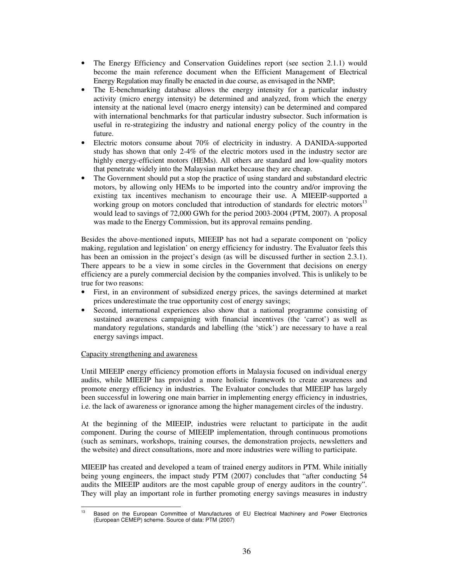- The Energy Efficiency and Conservation Guidelines report (see section 2.1.1) would become the main reference document when the Efficient Management of Electrical Energy Regulation may finally be enacted in due course, as envisaged in the NMP;
- The E-benchmarking database allows the energy intensity for a particular industry activity (micro energy intensity) be determined and analyzed, from which the energy intensity at the national level (macro energy intensity) can be determined and compared with international benchmarks for that particular industry subsector. Such information is useful in re-strategizing the industry and national energy policy of the country in the future.
- Electric motors consume about 70% of electricity in industry. A DANIDA-supported study has shown that only 2-4% of the electric motors used in the industry sector are highly energy-efficient motors (HEMs). All others are standard and low-quality motors that penetrate widely into the Malaysian market because they are cheap.
- The Government should put a stop the practice of using standard and substandard electric motors, by allowing only HEMs to be imported into the country and/or improving the existing tax incentives mechanism to encourage their use. A MIEEIP-supported a working group on motors concluded that introduction of standards for electric motors<sup>13</sup> would lead to savings of 72,000 GWh for the period 2003-2004 (PTM, 2007). A proposal was made to the Energy Commission, but its approval remains pending.

Besides the above-mentioned inputs, MIEEIP has not had a separate component on 'policy making, regulation and legislation' on energy efficiency for industry. The Evaluator feels this has been an omission in the project's design (as will be discussed further in section 2.3.1). There appears to be a view in some circles in the Government that decisions on energy efficiency are a purely commercial decision by the companies involved. This is unlikely to be true for two reasons:

- First, in an environment of subsidized energy prices, the savings determined at market prices underestimate the true opportunity cost of energy savings;
- Second, international experiences also show that a national programme consisting of sustained awareness campaigning with financial incentives (the 'carrot') as well as mandatory regulations, standards and labelling (the 'stick') are necessary to have a real energy savings impact.

# Capacity strengthening and awareness

Until MIEEIP energy efficiency promotion efforts in Malaysia focused on individual energy audits, while MIEEIP has provided a more holistic framework to create awareness and promote energy efficiency in industries. The Evaluator concludes that MIEEIP has largely been successful in lowering one main barrier in implementing energy efficiency in industries, i.e. the lack of awareness or ignorance among the higher management circles of the industry.

At the beginning of the MIEEIP, industries were reluctant to participate in the audit component. During the course of MIEEIP implementation, through continuous promotions (such as seminars, workshops, training courses, the demonstration projects, newsletters and the website) and direct consultations, more and more industries were willing to participate.

MIEEIP has created and developed a team of trained energy auditors in PTM. While initially being young engineers, the impact study PTM (2007) concludes that "after conducting 54 audits the MIEEIP auditors are the most capable group of energy auditors in the country". They will play an important role in further promoting energy savings measures in industry

 $13<sup>13</sup>$ <sup>13</sup> Based on the European Committee of Manufactures of EU Electrical Machinery and Power Electronics (European CEMEP) scheme. Source of data: PTM (2007)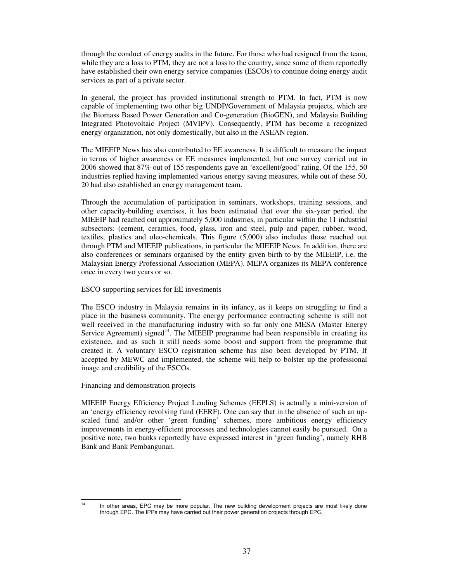through the conduct of energy audits in the future. For those who had resigned from the team, while they are a loss to PTM, they are not a loss to the country, since some of them reportedly have established their own energy service companies (ESCOs) to continue doing energy audit services as part of a private sector.

In general, the project has provided institutional strength to PTM. In fact, PTM is now capable of implementing two other big UNDP/Government of Malaysia projects, which are the Biomass Based Power Generation and Co-generation (BioGEN), and Malaysia Building Integrated Photovoltaic Project (MVIPV). Consequently, PTM has become a recognized energy organization, not only domestically, but also in the ASEAN region.

The MIEEIP News has also contributed to EE awareness. It is difficult to measure the impact in terms of higher awareness or EE measures implemented, but one survey carried out in 2006 showed that 87% out of 155 respondents gave an 'excellent/good' rating, Of the 155, 50 industries replied having implemented various energy saving measures, while out of these 50, 20 had also established an energy management team.

Through the accumulation of participation in seminars, workshops, training sessions, and other capacity-building exercises, it has been estimated that over the six-year period, the MIEEIP had reached out approximately 5,000 industries, in particular within the 11 industrial subsectors: (cement, ceramics, food, glass, iron and steel, pulp and paper, rubber, wood, textiles, plastics and oleo-chemicals. This figure (5,000) also includes those reached out through PTM and MIEEIP publications, in particular the MIEEIP News. In addition, there are also conferences or seminars organised by the entity given birth to by the MIEEIP, i.e. the Malaysian Energy Professional Association (MEPA). MEPA organizes its MEPA conference once in every two years or so.

### ESCO supporting services for EE investments

The ESCO industry in Malaysia remains in its infancy, as it keeps on struggling to find a place in the business community. The energy performance contracting scheme is still not well received in the manufacturing industry with so far only one MESA (Master Energy Service Agreement) signed<sup>14</sup>. The MIEEIP programme had been responsible in creating its existence, and as such it still needs some boost and support from the programme that created it. A voluntary ESCO registration scheme has also been developed by PTM. If accepted by MEWC and implemented, the scheme will help to bolster up the professional image and credibility of the ESCOs.

### Financing and demonstration projects

MIEEIP Energy Efficiency Project Lending Schemes (EEPLS) is actually a mini-version of an 'energy efficiency revolving fund (EERF). One can say that in the absence of such an upscaled fund and/or other 'green funding' schemes, more ambitious energy efficiency improvements in energy-efficient processes and technologies cannot easily be pursued. On a positive note, two banks reportedly have expressed interest in 'green funding', namely RHB Bank and Bank Pembangunan.

 $14$ In other areas, EPC may be more popular. The new building development projects are most likely done through EPC. The IPPs may have carried out their power generation projects through EPC.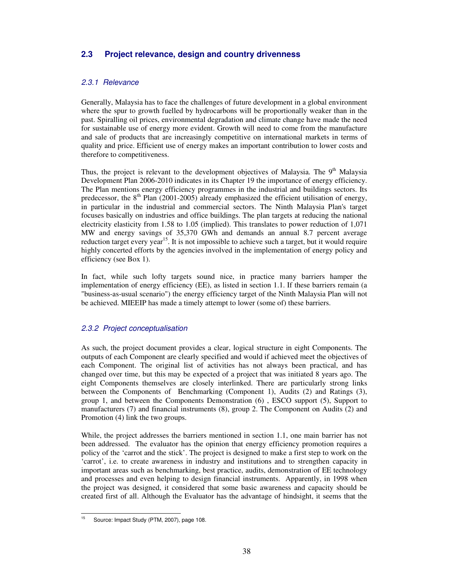# **2.3 Project relevance, design and country drivenness**

## 2.3.1 Relevance

Generally, Malaysia has to face the challenges of future development in a global environment where the spur to growth fuelled by hydrocarbons will be proportionally weaker than in the past. Spiralling oil prices, environmental degradation and climate change have made the need for sustainable use of energy more evident. Growth will need to come from the manufacture and sale of products that are increasingly competitive on international markets in terms of quality and price. Efficient use of energy makes an important contribution to lower costs and therefore to competitiveness.

Thus, the project is relevant to the development objectives of Malaysia. The  $9<sup>th</sup>$  Malaysia Development Plan 2006-2010 indicates in its Chapter 19 the importance of energy efficiency. The Plan mentions energy efficiency programmes in the industrial and buildings sectors. Its predecessor, the  $8<sup>th</sup>$  Plan (2001-2005) already emphasized the efficient utilisation of energy, in particular in the industrial and commercial sectors. The Ninth Malaysia Plan's target focuses basically on industries and office buildings. The plan targets at reducing the national electricity elasticity from 1.58 to 1.05 (implied). This translates to power reduction of 1,071 MW and energy savings of 35,370 GWh and demands an annual 8.7 percent average reduction target every year<sup>15</sup>. It is not impossible to achieve such a target, but it would require highly concerted efforts by the agencies involved in the implementation of energy policy and efficiency (see Box 1).

In fact, while such lofty targets sound nice, in practice many barriers hamper the implementation of energy efficiency (EE), as listed in section 1.1. If these barriers remain (a "business-as-usual scenario") the energy efficiency target of the Ninth Malaysia Plan will not be achieved. MIEEIP has made a timely attempt to lower (some of) these barriers.

## 2.3.2 Project conceptualisation

As such, the project document provides a clear, logical structure in eight Components. The outputs of each Component are clearly specified and would if achieved meet the objectives of each Component. The original list of activities has not always been practical, and has changed over time, but this may be expected of a project that was initiated 8 years ago. The eight Components themselves are closely interlinked. There are particularly strong links between the Components of Benchmarking (Component 1), Audits (2) and Ratings (3), group 1, and between the Components Demonstration (6) , ESCO support (5), Support to manufacturers (7) and financial instruments (8), group 2. The Component on Audits (2) and Promotion (4) link the two groups.

While, the project addresses the barriers mentioned in section 1.1, one main barrier has not been addressed. The evaluator has the opinion that energy efficiency promotion requires a policy of the 'carrot and the stick'. The project is designed to make a first step to work on the 'carrot', i.e. to create awareness in industry and institutions and to strengthen capacity in important areas such as benchmarking, best practice, audits, demonstration of EE technology and processes and even helping to design financial instruments. Apparently, in 1998 when the project was designed, it considered that some basic awareness and capacity should be created first of all. Although the Evaluator has the advantage of hindsight, it seems that the

 $15\,$ Source: Impact Study (PTM, 2007), page 108.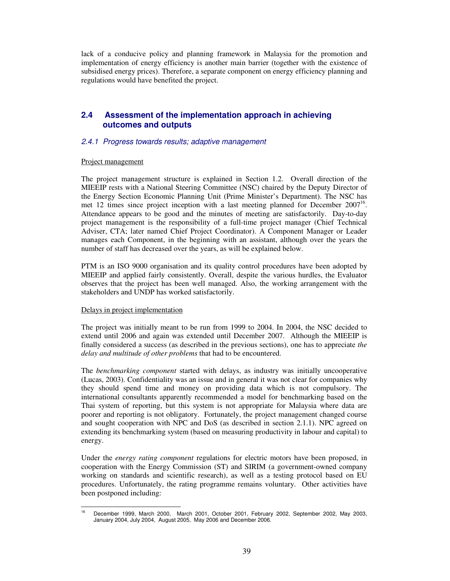lack of a conducive policy and planning framework in Malaysia for the promotion and implementation of energy efficiency is another main barrier (together with the existence of subsidised energy prices). Therefore, a separate component on energy efficiency planning and regulations would have benefited the project.

# **2.4 Assessment of the implementation approach in achieving outcomes and outputs**

### 2.4.1 Progress towards results; adaptive management

### Project management

The project management structure is explained in Section 1.2. Overall direction of the MIEEIP rests with a National Steering Committee (NSC) chaired by the Deputy Director of the Energy Section Economic Planning Unit (Prime Minister's Department). The NSC has met 12 times since project inception with a last meeting planned for December  $2007<sup>16</sup>$ . Attendance appears to be good and the minutes of meeting are satisfactorily. Day-to-day project management is the responsibility of a full-time project manager (Chief Technical Adviser, CTA; later named Chief Project Coordinator). A Component Manager or Leader manages each Component, in the beginning with an assistant, although over the years the number of staff has decreased over the years, as will be explained below.

PTM is an ISO 9000 organisation and its quality control procedures have been adopted by MIEEIP and applied fairly consistently. Overall, despite the various hurdles, the Evaluator observes that the project has been well managed. Also, the working arrangement with the stakeholders and UNDP has worked satisfactorily.

### Delays in project implementation

The project was initially meant to be run from 1999 to 2004. In 2004, the NSC decided to extend until 2006 and again was extended until December 2007. Although the MIEEIP is finally considered a success (as described in the previous sections), one has to appreciate *the delay and multitude of other problems* that had to be encountered.

The *benchmarking component* started with delays, as industry was initially uncooperative (Lucas, 2003). Confidentiality was an issue and in general it was not clear for companies why they should spend time and money on providing data which is not compulsory. The international consultants apparently recommended a model for benchmarking based on the Thai system of reporting, but this system is not appropriate for Malaysia where data are poorer and reporting is not obligatory. Fortunately, the project management changed course and sought cooperation with NPC and DoS (as described in section 2.1.1). NPC agreed on extending its benchmarking system (based on measuring productivity in labour and capital) to energy.

Under the *energy rating component* regulations for electric motors have been proposed, in cooperation with the Energy Commission (ST) and SIRIM (a government-owned company working on standards and scientific research), as well as a testing protocol based on EU procedures. Unfortunately, the rating programme remains voluntary. Other activities have been postponed including:

 $16$ <sup>16</sup> December 1999, March 2000, March 2001, October 2001, February 2002, September 2002, May 2003, January 2004, July 2004, August 2005, May 2006 and December 2006.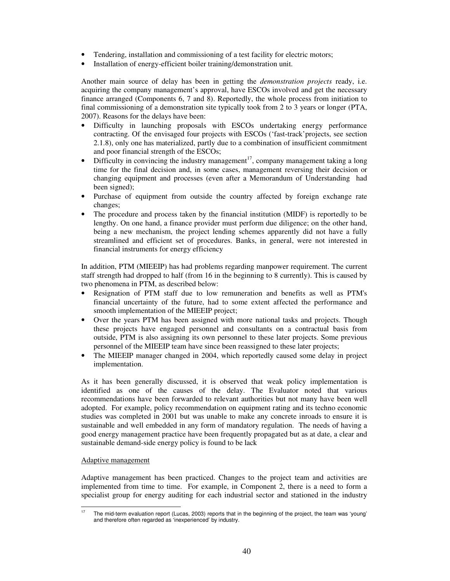- Tendering, installation and commissioning of a test facility for electric motors;
- Installation of energy-efficient boiler training/demonstration unit.

Another main source of delay has been in getting the *demonstration projects* ready, i.e. acquiring the company management's approval, have ESCOs involved and get the necessary finance arranged (Components 6, 7 and 8). Reportedly, the whole process from initiation to final commissioning of a demonstration site typically took from 2 to 3 years or longer (PTA, 2007). Reasons for the delays have been:

- Difficulty in launching proposals with ESCOs undertaking energy performance contracting. Of the envisaged four projects with ESCOs ('fast-track'projects, see section 2.1.8), only one has materialized, partly due to a combination of insufficient commitment and poor financial strength of the ESCOs;
- Difficulty in convincing the industry management<sup>17</sup>, company management taking a long time for the final decision and, in some cases, management reversing their decision or changing equipment and processes (even after a Memorandum of Understanding had been signed);
- Purchase of equipment from outside the country affected by foreign exchange rate changes;
- The procedure and process taken by the financial institution (MIDF) is reportedly to be lengthy. On one hand, a finance provider must perform due diligence; on the other hand, being a new mechanism, the project lending schemes apparently did not have a fully streamlined and efficient set of procedures. Banks, in general, were not interested in financial instruments for energy efficiency

In addition, PTM (MIEEIP) has had problems regarding manpower requirement. The current staff strength had dropped to half (from 16 in the beginning to 8 currently). This is caused by two phenomena in PTM, as described below:

- Resignation of PTM staff due to low remuneration and benefits as well as PTM's financial uncertainty of the future, had to some extent affected the performance and smooth implementation of the MIEEIP project;
- Over the years PTM has been assigned with more national tasks and projects. Though these projects have engaged personnel and consultants on a contractual basis from outside, PTM is also assigning its own personnel to these later projects. Some previous personnel of the MIEEIP team have since been reassigned to these later projects;
- The MIEEIP manager changed in 2004, which reportedly caused some delay in project implementation.

As it has been generally discussed, it is observed that weak policy implementation is identified as one of the causes of the delay. The Evaluator noted that various recommendations have been forwarded to relevant authorities but not many have been well adopted. For example, policy recommendation on equipment rating and its techno economic studies was completed in 2001 but was unable to make any concrete inroads to ensure it is sustainable and well embedded in any form of mandatory regulation. The needs of having a good energy management practice have been frequently propagated but as at date, a clear and sustainable demand-side energy policy is found to be lack

## Adaptive management

Adaptive management has been practiced. Changes to the project team and activities are implemented from time to time. For example, in Component 2, there is a need to form a specialist group for energy auditing for each industrial sector and stationed in the industry

 $17$ The mid-term evaluation report (Lucas, 2003) reports that in the beginning of the project, the team was 'young' and therefore often regarded as 'inexperienced' by industry.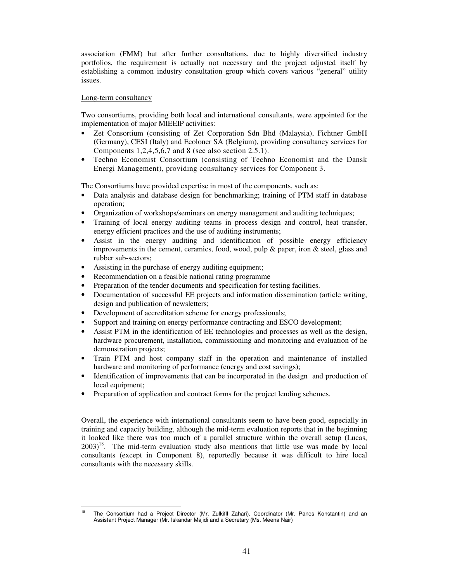association (FMM) but after further consultations, due to highly diversified industry portfolios, the requirement is actually not necessary and the project adjusted itself by establishing a common industry consultation group which covers various "general" utility issues.

### Long-term consultancy

Two consortiums, providing both local and international consultants, were appointed for the implementation of major MIEEIP activities:

- Zet Consortium (consisting of Zet Corporation Sdn Bhd (Malaysia), Fichtner GmbH (Germany), CESI (Italy) and Ecoloner SA (Belgium), providing consultancy services for Components 1,2,4,5,6,7 and 8 (see also section 2.5.1).
- Techno Economist Consortium (consisting of Techno Economist and the Dansk Energi Management), providing consultancy services for Component 3.

The Consortiums have provided expertise in most of the components, such as:

- Data analysis and database design for benchmarking; training of PTM staff in database operation;
- Organization of workshops/seminars on energy management and auditing techniques;
- Training of local energy auditing teams in process design and control, heat transfer, energy efficient practices and the use of auditing instruments;
- Assist in the energy auditing and identification of possible energy efficiency improvements in the cement, ceramics, food, wood, pulp  $\&$  paper, iron  $\&$  steel, glass and rubber sub-sectors;
- Assisting in the purchase of energy auditing equipment;
- Recommendation on a feasible national rating programme
- Preparation of the tender documents and specification for testing facilities.
- Documentation of successful EE projects and information dissemination (article writing, design and publication of newsletters;
- Development of accreditation scheme for energy professionals;
- Support and training on energy performance contracting and ESCO development;
- Assist PTM in the identification of EE technologies and processes as well as the design, hardware procurement, installation, commissioning and monitoring and evaluation of he demonstration projects;
- Train PTM and host company staff in the operation and maintenance of installed hardware and monitoring of performance (energy and cost savings);
- Identification of improvements that can be incorporated in the design and production of local equipment;
- Preparation of application and contract forms for the project lending schemes.

Overall, the experience with international consultants seem to have been good, especially in training and capacity building, although the mid-term evaluation reports that in the beginning it looked like there was too much of a parallel structure within the overall setup (Lucas,  $2003$ <sup>18</sup>. The mid-term evaluation study also mentions that little use was made by local consultants (except in Component 8), reportedly because it was difficult to hire local consultants with the necessary skills.

<sup>-</sup><sup>18</sup> The Consortium had a Project Director (Mr. ZulkiflI Zahari), Coordinator (Mr. Panos Konstantin) and an Assistant Project Manager (Mr. Iskandar Majidi and a Secretary (Ms. Meena Nair)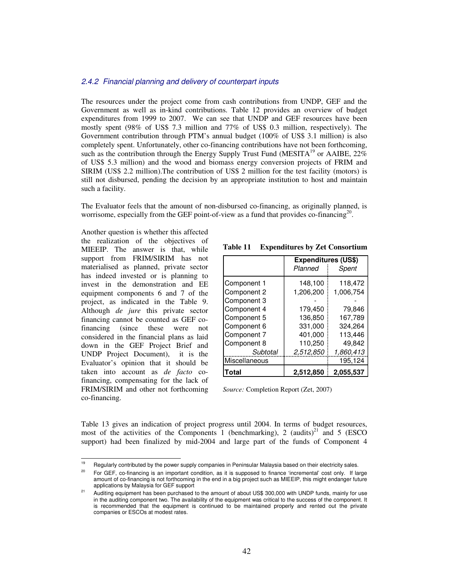### 2.4.2 Financial planning and delivery of counterpart inputs

The resources under the project come from cash contributions from UNDP, GEF and the Government as well as in-kind contributions. Table 12 provides an overview of budget expenditures from 1999 to 2007. We can see that UNDP and GEF resources have been mostly spent (98% of US\$ 7.3 million and 77% of US\$ 0.3 million, respectively). The Government contribution through PTM's annual budget (100% of US\$ 3.1 million) is also completely spent. Unfortunately, other co-financing contributions have not been forthcoming, such as the contribution through the Energy Supply Trust Fund (MESITA<sup>19</sup> or AAIBE,  $22\%$ of US\$ 5.3 million) and the wood and biomass energy conversion projects of FRIM and SIRIM (US\$ 2.2 million).The contribution of US\$ 2 million for the test facility (motors) is still not disbursed, pending the decision by an appropriate institution to host and maintain such a facility.

The Evaluator feels that the amount of non-disbursed co-financing, as originally planned, is worrisome, especially from the GEF point-of-view as a fund that provides co-financing<sup>20</sup>.

Another question is whether this affected the realization of the objectives of MIEEIP. The answer is that, while support from FRIM/SIRIM has not materialised as planned, private sector has indeed invested or is planning to invest in the demonstration and EE equipment components 6 and 7 of the project, as indicated in the Table 9. Although *de jure* this private sector financing cannot be counted as GEF cofinancing (since these were not considered in the financial plans as laid down in the GEF Project Brief and UNDP Project Document), it is the Evaluator's opinion that it should be taken into account as *de facto* cofinancing, compensating for the lack of FRIM/SIRIM and other not forthcoming co-financing.

| Table 11 | <b>Expenditures by Zet Consortium</b> |  |  |  |
|----------|---------------------------------------|--|--|--|
|----------|---------------------------------------|--|--|--|

|               | <b>Expenditures (US\$)</b> |           |  |  |  |
|---------------|----------------------------|-----------|--|--|--|
|               | Planned                    | Spent     |  |  |  |
| Component 1   | 148,100                    | 118,472   |  |  |  |
| Component 2   | 1,206,200                  | 1,006,754 |  |  |  |
| Component 3   |                            |           |  |  |  |
| Component 4   | 179,450                    | 79.846    |  |  |  |
| Component 5   | 136,850                    | 167,789   |  |  |  |
| Component 6   | 331,000                    | 324.264   |  |  |  |
| Component 7   | 401,000                    | 113,446   |  |  |  |
| Component 8   | 110.250                    | 49.842    |  |  |  |
| Subtotal      | 2,512,850                  | 1,860,413 |  |  |  |
| Miscellaneous |                            | 195,124   |  |  |  |
| Total         | 2,512,850                  | 2,055,537 |  |  |  |

*Source:* Completion Report (Zet, 2007)

Table 13 gives an indication of project progress until 2004. In terms of budget resources, most of the activities of the Components 1 (benchmarking), 2 (audits)<sup>21</sup> and 5 (ESCO support) had been finalized by mid-2004 and large part of the funds of Component 4

<sup>-</sup>Regularly contributed by the power supply companies in Peninsular Malaysia based on their electricity sales.

For GEF, co-financing is an important condition, as it is supposed to finance 'incremental' cost only. If large amount of co-financing is not forthcoming in the end in a big project such as MIEEIP, this might endanger future applications by Malaysia for GEF support

<sup>&</sup>lt;sup>21</sup> Auditing equipment has been purchased to the amount of about US\$ 300,000 with UNDP funds, mainly for use in the auditing component two. The availability of the equipment was critical to the success of the component. It is recommended that the equipment is continued to be maintained properly and rented out the private companies or ESCOs at modest rates.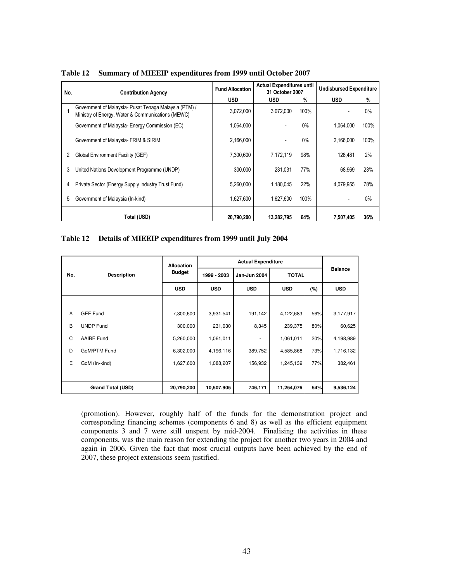| No.<br><b>Contribution Agency</b> |                                                                                                            | <b>Fund Allocation</b> | <b>Actual Expenditures until</b><br>31 October 2007 |       | <b>Undisbursed Expenditure</b> |       |
|-----------------------------------|------------------------------------------------------------------------------------------------------------|------------------------|-----------------------------------------------------|-------|--------------------------------|-------|
|                                   |                                                                                                            | <b>USD</b>             | <b>USD</b>                                          | %     | <b>USD</b>                     | %     |
|                                   | Government of Malaysia- Pusat Tenaga Malaysia (PTM) /<br>Ministry of Energy, Water & Communications (MEWC) | 3,072,000              | 3.072.000                                           | 100%  |                                | $0\%$ |
|                                   | Government of Malaysia- Energy Commission (EC)                                                             | 1,064,000              |                                                     | $0\%$ | 1.064.000                      | 100%  |
|                                   | Government of Malaysia- FRIM & SIRIM                                                                       | 2,166,000              |                                                     | $0\%$ | 2.166.000                      | 100%  |
| 2                                 | Global Environment Facility (GEF)                                                                          | 7,300,600              | 7,172,119                                           | 98%   | 128.481                        | 2%    |
| 3                                 | United Nations Development Programme (UNDP)                                                                | 300.000                | 231.031                                             | 77%   | 68.969                         | 23%   |
| 4                                 | Private Sector (Energy Supply Industry Trust Fund)                                                         | 5,260,000              | 1.180.045                                           | 22%   | 4.079.955                      | 78%   |
| 5                                 | Government of Malaysia (In-kind)                                                                           | 1,627,600              | 1.627.600                                           | 100%  |                                | $0\%$ |
|                                   | Total (USD)                                                                                                | 20.790.200             | 13.282.795                                          | 64%   | 7,507,405                      | 36%   |

**Table 12 Summary of MIEEIP expenditures from 1999 until October 2007** 

### **Table 12 Details of MIEEIP expenditures from 1999 until July 2004**

|     |                          | <b>Allocation</b> | <b>Actual Expenditure</b> |              |              |     |                |
|-----|--------------------------|-------------------|---------------------------|--------------|--------------|-----|----------------|
| No. | <b>Description</b>       | <b>Budget</b>     | 1999 - 2003               | Jan-Jun 2004 | <b>TOTAL</b> |     | <b>Balance</b> |
|     |                          | <b>USD</b>        | <b>USD</b>                | <b>USD</b>   | <b>USD</b>   | (%) | <b>USD</b>     |
|     |                          |                   |                           |              |              |     |                |
| A   | <b>GEF Fund</b>          | 7,300,600         | 3,931,541                 | 191,142      | 4,122,683    | 56% | 3,177,917      |
| B   | <b>UNDP Fund</b>         | 300,000           | 231,030                   | 8,345        | 239,375      | 80% | 60,625         |
| C   | AAIBE Fund               | 5,260,000         | 1,061,011                 |              | 1,061,011    | 20% | 4,198,989      |
| D   | GoM/PTM Fund             | 6,302,000         | 4,196,116                 | 389,752      | 4,585,868    | 73% | 1,716,132      |
| Е   | GoM (In-kind)            | 1,627,600         | 1,088,207                 | 156,932      | 1,245,139    | 77% | 382,461        |
|     |                          |                   |                           |              |              |     |                |
|     | <b>Grand Total (USD)</b> | 20,790,200        | 10,507,905                | 746,171      | 11,254,076   | 54% | 9,536,124      |

(promotion). However, roughly half of the funds for the demonstration project and corresponding financing schemes (components 6 and 8) as well as the efficient equipment components 3 and 7 were still unspent by mid-2004. Finalising the activities in these components, was the main reason for extending the project for another two years in 2004 and again in 2006. Given the fact that most crucial outputs have been achieved by the end of 2007, these project extensions seem justified.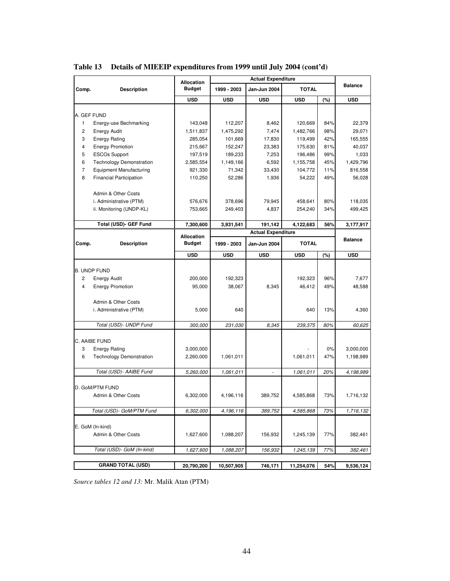|                                                  | <b>Allocation</b> | <b>Actual Expenditure</b> |                           |              |     |                |  |
|--------------------------------------------------|-------------------|---------------------------|---------------------------|--------------|-----|----------------|--|
| Comp.<br><b>Description</b>                      | <b>Budget</b>     | 1999 - 2003               | Jan-Jun 2004              | <b>TOTAL</b> |     | <b>Balance</b> |  |
|                                                  | USD               | <b>USD</b>                | <b>USD</b>                | <b>USD</b>   | (%) | <b>USD</b>     |  |
|                                                  |                   |                           |                           |              |     |                |  |
| A. GEF FUND                                      |                   |                           |                           |              |     |                |  |
| Energy-use Bechmarking<br>1                      | 143,048           | 112,207                   | 8,462                     | 120,669      | 84% | 22,379         |  |
| 2<br><b>Energy Audit</b>                         | 1,511,837         | 1,475,292                 | 7,474                     | 1,482,766    | 98% | 29,071         |  |
| 3<br><b>Energy Rating</b>                        | 285,054           | 101,669                   | 17,830                    | 119,499      | 42% | 165,555        |  |
| 4<br><b>Energy Promotion</b>                     | 215,667           | 152,247                   | 23,383                    | 175,630      | 81% | 40,037         |  |
| 5<br><b>ESCOs Support</b>                        | 197,519           | 189,233                   | 7,253                     | 196,486      | 99% | 1,033          |  |
| 6<br><b>Technology Demonstration</b>             | 2,585,554         | 1,149,166                 | 6,592                     | 1,155,758    | 45% | 1,429,796      |  |
| $\overline{7}$<br><b>Equipment Manufacturing</b> | 921,330           | 71,342                    | 33,430                    | 104,772      | 11% | 816,558        |  |
| 8<br><b>Financial Participation</b>              | 110,250           | 52,286                    | 1,936                     | 54,222       | 49% | 56,028         |  |
| Admin & Other Costs                              |                   |                           |                           |              |     |                |  |
| i. Administrative (PTM)                          | 576,676           | 378,696                   | 79,945                    | 458,641      | 80% | 118,035        |  |
| ii. Monitoring (UNDP-KL)                         | 753,665           | 249,403                   | 4,837                     | 254,240      | 34% | 499,425        |  |
|                                                  |                   |                           |                           |              |     |                |  |
| Total (USD)- GEF Fund                            | 7,300,600         | 3,931,541                 | 191,142                   | 4,122,683    | 56% | 3,177,917      |  |
|                                                  | <b>Allocation</b> |                           | <b>Actual Expenditure</b> |              |     |                |  |
| Comp.<br><b>Description</b>                      | <b>Budget</b>     | 1999 - 2003               | Jan-Jun 2004              | <b>TOTAL</b> |     | <b>Balance</b> |  |
|                                                  | <b>USD</b>        | <b>USD</b>                | <b>USD</b>                | <b>USD</b>   | (%) | <b>USD</b>     |  |
|                                                  |                   |                           |                           |              |     |                |  |
| <b>B. UNDP FUND</b>                              |                   |                           |                           |              |     |                |  |
| 2<br><b>Energy Audit</b>                         | 200,000           | 192,323                   |                           | 192,323      | 96% | 7,677          |  |
| 4<br><b>Energy Promotion</b>                     | 95,000            | 38,067                    | 8,345                     | 46,412       | 49% | 48,588         |  |
|                                                  |                   |                           |                           |              |     |                |  |
| Admin & Other Costs                              |                   |                           |                           |              |     |                |  |
| i. Administrative (PTM)                          | 5,000             | 640                       |                           | 640          | 13% | 4,360          |  |
| Total (USD)- UNDP Fund                           | 300,000           | 231,030                   | 8,345                     | 239,375      | 80% | 60,625         |  |
|                                                  |                   |                           |                           |              |     |                |  |
| C. AAIBE FUND                                    |                   |                           |                           |              |     |                |  |
| 3<br><b>Energy Rating</b>                        | 3,000,000         |                           |                           |              | 0%  | 3,000,000      |  |
| 6<br><b>Technology Demonstration</b>             | 2,260,000         | 1,061,011                 |                           | 1,061,011    | 47% | 1,198,989      |  |
|                                                  |                   |                           |                           |              |     |                |  |
| Total (USD)- AAIBE Fund                          | 5,260,000         | 1.061.011                 | $\bar{\phantom{a}}$       | 1,061,011    | 20% | 4,198,989      |  |
| D. GoM/PTM FUND                                  |                   |                           |                           |              |     |                |  |
| Admin & Other Costs                              |                   |                           | 389,752                   |              |     |                |  |
|                                                  | 6,302,000         | 4,196,116                 |                           | 4,585,868    | 73% | 1,716,132      |  |
| Total (USD)- GoM/PTM Fund                        | 6,302,000         | 4,196,116                 | 389,752                   | 4,585,868    | 73% | 1,716,132      |  |
|                                                  |                   |                           |                           |              |     |                |  |
| E. GoM (In-kind)                                 |                   |                           |                           |              |     |                |  |
| Admin & Other Costs                              | 1,627,600         | 1,088,207                 | 156,932                   | 1,245,139    | 77% | 382,461        |  |
| Total (USD)- GoM (In-kind)                       |                   |                           |                           |              |     |                |  |
|                                                  | 1,627,600         | 1,088,207                 | 156,932                   | 1,245,139    | 77% | 382,461        |  |
| <b>GRAND TOTAL (USD)</b>                         | 20,790,200        | 10,507,905                | 746,171                   | 11,254,076   | 54% | 9,536,124      |  |

**Table 13 Details of MIEEIP expenditures from 1999 until July 2004 (cont'd)** 

*Source tables 12 and 13:* Mr. Malik Atan (PTM)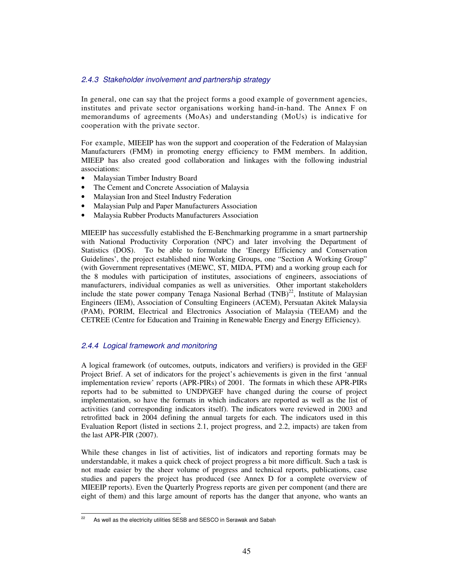## 2.4.3 Stakeholder involvement and partnership strategy

In general, one can say that the project forms a good example of government agencies, institutes and private sector organisations working hand-in-hand. The Annex F on memorandums of agreements (MoAs) and understanding (MoUs) is indicative for cooperation with the private sector.

For example, MIEEIP has won the support and cooperation of the Federation of Malaysian Manufacturers (FMM) in promoting energy efficiency to FMM members. In addition, MIEEP has also created good collaboration and linkages with the following industrial associations:

- Malaysian Timber Industry Board
- The Cement and Concrete Association of Malaysia
- Malaysian Iron and Steel Industry Federation
- Malaysian Pulp and Paper Manufacturers Association
- Malaysia Rubber Products Manufacturers Association

MIEEIP has successfully established the E-Benchmarking programme in a smart partnership with National Productivity Corporation (NPC) and later involving the Department of Statistics (DOS). To be able to formulate the 'Energy Efficiency and Conservation Guidelines', the project established nine Working Groups, one "Section A Working Group" (with Government representatives (MEWC, ST, MIDA, PTM) and a working group each for the 8 modules with participation of institutes, associations of engineers, associations of manufacturers, individual companies as well as universities. Other important stakeholders include the state power company Tenaga Nasional Berhad  $(TNB)^{22}$ , Institute of Malaysian Engineers (IEM), Association of Consulting Engineers (ACEM), Persuatan Akitek Malaysia (PAM), PORIM, Electrical and Electronics Association of Malaysia (TEEAM) and the CETREE (Centre for Education and Training in Renewable Energy and Energy Efficiency).

## 2.4.4 Logical framework and monitoring

A logical framework (of outcomes, outputs, indicators and verifiers) is provided in the GEF Project Brief. A set of indicators for the project's achievements is given in the first 'annual implementation review' reports (APR-PIRs) of 2001. The formats in which these APR-PIRs reports had to be submitted to UNDP/GEF have changed during the course of project implementation, so have the formats in which indicators are reported as well as the list of activities (and corresponding indicators itself). The indicators were reviewed in 2003 and retrofitted back in 2004 defining the annual targets for each. The indicators used in this Evaluation Report (listed in sections 2.1, project progress, and 2.2, impacts) are taken from the last APR-PIR (2007).

While these changes in list of activities, list of indicators and reporting formats may be understandable, it makes a quick check of project progress a bit more difficult. Such a task is not made easier by the sheer volume of progress and technical reports, publications, case studies and papers the project has produced (see Annex D for a complete overview of MIEEIP reports). Even the Quarterly Progress reports are given per component (and there are eight of them) and this large amount of reports has the danger that anyone, who wants an

 $22$ As well as the electricity utilities SESB and SESCO in Serawak and Sabah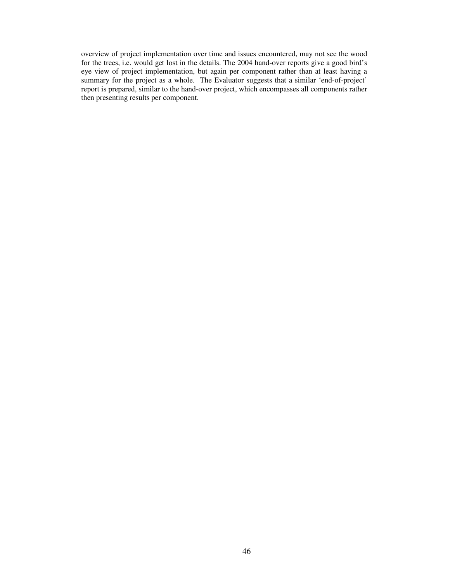overview of project implementation over time and issues encountered, may not see the wood for the trees, i.e. would get lost in the details. The 2004 hand-over reports give a good bird's eye view of project implementation, but again per component rather than at least having a summary for the project as a whole. The Evaluator suggests that a similar 'end-of-project' report is prepared, similar to the hand-over project, which encompasses all components rather then presenting results per component.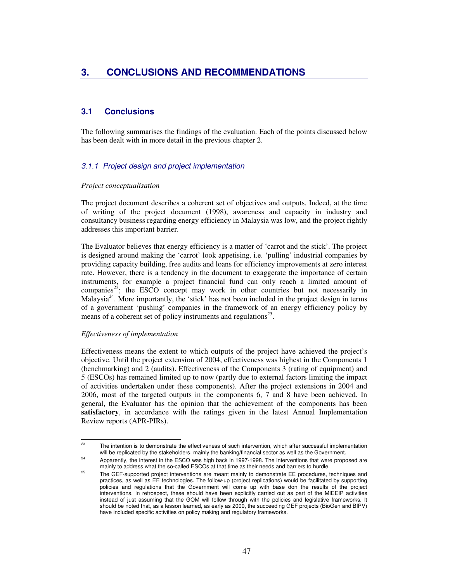# **3.1 Conclusions**

The following summarises the findings of the evaluation. Each of the points discussed below has been dealt with in more detail in the previous chapter 2.

# 3.1.1 Project design and project implementation

## *Project conceptualisation*

The project document describes a coherent set of objectives and outputs. Indeed, at the time of writing of the project document (1998), awareness and capacity in industry and consultancy business regarding energy efficiency in Malaysia was low, and the project rightly addresses this important barrier.

The Evaluator believes that energy efficiency is a matter of 'carrot and the stick'. The project is designed around making the 'carrot' look appetising, i.e. 'pulling' industrial companies by providing capacity building, free audits and loans for efficiency improvements at zero interest rate. However, there is a tendency in the document to exaggerate the importance of certain instruments, for example a project financial fund can only reach a limited amount of companies<sup>23</sup>; the ESCO concept may work in other countries but not necessarily in Malaysia<sup>24</sup>. More importantly, the 'stick' has not been included in the project design in terms of a government 'pushing' companies in the framework of an energy efficiency policy by means of a coherent set of policy instruments and regulations<sup>25</sup>.

## *Effectiveness of implementation*

Effectiveness means the extent to which outputs of the project have achieved the project's objective. Until the project extension of 2004, effectiveness was highest in the Components 1 (benchmarking) and 2 (audits). Effectiveness of the Components 3 (rating of equipment) and 5 (ESCOs) has remained limited up to now (partly due to external factors limiting the impact of activities undertaken under these components). After the project extensions in 2004 and 2006, most of the targeted outputs in the components 6, 7 and 8 have been achieved. In general, the Evaluator has the opinion that the achievement of the components has been **satisfactory**, in accordance with the ratings given in the latest Annual Implementation Review reports (APR-PIRs).

 $^{23}$ The intention is to demonstrate the effectiveness of such intervention, which after successful implementation will be replicated by the stakeholders, mainly the banking/financial sector as well as the Government.

<sup>&</sup>lt;sup>24</sup> Apparently, the interest in the ESCO was high back in 1997-1998. The interventions that were proposed are mainly to address what the so-called ESCOs at that time as their needs and barriers to hurdle.

<sup>&</sup>lt;sup>25</sup> The GEF-supported project interventions are meant mainly to demonstrate EE procedures, techniques and practices, as well as EE technologies. The follow-up (project replications) would be facilitated by supporting policies and regulations that the Government will come up with base don the results of the project interventions. In retrospect, these should have been explicitly carried out as part of the MIEEIP activities instead of just assuming that the GOM will follow through with the policies and legislative frameworks. It should be noted that, as a lesson learned, as early as 2000, the succeeding GEF projects (BioGen and BIPV) have included specific activities on policy making and regulatory frameworks.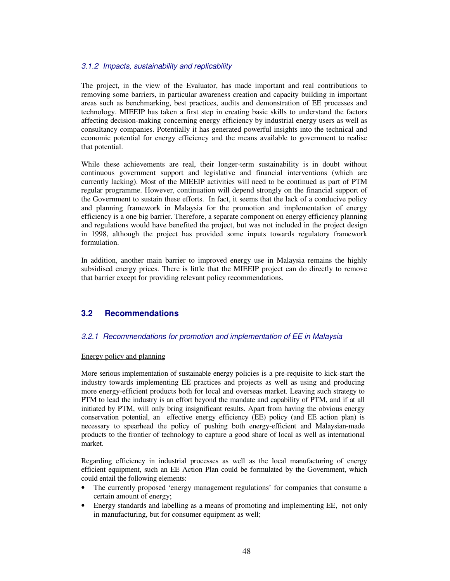## 3.1.2 Impacts, sustainability and replicability

The project, in the view of the Evaluator, has made important and real contributions to removing some barriers, in particular awareness creation and capacity building in important areas such as benchmarking, best practices, audits and demonstration of EE processes and technology. MIEEIP has taken a first step in creating basic skills to understand the factors affecting decision-making concerning energy efficiency by industrial energy users as well as consultancy companies. Potentially it has generated powerful insights into the technical and economic potential for energy efficiency and the means available to government to realise that potential.

While these achievements are real, their longer-term sustainability is in doubt without continuous government support and legislative and financial interventions (which are currently lacking). Most of the MIEEIP activities will need to be continued as part of PTM regular programme. However, continuation will depend strongly on the financial support of the Government to sustain these efforts. In fact, it seems that the lack of a conducive policy and planning framework in Malaysia for the promotion and implementation of energy efficiency is a one big barrier. Therefore, a separate component on energy efficiency planning and regulations would have benefited the project, but was not included in the project design in 1998, although the project has provided some inputs towards regulatory framework formulation.

In addition, another main barrier to improved energy use in Malaysia remains the highly subsidised energy prices. There is little that the MIEEIP project can do directly to remove that barrier except for providing relevant policy recommendations.

# **3.2 Recommendations**

## 3.2.1 Recommendations for promotion and implementation of EE in Malaysia

### Energy policy and planning

More serious implementation of sustainable energy policies is a pre-requisite to kick-start the industry towards implementing EE practices and projects as well as using and producing more energy-efficient products both for local and overseas market. Leaving such strategy to PTM to lead the industry is an effort beyond the mandate and capability of PTM, and if at all initiated by PTM, will only bring insignificant results. Apart from having the obvious energy conservation potential, an effective energy efficiency (EE) policy (and EE action plan) is necessary to spearhead the policy of pushing both energy-efficient and Malaysian-made products to the frontier of technology to capture a good share of local as well as international market.

Regarding efficiency in industrial processes as well as the local manufacturing of energy efficient equipment, such an EE Action Plan could be formulated by the Government, which could entail the following elements:

- The currently proposed 'energy management regulations' for companies that consume a certain amount of energy;
- Energy standards and labelling as a means of promoting and implementing EE, not only in manufacturing, but for consumer equipment as well;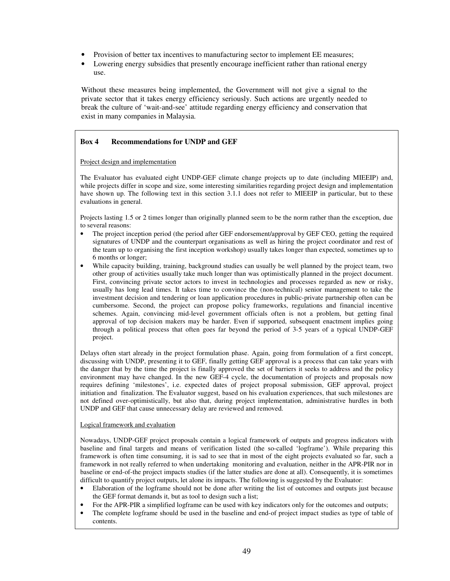- Provision of better tax incentives to manufacturing sector to implement EE measures;
- Lowering energy subsidies that presently encourage inefficient rather than rational energy use.

Without these measures being implemented, the Government will not give a signal to the private sector that it takes energy efficiency seriously. Such actions are urgently needed to break the culture of 'wait-and-see' attitude regarding energy efficiency and conservation that exist in many companies in Malaysia.

## **Box 4 Recommendations for UNDP and GEF**

Project design and implementation

The Evaluator has evaluated eight UNDP-GEF climate change projects up to date (including MIEEIP) and, while projects differ in scope and size, some interesting similarities regarding project design and implementation have shown up. The following text in this section 3.1.1 does not refer to MIEEIP in particular, but to these evaluations in general.

Projects lasting 1.5 or 2 times longer than originally planned seem to be the norm rather than the exception, due to several reasons:

- The project inception period (the period after GEF endorsement/approval by GEF CEO, getting the required signatures of UNDP and the counterpart organisations as well as hiring the project coordinator and rest of the team up to organising the first inception workshop) usually takes longer than expected, sometimes up to 6 months or longer;
- While capacity building, training, background studies can usually be well planned by the project team, two other group of activities usually take much longer than was optimistically planned in the project document. First, convincing private sector actors to invest in technologies and processes regarded as new or risky, usually has long lead times. It takes time to convince the (non-technical) senior management to take the investment decision and tendering or loan application procedures in public-private partnership often can be cumbersome. Second, the project can propose policy frameworks, regulations and financial incentive schemes. Again, convincing mid-level government officials often is not a problem, but getting final approval of top decision makers may be harder. Even if supported, subsequent enactment implies going through a political process that often goes far beyond the period of 3-5 years of a typical UNDP-GEF project.

Delays often start already in the project formulation phase. Again, going from formulation of a first concept, discussing with UNDP, presenting it to GEF, finally getting GEF approval is a process that can take years with the danger that by the time the project is finally approved the set of barriers it seeks to address and the policy environment may have changed. In the new GEF-4 cycle, the documentation of projects and proposals now requires defining 'milestones', i.e. expected dates of project proposal submission, GEF approval, project initiation and finalization. The Evaluator suggest, based on his evaluation experiences, that such milestones are not defined over-optimistically, but also that, during project implementation, administrative hurdles in both UNDP and GEF that cause unnecessary delay are reviewed and removed.

### Logical framework and evaluation

Nowadays, UNDP-GEF project proposals contain a logical framework of outputs and progress indicators with baseline and final targets and means of verification listed (the so-called 'logframe'). While preparing this framework is often time consuming, it is sad to see that in most of the eight projects evaluated so far, such a framework in not really referred to when undertaking monitoring and evaluation, neither in the APR-PIR nor in baseline or end-of-the project impacts studies (if the latter studies are done at all). Consequently, it is sometimes difficult to quantify project outputs, let alone its impacts. The following is suggested by the Evaluator:

- Elaboration of the logframe should not be done after writing the list of outcomes and outputs just because the GEF format demands it, but as tool to design such a list;
- For the APR-PIR a simplified logframe can be used with key indicators only for the outcomes and outputs;
- The complete logframe should be used in the baseline and end-of project impact studies as type of table of contents.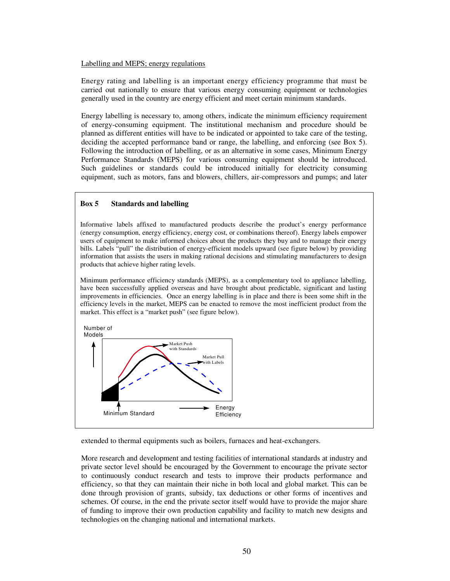### Labelling and MEPS; energy regulations

Energy rating and labelling is an important energy efficiency programme that must be carried out nationally to ensure that various energy consuming equipment or technologies generally used in the country are energy efficient and meet certain minimum standards.

Energy labelling is necessary to, among others, indicate the minimum efficiency requirement of energy-consuming equipment. The institutional mechanism and procedure should be planned as different entities will have to be indicated or appointed to take care of the testing, deciding the accepted performance band or range, the labelling, and enforcing (see Box 5). Following the introduction of labelling, or as an alternative in some cases, Minimum Energy Performance Standards (MEPS) for various consuming equipment should be introduced. Such guidelines or standards could be introduced initially for electricity consuming equipment, such as motors, fans and blowers, chillers, air-compressors and pumps; and later

### **Box 5 Standards and labelling**

Informative labels affixed to manufactured products describe the product's energy performance (energy consumption, energy efficiency, energy cost, or combinations thereof). Energy labels empower users of equipment to make informed choices about the products they buy and to manage their energy bills. Labels "pull" the distribution of energy-efficient models upward (see figure below) by providing information that assists the users in making rational decisions and stimulating manufacturers to design products that achieve higher rating levels.

Minimum performance efficiency standards (MEPS), as a complementary tool to appliance labelling, have been successfully applied overseas and have brought about predictable, significant and lasting improvements in efficiencies. Once an energy labelling is in place and there is been some shift in the efficiency levels in the market, MEPS can be enacted to remove the most inefficient product from the market. This effect is a "market push" (see figure below).



extended to thermal equipments such as boilers, furnaces and heat-exchangers.

More research and development and testing facilities of international standards at industry and private sector level should be encouraged by the Government to encourage the private sector to continuously conduct research and tests to improve their products performance and efficiency, so that they can maintain their niche in both local and global market. This can be done through provision of grants, subsidy, tax deductions or other forms of incentives and schemes. Of course, in the end the private sector itself would have to provide the major share of funding to improve their own production capability and facility to match new designs and technologies on the changing national and international markets.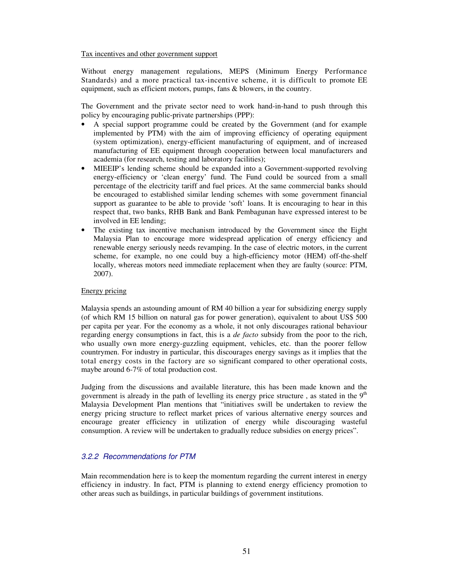Tax incentives and other government support

Without energy management regulations, MEPS (Minimum Energy Performance Standards) and a more practical tax-incentive scheme, it is difficult to promote EE equipment, such as efficient motors, pumps, fans & blowers, in the country.

The Government and the private sector need to work hand-in-hand to push through this policy by encouraging public-private partnerships (PPP):

- A special support programme could be created by the Government (and for example implemented by PTM) with the aim of improving efficiency of operating equipment (system optimization), energy-efficient manufacturing of equipment, and of increased manufacturing of EE equipment through cooperation between local manufacturers and academia (for research, testing and laboratory facilities);
- MIEEIP's lending scheme should be expanded into a Government-supported revolving energy-efficiency or 'clean energy' fund. The Fund could be sourced from a small percentage of the electricity tariff and fuel prices. At the same commercial banks should be encouraged to established similar lending schemes with some government financial support as guarantee to be able to provide 'soft' loans. It is encouraging to hear in this respect that, two banks, RHB Bank and Bank Pembagunan have expressed interest to be involved in EE lending;
- The existing tax incentive mechanism introduced by the Government since the Eight Malaysia Plan to encourage more widespread application of energy efficiency and renewable energy seriously needs revamping. In the case of electric motors, in the current scheme, for example, no one could buy a high-efficiency motor (HEM) off-the-shelf locally, whereas motors need immediate replacement when they are faulty (source: PTM, 2007).

### Energy pricing

Malaysia spends an astounding amount of RM 40 billion a year for subsidizing energy supply (of which RM 15 billion on natural gas for power generation), equivalent to about US\$ 500 per capita per year. For the economy as a whole, it not only discourages rational behaviour regarding energy consumptions in fact, this is a *de facto* subsidy from the poor to the rich, who usually own more energy-guzzling equipment, vehicles, etc. than the poorer fellow countrymen. For industry in particular, this discourages energy savings as it implies that the total energy costs in the factory are so significant compared to other operational costs, maybe around 6-7% of total production cost.

Judging from the discussions and available literature, this has been made known and the government is already in the path of levelling its energy price structure, as stated in the  $9<sup>th</sup>$ Malaysia Development Plan mentions that "initiatives swill be undertaken to review the energy pricing structure to reflect market prices of various alternative energy sources and encourage greater efficiency in utilization of energy while discouraging wasteful consumption. A review will be undertaken to gradually reduce subsidies on energy prices".

## 3.2.2 Recommendations for PTM

Main recommendation here is to keep the momentum regarding the current interest in energy efficiency in industry. In fact, PTM is planning to extend energy efficiency promotion to other areas such as buildings, in particular buildings of government institutions.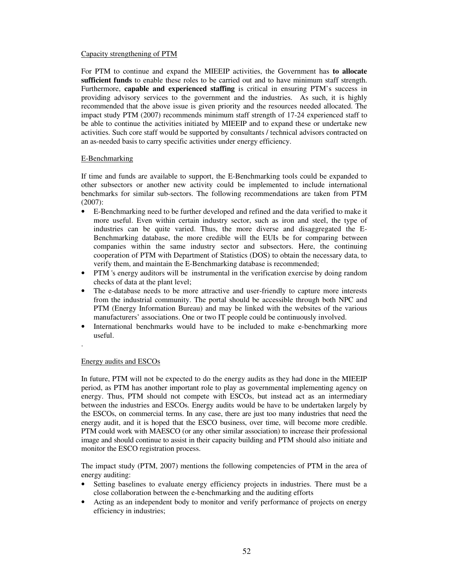### Capacity strengthening of PTM

For PTM to continue and expand the MIEEIP activities, the Government has **to allocate sufficient funds** to enable these roles to be carried out and to have minimum staff strength. Furthermore, **capable and experienced staffing** is critical in ensuring PTM's success in providing advisory services to the government and the industries. As such, it is highly recommended that the above issue is given priority and the resources needed allocated. The impact study PTM (2007) recommends minimum staff strength of 17-24 experienced staff to be able to continue the activities initiated by MIEEIP and to expand these or undertake new activities. Such core staff would be supported by consultants / technical advisors contracted on an as-needed basis to carry specific activities under energy efficiency.

## E-Benchmarking

If time and funds are available to support, the E-Benchmarking tools could be expanded to other subsectors or another new activity could be implemented to include international benchmarks for similar sub-sectors. The following recommendations are taken from PTM (2007):

- E-Benchmarking need to be further developed and refined and the data verified to make it more useful. Even within certain industry sector, such as iron and steel, the type of industries can be quite varied. Thus, the more diverse and disaggregated the E-Benchmarking database, the more credible will the EUIs be for comparing between companies within the same industry sector and subsectors. Here, the continuing cooperation of PTM with Department of Statistics (DOS) to obtain the necessary data, to verify them, and maintain the E-Benchmarking database is recommended;
- PTM 's energy auditors will be instrumental in the verification exercise by doing random checks of data at the plant level;
- The e-database needs to be more attractive and user-friendly to capture more interests from the industrial community. The portal should be accessible through both NPC and PTM (Energy Information Bureau) and may be linked with the websites of the various manufacturers' associations. One or two IT people could be continuously involved.
- International benchmarks would have to be included to make e-benchmarking more useful.
- .

## Energy audits and ESCOs

In future, PTM will not be expected to do the energy audits as they had done in the MIEEIP period, as PTM has another important role to play as governmental implementing agency on energy. Thus, PTM should not compete with ESCOs, but instead act as an intermediary between the industries and ESCOs. Energy audits would be have to be undertaken largely by the ESCOs, on commercial terms. In any case, there are just too many industries that need the energy audit, and it is hoped that the ESCO business, over time, will become more credible. PTM could work with MAESCO (or any other similar association) to increase their professional image and should continue to assist in their capacity building and PTM should also initiate and monitor the ESCO registration process.

The impact study (PTM, 2007) mentions the following competencies of PTM in the area of energy auditing:

- Setting baselines to evaluate energy efficiency projects in industries. There must be a close collaboration between the e-benchmarking and the auditing efforts
- Acting as an independent body to monitor and verify performance of projects on energy efficiency in industries;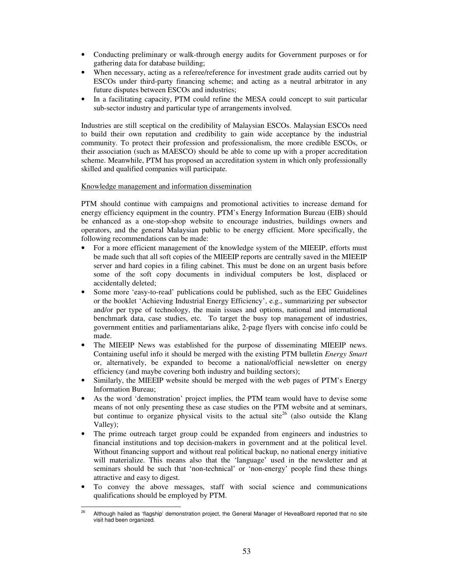- Conducting preliminary or walk-through energy audits for Government purposes or for gathering data for database building;
- When necessary, acting as a referee/reference for investment grade audits carried out by ESCOs under third-party financing scheme; and acting as a neutral arbitrator in any future disputes between ESCOs and industries;
- In a facilitating capacity, PTM could refine the MESA could concept to suit particular sub-sector industry and particular type of arrangements involved.

Industries are still sceptical on the credibility of Malaysian ESCOs. Malaysian ESCOs need to build their own reputation and credibility to gain wide acceptance by the industrial community. To protect their profession and professionalism, the more credible ESCOs, or their association (such as MAESCO) should be able to come up with a proper accreditation scheme. Meanwhile, PTM has proposed an accreditation system in which only professionally skilled and qualified companies will participate.

## Knowledge management and information dissemination

PTM should continue with campaigns and promotional activities to increase demand for energy efficiency equipment in the country. PTM's Energy Information Bureau (EIB) should be enhanced as a one-stop-shop website to encourage industries, buildings owners and operators, and the general Malaysian public to be energy efficient. More specifically, the following recommendations can be made:

- For a more efficient management of the knowledge system of the MIEEIP, efforts must be made such that all soft copies of the MIEEIP reports are centrally saved in the MIEEIP server and hard copies in a filing cabinet. This must be done on an urgent basis before some of the soft copy documents in individual computers be lost, displaced or accidentally deleted;
- Some more 'easy-to-read' publications could be published, such as the EEC Guidelines or the booklet 'Achieving Industrial Energy Efficiency', e.g., summarizing per subsector and/or per type of technology, the main issues and options, national and international benchmark data, case studies, etc. To target the busy top management of industries, government entities and parliamentarians alike, 2-page flyers with concise info could be made.
- The MIEEIP News was established for the purpose of disseminating MIEEIP news. Containing useful info it should be merged with the existing PTM bulletin *Energy Smart* or, alternatively, be expanded to become a national/official newsletter on energy efficiency (and maybe covering both industry and building sectors);
- Similarly, the MIEEIP website should be merged with the web pages of PTM's Energy Information Bureau;
- As the word 'demonstration' project implies, the PTM team would have to devise some means of not only presenting these as case studies on the PTM website and at seminars, but continue to organize physical visits to the actual site<sup>26</sup> (also outside the Klang Valley);
- The prime outreach target group could be expanded from engineers and industries to financial institutions and top decision-makers in government and at the political level. Without financing support and without real political backup, no national energy initiative will materialize. This means also that the 'language' used in the newsletter and at seminars should be such that 'non-technical' or 'non-energy' people find these things attractive and easy to digest.
- To convey the above messages, staff with social science and communications qualifications should be employed by PTM.

 $26$ Although hailed as 'flagship' demonstration project, the General Manager of HeveaBoard reported that no site visit had been organized.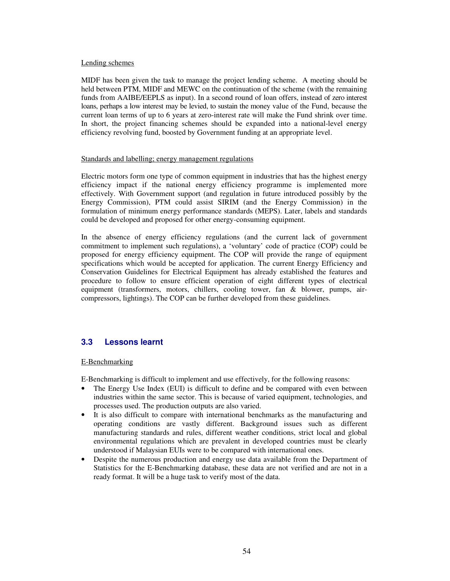### Lending schemes

MIDF has been given the task to manage the project lending scheme. A meeting should be held between PTM, MIDF and MEWC on the continuation of the scheme (with the remaining funds from AAIBE/EEPLS as input). In a second round of loan offers, instead of zero interest loans, perhaps a low interest may be levied, to sustain the money value of the Fund, because the current loan terms of up to 6 years at zero-interest rate will make the Fund shrink over time. In short, the project financing schemes should be expanded into a national-level energy efficiency revolving fund, boosted by Government funding at an appropriate level.

### Standards and labelling; energy management regulations

Electric motors form one type of common equipment in industries that has the highest energy efficiency impact if the national energy efficiency programme is implemented more effectively. With Government support (and regulation in future introduced possibly by the Energy Commission), PTM could assist SIRIM (and the Energy Commission) in the formulation of minimum energy performance standards (MEPS). Later, labels and standards could be developed and proposed for other energy-consuming equipment.

In the absence of energy efficiency regulations (and the current lack of government commitment to implement such regulations), a 'voluntary' code of practice (COP) could be proposed for energy efficiency equipment. The COP will provide the range of equipment specifications which would be accepted for application. The current Energy Efficiency and Conservation Guidelines for Electrical Equipment has already established the features and procedure to follow to ensure efficient operation of eight different types of electrical equipment (transformers, motors, chillers, cooling tower, fan & blower, pumps, aircompressors, lightings). The COP can be further developed from these guidelines.

# **3.3 Lessons learnt**

## E-Benchmarking

E-Benchmarking is difficult to implement and use effectively, for the following reasons:

- The Energy Use Index (EUI) is difficult to define and be compared with even between industries within the same sector. This is because of varied equipment, technologies, and processes used. The production outputs are also varied.
- It is also difficult to compare with international benchmarks as the manufacturing and operating conditions are vastly different. Background issues such as different manufacturing standards and rules, different weather conditions, strict local and global environmental regulations which are prevalent in developed countries must be clearly understood if Malaysian EUIs were to be compared with international ones.
- Despite the numerous production and energy use data available from the Department of Statistics for the E-Benchmarking database, these data are not verified and are not in a ready format. It will be a huge task to verify most of the data.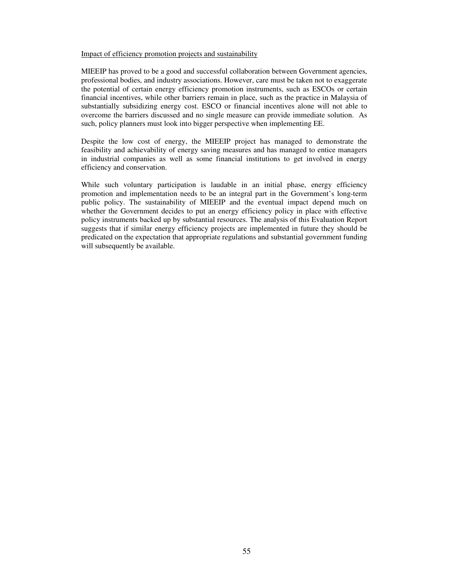## Impact of efficiency promotion projects and sustainability

MIEEIP has proved to be a good and successful collaboration between Government agencies, professional bodies, and industry associations. However, care must be taken not to exaggerate the potential of certain energy efficiency promotion instruments, such as ESCOs or certain financial incentives, while other barriers remain in place, such as the practice in Malaysia of substantially subsidizing energy cost. ESCO or financial incentives alone will not able to overcome the barriers discussed and no single measure can provide immediate solution. As such, policy planners must look into bigger perspective when implementing EE.

Despite the low cost of energy, the MIEEIP project has managed to demonstrate the feasibility and achievability of energy saving measures and has managed to entice managers in industrial companies as well as some financial institutions to get involved in energy efficiency and conservation.

While such voluntary participation is laudable in an initial phase, energy efficiency promotion and implementation needs to be an integral part in the Government's long-term public policy. The sustainability of MIEEIP and the eventual impact depend much on whether the Government decides to put an energy efficiency policy in place with effective policy instruments backed up by substantial resources. The analysis of this Evaluation Report suggests that if similar energy efficiency projects are implemented in future they should be predicated on the expectation that appropriate regulations and substantial government funding will subsequently be available.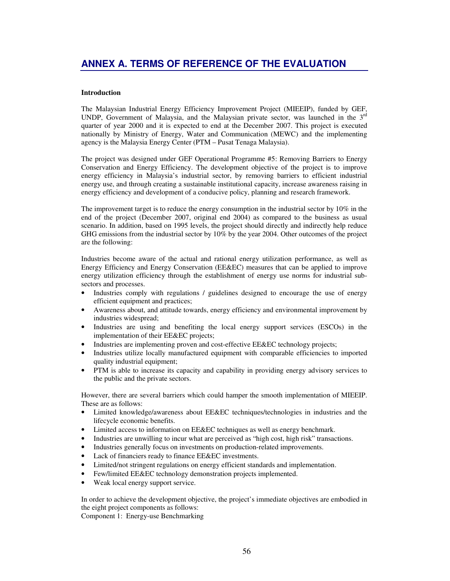## **Introduction**

The Malaysian Industrial Energy Efficiency Improvement Project (MIEEIP), funded by GEF, UNDP, Government of Malaysia, and the Malaysian private sector, was launched in the  $3<sup>rd</sup>$ quarter of year 2000 and it is expected to end at the December 2007. This project is executed nationally by Ministry of Energy, Water and Communication (MEWC) and the implementing agency is the Malaysia Energy Center (PTM – Pusat Tenaga Malaysia).

The project was designed under GEF Operational Programme #5: Removing Barriers to Energy Conservation and Energy Efficiency. The development objective of the project is to improve energy efficiency in Malaysia's industrial sector, by removing barriers to efficient industrial energy use, and through creating a sustainable institutional capacity, increase awareness raising in energy efficiency and development of a conducive policy, planning and research framework.

The improvement target is to reduce the energy consumption in the industrial sector by  $10\%$  in the end of the project (December 2007, original end 2004) as compared to the business as usual scenario. In addition, based on 1995 levels, the project should directly and indirectly help reduce GHG emissions from the industrial sector by 10% by the year 2004. Other outcomes of the project are the following:

Industries become aware of the actual and rational energy utilization performance, as well as Energy Efficiency and Energy Conservation (EE&EC) measures that can be applied to improve energy utilization efficiency through the establishment of energy use norms for industrial subsectors and processes.

- Industries comply with regulations / guidelines designed to encourage the use of energy efficient equipment and practices;
- Awareness about, and attitude towards, energy efficiency and environmental improvement by industries widespread;
- Industries are using and benefiting the local energy support services (ESCOs) in the implementation of their EE&EC projects;
- Industries are implementing proven and cost-effective EE&EC technology projects;
- Industries utilize locally manufactured equipment with comparable efficiencies to imported quality industrial equipment;
- PTM is able to increase its capacity and capability in providing energy advisory services to the public and the private sectors.

However, there are several barriers which could hamper the smooth implementation of MIEEIP. These are as follows:

- Limited knowledge/awareness about EE&EC techniques/technologies in industries and the lifecycle economic benefits.
- Limited access to information on EE&EC techniques as well as energy benchmark.
- Industries are unwilling to incur what are perceived as "high cost, high risk" transactions.
- Industries generally focus on investments on production-related improvements.
- Lack of financiers ready to finance EE&EC investments.
- Limited/not stringent regulations on energy efficient standards and implementation.
- Few/limited EE&EC technology demonstration projects implemented.
- Weak local energy support service.

In order to achieve the development objective, the project's immediate objectives are embodied in the eight project components as follows:

Component 1: Energy-use Benchmarking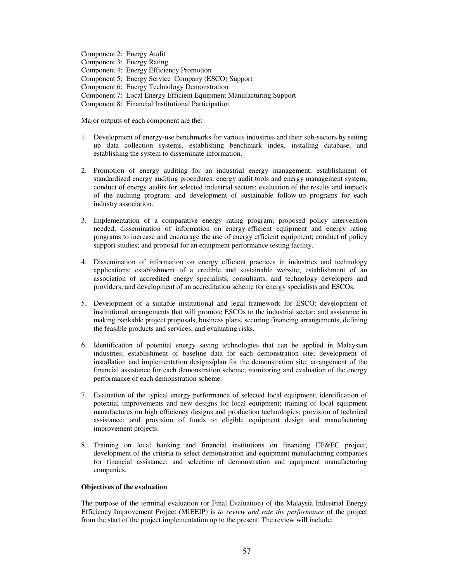Component 2: Energy Audit Component 3: Energy Rating Component 4: Energy Efficiency Promotion Component 5: Energy Service Company (ESCO) Support Component 6: Energy Technology Demonstration Component 7: Local Energy Efficient Equipment Manufacturing Support Component 8: Financial Institutional Participation

Major outputs of each component are the:

- 1. Development of energy-use benchmarks for various industries and their sub-sectors by setting up data collection systems, establishing benchmark index, installing database, and establishing the system to disseminate information.
- 2. Promotion of energy auditing for an industrial energy management; establishment of standardized energy auditing procedures, energy audit tools and energy management system; conduct of energy audits for selected industrial sectors; evaluation of the results and impacts of the auditing program; and development of sustainable follow-up programs for each industry association.
- 3. Implementation of a comparative energy rating program; proposed policy intervention needed, dissemination of information on energy-efficient equipment and energy rating programs to increase and encourage the use of energy efficient equipment; conduct of policy support studies; and proposal for an equipment performance testing facility.
- 4. Dissemination of information on energy efficient practices in industries and technology applications; establishment of a credible and sustainable website; establishment of an association of accredited energy specialists, consultants, and technology developers and providers; and development of an accreditation scheme for energy specialists and ESCOs.
- 5. Development of a suitable institutional and legal framework for ESCO; development of institutional arrangements that will promote ESCOs to the industrial sector; and assistance in making bankable project proposals, business plans, securing financing arrangements, defining the feasible products and services, and evaluating risks.
- 6. Identification of potential energy saving technologies that can be applied in Malaysian industries; establishment of baseline data for each demonstration site; development of installation and implementation designs/plan for the demonstration site; arrangement of the financial assistance for each demonstration scheme; monitoring and evaluation of the energy performance of each demonstration scheme.
- 7. Evaluation of the typical energy performance of selected local equipment; identification of potential improvements and new designs for local equipment; training of local equipment manufactures on high efficiency designs and production technologies; provision of technical assistance; and provision of funds to eligible equipment design and manufacturing improvement projects.
- 8. Training on local banking and financial institutions on financing EE&EC project; development of the criteria to select demonstration and equipment manufacturing companies for financial assistance; and selection of demonstration and equipment manufacturing companies.

### **Objectives of the evaluation**

The purpose of the terminal evaluation (or Final Evaluation) of the Malaysia Industrial Energy Efficiency Improvement Project (MIEEIP) is *to review and rate the performance* of the project from the start of the project implementation up to the present. The review will include: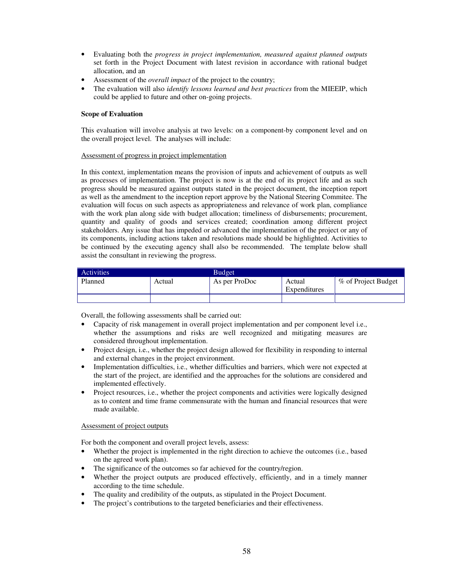- Evaluating both the *progress in project implementation, measured against planned outputs* set forth in the Project Document with latest revision in accordance with rational budget allocation, and an
- Assessment of the *overall impact* of the project to the country;
- The evaluation will also *identify lessons learned and best practices* from the MIEEIP, which could be applied to future and other on-going projects.

### **Scope of Evaluation**

This evaluation will involve analysis at two levels: on a component-by component level and on the overall project level. The analyses will include:

### Assessment of progress in project implementation

In this context, implementation means the provision of inputs and achievement of outputs as well as processes of implementation. The project is now is at the end of its project life and as such progress should be measured against outputs stated in the project document, the inception report as well as the amendment to the inception report approve by the National Steering Commitee. The evaluation will focus on such aspects as appropriateness and relevance of work plan, compliance with the work plan along side with budget allocation; timeliness of disbursements; procurement, quantity and quality of goods and services created; coordination among different project stakeholders. Any issue that has impeded or advanced the implementation of the project or any of its components, including actions taken and resolutions made should be highlighted. Activities to be continued by the executing agency shall also be recommended. The template below shall assist the consultant in reviewing the progress.

| <b>Activities</b> |        | <b>Budget</b> |                        |                     |
|-------------------|--------|---------------|------------------------|---------------------|
| Planned           | Actual | As per ProDoc | Actual<br>Expenditures | % of Project Budget |
|                   |        |               |                        |                     |

Overall, the following assessments shall be carried out:

- Capacity of risk management in overall project implementation and per component level i.e., whether the assumptions and risks are well recognized and mitigating measures are considered throughout implementation.
- Project design, i.e., whether the project design allowed for flexibility in responding to internal and external changes in the project environment.
- Implementation difficulties, i.e., whether difficulties and barriers, which were not expected at the start of the project, are identified and the approaches for the solutions are considered and implemented effectively.
- Project resources, i.e., whether the project components and activities were logically designed as to content and time frame commensurate with the human and financial resources that were made available.

### Assessment of project outputs

For both the component and overall project levels, assess:

- Whether the project is implemented in the right direction to achieve the outcomes (i.e., based on the agreed work plan).
- The significance of the outcomes so far achieved for the country/region.
- Whether the project outputs are produced effectively, efficiently, and in a timely manner according to the time schedule.
- The quality and credibility of the outputs, as stipulated in the Project Document.
- The project's contributions to the targeted beneficiaries and their effectiveness.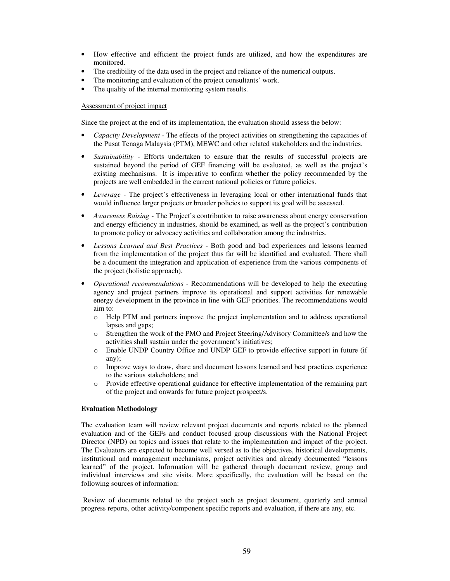- How effective and efficient the project funds are utilized, and how the expenditures are monitored.
- The credibility of the data used in the project and reliance of the numerical outputs.
- The monitoring and evaluation of the project consultants' work.
- The quality of the internal monitoring system results.

### Assessment of project impact

Since the project at the end of its implementation, the evaluation should assess the below:

- *Capacity Development* The effects of the project activities on strengthening the capacities of the Pusat Tenaga Malaysia (PTM), MEWC and other related stakeholders and the industries.
- *Sustainability* Efforts undertaken to ensure that the results of successful projects are sustained beyond the period of GEF financing will be evaluated, as well as the project's existing mechanisms. It is imperative to confirm whether the policy recommended by the projects are well embedded in the current national policies or future policies.
- *Leverage* The project's effectiveness in leveraging local or other international funds that would influence larger projects or broader policies to support its goal will be assessed.
- *Awareness Raising* The Project's contribution to raise awareness about energy conservation and energy efficiency in industries, should be examined, as well as the project's contribution to promote policy or advocacy activities and collaboration among the industries.
- *Lessons Learned and Best Practices* Both good and bad experiences and lessons learned from the implementation of the project thus far will be identified and evaluated. There shall be a document the integration and application of experience from the various components of the project (holistic approach).
- *Operational recommendations*  Recommendations will be developed to help the executing agency and project partners improve its operational and support activities for renewable energy development in the province in line with GEF priorities. The recommendations would aim to:
	- o Help PTM and partners improve the project implementation and to address operational lapses and gaps;
	- o Strengthen the work of the PMO and Project Steering/Advisory Committee/s and how the activities shall sustain under the government's initiatives;
	- o Enable UNDP Country Office and UNDP GEF to provide effective support in future (if any);
	- o Improve ways to draw, share and document lessons learned and best practices experience to the various stakeholders; and
	- o Provide effective operational guidance for effective implementation of the remaining part of the project and onwards for future project prospect/s.

### **Evaluation Methodology**

The evaluation team will review relevant project documents and reports related to the planned evaluation and of the GEFs and conduct focused group discussions with the National Project Director (NPD) on topics and issues that relate to the implementation and impact of the project. The Evaluators are expected to become well versed as to the objectives, historical developments, institutional and management mechanisms, project activities and already documented "lessons learned" of the project. Information will be gathered through document review, group and individual interviews and site visits. More specifically, the evaluation will be based on the following sources of information:

 Review of documents related to the project such as project document, quarterly and annual progress reports, other activity/component specific reports and evaluation, if there are any, etc.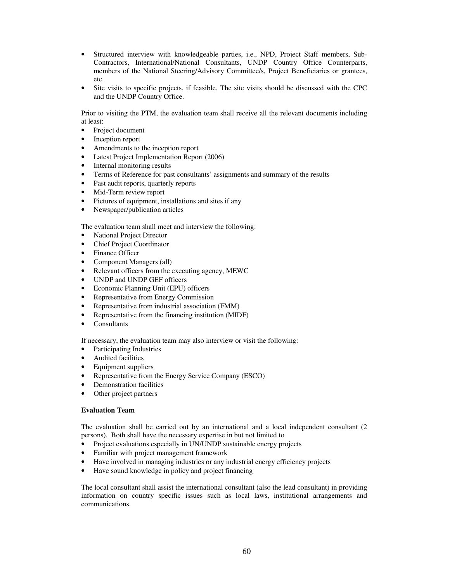- Structured interview with knowledgeable parties, i.e., NPD, Project Staff members, Sub-Contractors, International/National Consultants, UNDP Country Office Counterparts, members of the National Steering/Advisory Committee/s, Project Beneficiaries or grantees, etc.
- Site visits to specific projects, if feasible. The site visits should be discussed with the CPC and the UNDP Country Office.

Prior to visiting the PTM, the evaluation team shall receive all the relevant documents including at least:

- Project document
- Inception report
- Amendments to the inception report
- Latest Project Implementation Report (2006)
- Internal monitoring results
- Terms of Reference for past consultants' assignments and summary of the results
- Past audit reports, quarterly reports
- Mid-Term review report
- Pictures of equipment, installations and sites if any
- Newspaper/publication articles

The evaluation team shall meet and interview the following:

- National Project Director
- Chief Project Coordinator
- Finance Officer
- Component Managers (all)
- Relevant officers from the executing agency, MEWC
- UNDP and UNDP GEF officers
- Economic Planning Unit (EPU) officers
- Representative from Energy Commission
- Representative from industrial association (FMM)
- Representative from the financing institution (MIDF)
- **Consultants**

If necessary, the evaluation team may also interview or visit the following:

- Participating Industries
- Audited facilities
- Equipment suppliers
- Representative from the Energy Service Company (ESCO)
- Demonstration facilities
- Other project partners

### **Evaluation Team**

The evaluation shall be carried out by an international and a local independent consultant (2 persons). Both shall have the necessary expertise in but not limited to

- Project evaluations especially in UN/UNDP sustainable energy projects
- Familiar with project management framework
- Have involved in managing industries or any industrial energy efficiency projects
- Have sound knowledge in policy and project financing

The local consultant shall assist the international consultant (also the lead consultant) in providing information on country specific issues such as local laws, institutional arrangements and communications.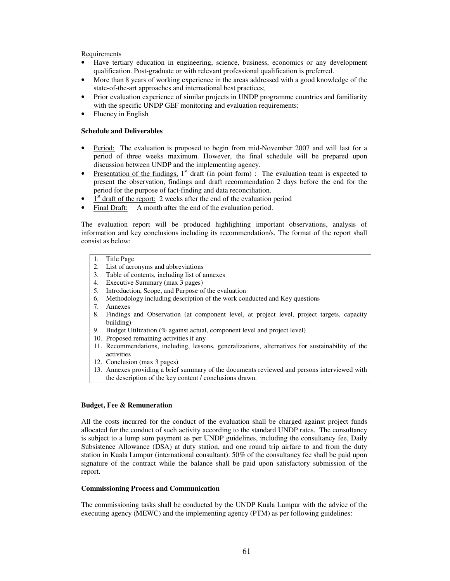### Requirements

- Have tertiary education in engineering, science, business, economics or any development qualification. Post-graduate or with relevant professional qualification is preferred.
- More than 8 years of working experience in the areas addressed with a good knowledge of the state-of-the-art approaches and international best practices;
- Prior evaluation experience of similar projects in UNDP programme countries and familiarity with the specific UNDP GEF monitoring and evaluation requirements;
- Fluency in English

### **Schedule and Deliverables**

- Period: The evaluation is proposed to begin from mid-November 2007 and will last for a period of three weeks maximum. However, the final schedule will be prepared upon discussion between UNDP and the implementing agency.
- Presentation of the findings,  $1<sup>st</sup>$  draft (in point form) : The evaluation team is expected to present the observation, findings and draft recommendation 2 days before the end for the period for the purpose of fact-finding and data reconciliation.
- $\bullet$   $\frac{1}{s}$  draft of the report: 2 weeks after the end of the evaluation period
- Final Draft: A month after the end of the evaluation period.

The evaluation report will be produced highlighting important observations, analysis of information and key conclusions including its recommendation/s. The format of the report shall consist as below:

- 1. Title Page
- 2. List of acronyms and abbreviations
- 3. Table of contents, including list of annexes
- 4. Executive Summary (max 3 pages)
- 5. Introduction, Scope, and Purpose of the evaluation
- 6. Methodology including description of the work conducted and Key questions
- 7. Annexes
- 8. Findings and Observation (at component level, at project level, project targets, capacity building)
- 9. Budget Utilization (% against actual, component level and project level)
- 10. Proposed remaining activities if any
- 11. Recommendations, including, lessons, generalizations, alternatives for sustainability of the activities
- 12. Conclusion (max 3 pages)
- 13. Annexes providing a brief summary of the documents reviewed and persons interviewed with the description of the key content / conclusions drawn.

### **Budget, Fee & Remuneration**

All the costs incurred for the conduct of the evaluation shall be charged against project funds allocated for the conduct of such activity according to the standard UNDP rates. The consultancy is subject to a lump sum payment as per UNDP guidelines, including the consultancy fee, Daily Subsistence Allowance (DSA) at duty station, and one round trip airfare to and from the duty station in Kuala Lumpur (international consultant). 50% of the consultancy fee shall be paid upon signature of the contract while the balance shall be paid upon satisfactory submission of the report.

## **Commissioning Process and Communication**

The commissioning tasks shall be conducted by the UNDP Kuala Lumpur with the advice of the executing agency (MEWC) and the implementing agency (PTM) as per following guidelines: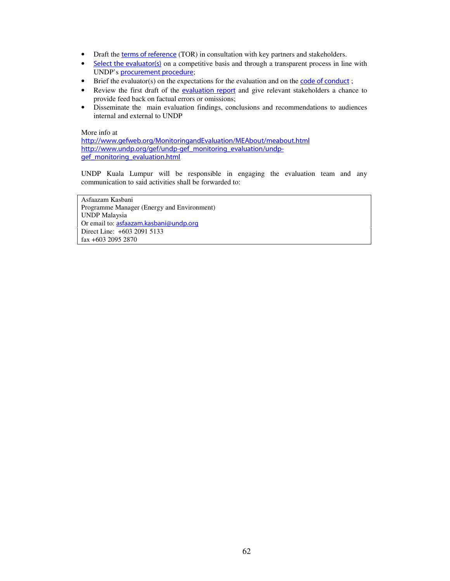- Draft the terms of reference (TOR) in consultation with key partners and stakeholders.
- Select the evaluator(s) on a competitive basis and through a transparent process in line with UNDP's procurement procedure;
- Brief the evaluator(s) on the expectations for the evaluation and on the  $\overline{\text{code}}$  of conduct;
- Review the first draft of the evaluation report and give relevant stakeholders a chance to provide feed back on factual errors or omissions;
- Disseminate the main evaluation findings, conclusions and recommendations to audiences internal and external to UNDP

### More info at

http://www.gefweb.org/MonitoringandEvaluation/MEAbout/meabout.html http://www.undp.org/gef/undp-gef\_monitoring\_evaluation/undpgef\_monitoring\_evaluation.html

UNDP Kuala Lumpur will be responsible in engaging the evaluation team and any communication to said activities shall be forwarded to:

Asfaazam Kasbani Programme Manager (Energy and Environment) UNDP Malaysia Or email to: asfaazam.kasbani@undp.org Direct Line: +603 2091 5133 fax +603 2095 2870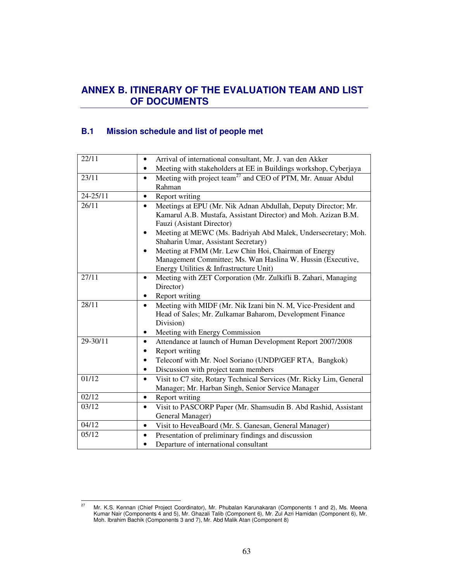# **ANNEX B. ITINERARY OF THE EVALUATION TEAM AND LIST OF DOCUMENTS**

# **B.1 Mission schedule and list of people met**

| 22/11        | Arrival of international consultant, Mr. J. van den Akker                            |
|--------------|--------------------------------------------------------------------------------------|
|              | Meeting with stakeholders at EE in Buildings workshop, Cyberjaya<br>$\bullet$        |
| 23/11        | Meeting with project team <sup>27</sup> and CEO of PTM, Mr. Anuar Abdul<br>$\bullet$ |
|              | Rahman                                                                               |
| $24 - 25/11$ | Report writing<br>$\bullet$                                                          |
| 26/11        | Meetings at EPU (Mr. Nik Adnan Abdullah, Deputy Director; Mr.<br>$\bullet$           |
|              | Kamarul A.B. Mustafa, Assistant Director) and Moh. Azizan B.M.                       |
|              | Fauzi (Asistant Director)                                                            |
|              | Meeting at MEWC (Ms. Badriyah Abd Malek, Undersecretary; Moh.<br>٠                   |
|              | Shaharin Umar, Assistant Secretary)                                                  |
|              | Meeting at FMM (Mr. Lew Chin Hoi, Chairman of Energy<br>٠                            |
|              | Management Committee; Ms. Wan Haslina W. Hussin (Executive,                          |
|              | Energy Utilities & Infrastructure Unit)                                              |
| 27/11        | Meeting with ZET Corporation (Mr. Zulkifli B. Zahari, Managing<br>$\bullet$          |
|              | Director)                                                                            |
|              | Report writing                                                                       |
| 28/11        | Meeting with MIDF (Mr. Nik Izani bin N. M, Vice-President and<br>$\bullet$           |
|              | Head of Sales; Mr. Zulkamar Baharom, Development Finance                             |
|              | Division)                                                                            |
|              | Meeting with Energy Commission<br>٠                                                  |
| 29-30/11     | Attendance at launch of Human Development Report 2007/2008<br>$\bullet$              |
|              | Report writing                                                                       |
|              | Teleconf with Mr. Noel Soriano (UNDP/GEF RTA, Bangkok)<br>٠                          |
|              | Discussion with project team members<br>$\bullet$                                    |
| 01/12        | Visit to C7 site, Rotary Technical Services (Mr. Ricky Lim, General<br>$\bullet$     |
|              | Manager; Mr. Harban Singh, Senior Service Manager                                    |
| 02/12        | Report writing<br>$\bullet$                                                          |
| 03/12        | Visit to PASCORP Paper (Mr. Shamsudin B. Abd Rashid, Assistant<br>$\bullet$          |
|              | General Manager)                                                                     |
| 04/12        | Visit to HeveaBoard (Mr. S. Ganesan, General Manager)<br>$\bullet$                   |
| 05/12        | Presentation of preliminary findings and discussion<br>$\bullet$                     |
|              | Departure of international consultant<br>$\bullet$                                   |

 $27\,$ <sup>27</sup> Mr. K.S. Kennan (Chief Project Coordinator), Mr. Phubalan Karunakaran (Components 1 and 2), Ms. Meena Kumar Nair (Components 4 and 5), Mr. Ghazali Talib (Component 6), Mr. Zul Azri Hamidan (Component 6), Mr. Moh. Ibrahim Bachik (Components 3 and 7), Mr. Abd Malik Atan (Component 8)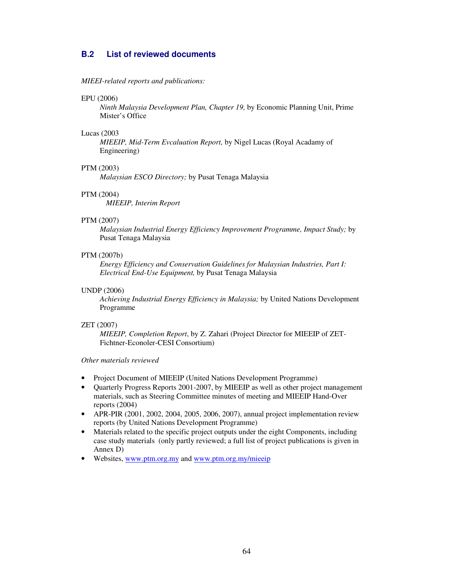# **B.2 List of reviewed documents**

### *MIEEI-related reports and publications:*

#### EPU (2006)

*Ninth Malaysia Development Plan, Chapter 19,* by Economic Planning Unit, Prime Mister's Office

### Lucas (2003

*MIEEIP, Mid-Term Evcaluation Report,* by Nigel Lucas (Royal Acadamy of Engineering)

### PTM (2003)

 *Malaysian ESCO Directory;* by Pusat Tenaga Malaysia

### PTM (2004)

*MIEEIP, Interim Report* 

### PTM (2007)

*Malaysian Industrial Energy Efficiency Improvement Programme, Impact Study;* by Pusat Tenaga Malaysia

### PTM (2007b)

 *Energy Efficiency and Conservation Guidelines for Malaysian Industries, Part I: Electrical End-Use Equipment,* by Pusat Tenaga Malaysia

### UNDP (2006)

*Achieving Industrial Energy Efficiency in Malaysia;* by United Nations Development Programme

#### ZET (2007)

*MIEEIP, Completion Report*, by Z. Zahari (Project Director for MIEEIP of ZET-Fichtner-Econoler-CESI Consortium)

### *Other materials reviewed*

- Project Document of MIEEIP (United Nations Development Programme)
- Quarterly Progress Reports 2001-2007, by MIEEIP as well as other project management materials, such as Steering Committee minutes of meeting and MIEEIP Hand-Over reports (2004)
- APR-PIR (2001, 2002, 2004, 2005, 2006, 2007), annual project implementation review reports (by United Nations Development Programme)
- Materials related to the specific project outputs under the eight Components, including case study materials (only partly reviewed; a full list of project publications is given in Annex D)
- Websites, www.ptm.org.my and www.ptm.org.my/mieeip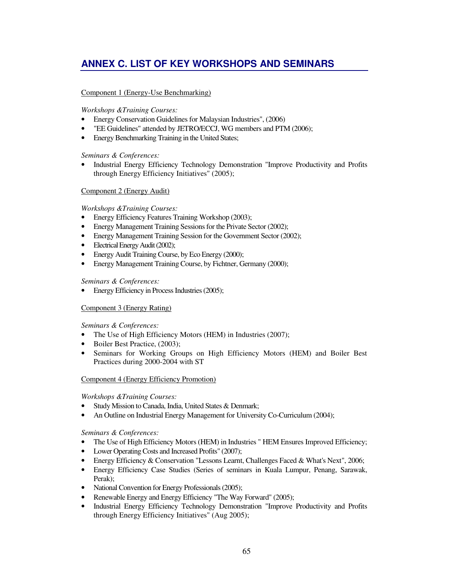# **ANNEX C. LIST OF KEY WORKSHOPS AND SEMINARS**

## Component 1 (Energy-Use Benchmarking)

## *Workshops &Training Courses:*

- Energy Conservation Guidelines for Malaysian Industries", (2006)
- "EE Guidelines" attended by JETRO/ECCJ, WG members and PTM (2006);
- Energy Benchmarking Training in the United States;

## *Seminars & Conferences:*

• Industrial Energy Efficiency Technology Demonstration "Improve Productivity and Profits through Energy Efficiency Initiatives" (2005);

## Component 2 (Energy Audit)

## *Workshops &Training Courses:*

- Energy Efficiency Features Training Workshop (2003);
- Energy Management Training Sessions for the Private Sector (2002);
- Energy Management Training Session for the Government Sector (2002);
- Electrical Energy Audit (2002);
- Energy Audit Training Course, by Eco Energy (2000);
- Energy Management Training Course, by Fichtner, Germany (2000);

## *Seminars & Conferences:*

• Energy Efficiency in Process Industries (2005);

## Component 3 (Energy Rating)

## *Seminars & Conferences:*

- The Use of High Efficiency Motors (HEM) in Industries (2007);
- Boiler Best Practice, (2003);
- Seminars for Working Groups on High Efficiency Motors (HEM) and Boiler Best Practices during 2000-2004 with ST

## Component 4 (Energy Efficiency Promotion)

## *Workshops &Training Courses:*

- Study Mission to Canada, India, United States & Denmark;
- An Outline on Industrial Energy Management for University Co-Curriculum (2004);

## *Seminars & Conferences:*

- The Use of High Efficiency Motors (HEM) in Industries "HEM Ensures Improved Efficiency;
- Lower Operating Costs and Increased Profits" (2007);
- Energy Efficiency & Conservation "Lessons Learnt, Challenges Faced & What's Next", 2006;
- Energy Efficiency Case Studies (Series of seminars in Kuala Lumpur, Penang, Sarawak, Perak);
- National Convention for Energy Professionals (2005);
- Renewable Energy and Energy Efficiency "The Way Forward" (2005);
- Industrial Energy Efficiency Technology Demonstration "Improve Productivity and Profits through Energy Efficiency Initiatives" (Aug 2005);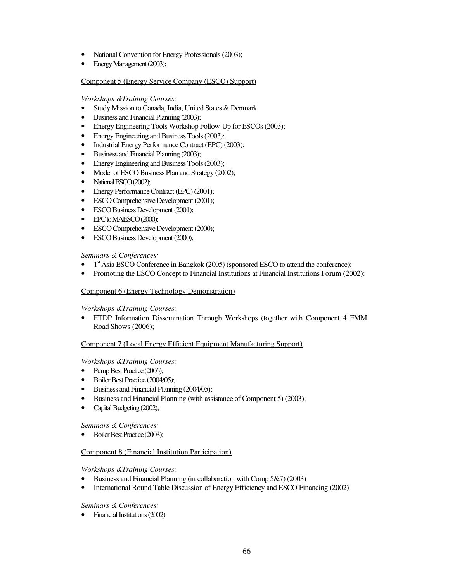- National Convention for Energy Professionals (2003);
- Energy Management (2003);

## Component 5 (Energy Service Company (ESCO) Support)

### *Workshops &Training Courses:*

- Study Mission to Canada, India, United States & Denmark
- Business and Financial Planning (2003);
- Energy Engineering Tools Workshop Follow-Up for ESCOs (2003);
- Energy Engineering and Business Tools (2003);
- Industrial Energy Performance Contract (EPC) (2003);
- Business and Financial Planning (2003);
- Energy Engineering and Business Tools (2003);
- Model of ESCO Business Plan and Strategy (2002);
- National ESCO (2002);
- Energy Performance Contract (EPC) (2001);
- ESCO Comprehensive Development (2001);
- ESCO Business Development (2001);
- EPC to MAESCO (2000);
- ESCO Comprehensive Development (2000);
- ESCO Business Development (2000);

## *Seminars & Conferences:*

- $\bullet$  1<sup>st</sup> Asia ESCO Conference in Bangkok (2005) (sponsored ESCO to attend the conference);
- Promoting the ESCO Concept to Financial Institutions at Financial Institutions Forum (2002):

## Component 6 (Energy Technology Demonstration)

## *Workshops &Training Courses:*

• ETDP Information Dissemination Through Workshops (together with Component 4 FMM Road Shows (2006);

## Component 7 (Local Energy Efficient Equipment Manufacturing Support)

## *Workshops &Training Courses:*

- Pump Best Practice (2006);
- Boiler Best Practice (2004/05);
- Business and Financial Planning (2004/05);
- Business and Financial Planning (with assistance of Component 5) (2003);
- Capital Budgeting (2002);

## *Seminars & Conferences:*

• Boiler Best Practice (2003);

## Component 8 (Financial Institution Participation)

## *Workshops &Training Courses:*

- Business and Financial Planning (in collaboration with Comp 5&7) (2003)
- International Round Table Discussion of Energy Efficiency and ESCO Financing (2002)

## *Seminars & Conferences:*

• Financial Institutions (2002).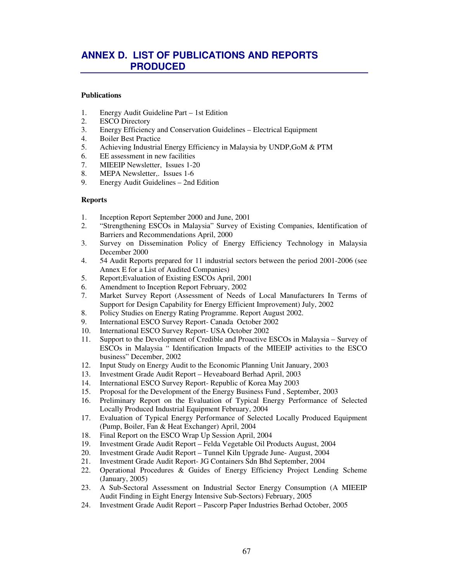# **ANNEX D. LIST OF PUBLICATIONS AND REPORTS PRODUCED**

### **Publications**

- 1. Energy Audit Guideline Part 1st Edition<br>2. ESCO Directory
- **ESCO Directory**
- 3. Energy Efficiency and Conservation Guidelines Electrical Equipment
- 4. Boiler Best Practice
- 5. Achieving Industrial Energy Efficiency in Malaysia by UNDP,GoM & PTM
- 6. EE assessment in new facilities
- 7. MIEEIP Newsletter, Issues 1-20
- 8. MEPA Newsletter,. Issues 1-6
- 9. Energy Audit Guidelines 2nd Edition

### **Reports**

- 1. Inception Report September 2000 and June, 2001
- 2. "Strengthening ESCOs in Malaysia" Survey of Existing Companies, Identification of Barriers and Recommendations April, 2000
- 3. Survey on Dissemination Policy of Energy Efficiency Technology in Malaysia December 2000
- 4. 54 Audit Reports prepared for 11 industrial sectors between the period 2001-2006 (see Annex E for a List of Audited Companies)
- 5. Report;Evaluation of Existing ESCOs April, 2001
- 6. Amendment to Inception Report February, 2002
- 7. Market Survey Report (Assessment of Needs of Local Manufacturers In Terms of Support for Design Capability for Energy Efficient Improvement) July, 2002
- 8. Policy Studies on Energy Rating Programme. Report August 2002.
- 9. International ESCO Survey Report- Canada October 2002
- 10. International ESCO Survey Report- USA October 2002<br>11. Support to the Development of Credible and Proactive E
- Support to the Development of Credible and Proactive ESCOs in Malaysia Survey of ESCOs in Malaysia " Identification Impacts of the MIEEIP activities to the ESCO business" December, 2002
- 12. Input Study on Energy Audit to the Economic Planning Unit January, 2003
- 13. Investment Grade Audit Report Heveaboard Berhad April, 2003
- 14. International ESCO Survey Report- Republic of Korea May 2003
- 15. Proposal for the Development of the Energy Business Fund , September, 2003
- 16. Preliminary Report on the Evaluation of Typical Energy Performance of Selected Locally Produced Industrial Equipment February, 2004
- 17. Evaluation of Typical Energy Performance of Selected Locally Produced Equipment (Pump, Boiler, Fan & Heat Exchanger) April, 2004
- 18. Final Report on the ESCO Wrap Up Session April, 2004
- 19. Investment Grade Audit Report Felda Vegetable Oil Products August, 2004
- 20. Investment Grade Audit Report Tunnel Kiln Upgrade June- August, 2004
- 21. Investment Grade Audit Report- JG Containers Sdn Bhd September, 2004
- 22. Operational Procedures & Guides of Energy Efficiency Project Lending Scheme (January, 2005)
- 23. A Sub-Sectoral Assessment on Industrial Sector Energy Consumption (A MIEEIP Audit Finding in Eight Energy Intensive Sub-Sectors) February, 2005
- 24. Investment Grade Audit Report Pascorp Paper Industries Berhad October, 2005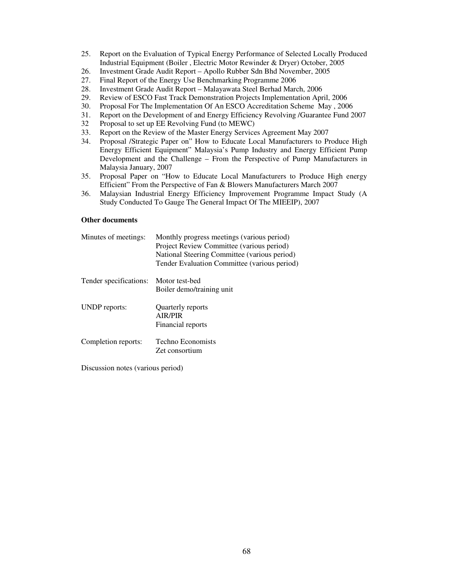- 25. Report on the Evaluation of Typical Energy Performance of Selected Locally Produced Industrial Equipment (Boiler , Electric Motor Rewinder & Dryer) October, 2005
- 26. Investment Grade Audit Report Apollo Rubber Sdn Bhd November, 2005
- 27. Final Report of the Energy Use Benchmarking Programme 2006<br>28. Investment Grade Audit Report Malayawata Steel Berhad Marc
- 28. Investment Grade Audit Report Malayawata Steel Berhad March, 2006
- 29. Review of ESCO Fast Track Demonstration Projects Implementation April, 2006
- 30. Proposal For The Implementation Of An ESCO Accreditation Scheme May , 2006
- 31. Report on the Development of and Energy Efficiency Revolving /Guarantee Fund 2007
- 32 Proposal to set up EE Revolving Fund (to MEWC)
- 33. Report on the Review of the Master Energy Services Agreement May 2007
- 34. Proposal /Strategic Paper on" How to Educate Local Manufacturers to Produce High Energy Efficient Equipment" Malaysia's Pump Industry and Energy Efficient Pump Development and the Challenge – From the Perspective of Pump Manufacturers in Malaysia January, 2007
- 35. Proposal Paper on "How to Educate Local Manufacturers to Produce High energy Efficient" From the Perspective of Fan & Blowers Manufacturers March 2007
- 36. Malaysian Industrial Energy Efficiency Improvement Programme Impact Study (A Study Conducted To Gauge The General Impact Of The MIEEIP), 2007

### **Other documents**

| Minutes of meetings:   | Monthly progress meetings (various period)<br>Project Review Committee (various period)<br>National Steering Committee (various period)<br>Tender Evaluation Committee (various period) |
|------------------------|-----------------------------------------------------------------------------------------------------------------------------------------------------------------------------------------|
| Tender specifications: | Motor test-bed<br>Boiler demo/training unit                                                                                                                                             |
| <b>UNDP</b> reports:   | <b>Ouarterly reports</b><br><b>AIR/PIR</b><br>Financial reports                                                                                                                         |
| Completion reports:    | Techno Economists<br>Zet consortium                                                                                                                                                     |

Discussion notes (various period)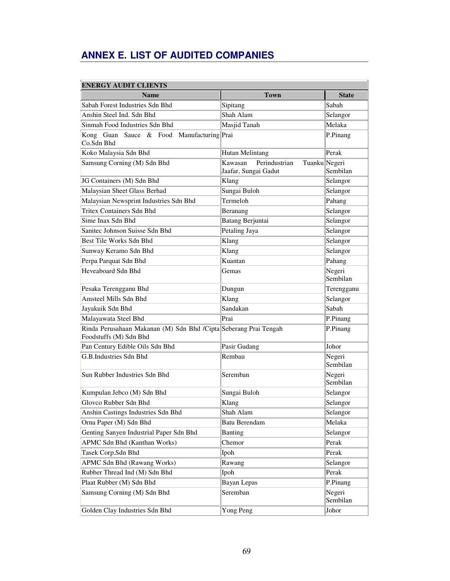# **ANNEX E. LIST OF AUDITED COMPANIES**

| <b>ENERGY AUDIT CLIENTS</b>                                                                |                                                                   |                    |  |  |
|--------------------------------------------------------------------------------------------|-------------------------------------------------------------------|--------------------|--|--|
| <b>Name</b>                                                                                | <b>Town</b>                                                       | <b>State</b>       |  |  |
| Sabah Forest Industries Sdn Bhd                                                            | Sipitang                                                          | Sabah              |  |  |
| Anshin Steel Ind. Sdn Bhd                                                                  | Shah Alam                                                         | Selangor           |  |  |
| Sinmah Food Industries Sdn Bhd                                                             | Masjid Tanah                                                      | Melaka             |  |  |
| Kong Guan Sauce & Food Manufacturing Prai<br>Co.Sdn Bhd                                    |                                                                   | P.Pinang           |  |  |
| Koko Malaysia Sdn Bhd                                                                      | <b>Hutan Melintang</b>                                            | Perak              |  |  |
| Samsung Corning (M) Sdn Bhd                                                                | Kawasan<br>Perindustrian<br>Tuanku Negeri<br>Jaafar, Sungai Gadut | Sembilan           |  |  |
| JG Containers (M) Sdn Bhd                                                                  | Klang                                                             | Selangor           |  |  |
| Malaysian Sheet Glass Berhad                                                               | Sungai Buloh                                                      | Selangor           |  |  |
| Malaysian Newsprint Industries Sdn Bhd                                                     | Termeloh                                                          | Pahang             |  |  |
| <b>Tritex Containers Sdn Bhd</b>                                                           | Beranang                                                          | Selangor           |  |  |
| Sime Inax Sdn Bhd                                                                          | <b>Batang Berjuntai</b>                                           | Selangor           |  |  |
| Sanitec Johnson Suisse Sdn Bhd                                                             | Petaling Jaya                                                     | Selangor           |  |  |
| Best Tile Works Sdn Bhd                                                                    | Klang                                                             | Selangor           |  |  |
| Sunway Keramo Sdn Bhd                                                                      | Klang                                                             | Selangor           |  |  |
| Perpa Parquat Sdn Bhd                                                                      | Kuantan                                                           | Pahang             |  |  |
| Heveaboard Sdn Bhd                                                                         | Gemas                                                             | Negeri<br>Sembilan |  |  |
| Pesaka Terengganu Bhd                                                                      | Dungun                                                            | Terengganu         |  |  |
| Amsteel Mills Sdn Bhd                                                                      | Klang                                                             | Selangor           |  |  |
| Jayakuik Sdn Bhd                                                                           | Sandakan                                                          | Sabah              |  |  |
| Malayawata Steel Bhd                                                                       | Prai                                                              | P.Pinang           |  |  |
| Rinda Perusahaan Makanan (M) Sdn Bhd /Cipta Seberang Prai Tengah<br>Foodstuffs (M) Sdn Bhd |                                                                   | P.Pinang           |  |  |
| Pan Century Edible Oils Sdn Bhd                                                            | Pasir Gudang                                                      | Johor              |  |  |
| G.B.Industries Sdn Bhd                                                                     | Rembau                                                            | Negeri<br>Sembilan |  |  |
| Sun Rubber Industries Sdn Bhd                                                              | Seremban                                                          | Negeri<br>Sembilan |  |  |
| Kumpulan Jebco (M) Sdn Bhd                                                                 | Sungai Buloh                                                      | Selangor           |  |  |
| Glovco Rubber Sdn Bhd                                                                      | Klang                                                             | Selangor           |  |  |
| Anshin Castings Industries Sdn Bhd                                                         | Shah Alam                                                         | Selangor           |  |  |
| Orna Paper (M) Sdn Bhd                                                                     | <b>Batu Berendam</b>                                              | Melaka             |  |  |
| Genting Sanyen Industrial Paper Sdn Bhd                                                    | <b>Banting</b>                                                    | Selangor           |  |  |
| APMC Sdn Bhd (Kanthan Works)                                                               | Chemor                                                            | Perak              |  |  |
| Tasek Corp.Sdn Bhd                                                                         | Ipoh                                                              | Perak              |  |  |
| <b>APMC Sdn Bhd (Rawang Works)</b>                                                         | Rawang                                                            | Selangor           |  |  |
| Rubber Thread Ind (M) Sdn Bhd                                                              | Ipoh                                                              | Perak              |  |  |
| Plaat Rubber (M) Sdn Bhd                                                                   | Bayan Lepas                                                       | P.Pinang           |  |  |
| Samsung Corning (M) Sdn Bhd                                                                | Seremban                                                          | Negeri<br>Sembilan |  |  |
| Golden Clay Industries Sdn Bhd                                                             | Yong Peng                                                         | Johor              |  |  |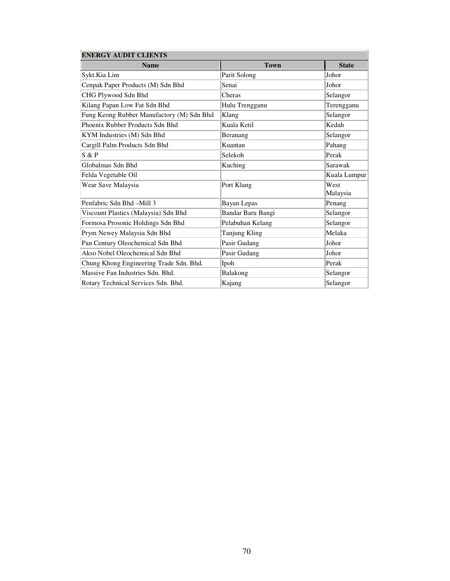| <b>ENERGY AUDIT CLIENTS</b>               |                      |                  |  |  |
|-------------------------------------------|----------------------|------------------|--|--|
| <b>Name</b>                               | <b>Town</b>          | <b>State</b>     |  |  |
| Sykt.Kia Lim                              | Parit Solong         | Johor            |  |  |
| Cenpak Paper Products (M) Sdn Bhd         | Senai                | Johor            |  |  |
| CHG Plywood Sdn Bhd                       | Cheras               | Selangor         |  |  |
| Kilang Papan Low Fat Sdn Bhd              | Hulu Trengganu       | Terengganu       |  |  |
| Fung Keong Rubber Manufactory (M) Sdn Bhd | Klang                | Selangor         |  |  |
| Phoenix Rubber Products Sdn Bhd           | Kuala Ketil          | Kedah            |  |  |
| KYM Industries (M) Sdn Bhd                | Beranang             | Selangor         |  |  |
| Cargill Palm Products Sdn Bhd             | Kuantan              | Pahang           |  |  |
| S & P                                     | Selekoh              | Perak            |  |  |
| Globalmas Sdn Bhd                         | Kuching              | Sarawak          |  |  |
| Felda Vegetable Oil                       |                      | Kuala Lumpur     |  |  |
| Wear Save Malaysia                        | Port Klang           | West<br>Malaysia |  |  |
| Penfabric Sdn Bhd -Mill 3                 | <b>Bayan Lepas</b>   | Penang           |  |  |
| Viscount Plastics (Malaysia) Sdn Bhd      | Bandar Baru Bangi    | Selangor         |  |  |
| Formosa Prosonic Holdings Sdn Bhd         | Pelabuhan Kelang     | Selangor         |  |  |
| Prym Newey Malaysia Sdn Bhd               | <b>Tanjung Kling</b> | Melaka           |  |  |
| Pan Century Oleochemical Sdn Bhd          | Pasir Gudang         | Johor            |  |  |
| Akso Nobel Oleochemical Sdn Bhd           | Pasir Gudang         | Johor            |  |  |
| Chung Khong Engineering Trade Sdn. Bhd.   | Ipoh                 | Perak            |  |  |
| Massive Fan Industries Sdn. Bhd.          | Balakong             | Selangor         |  |  |
| Rotary Technical Services Sdn. Bhd.       | Kajang               | Selangor         |  |  |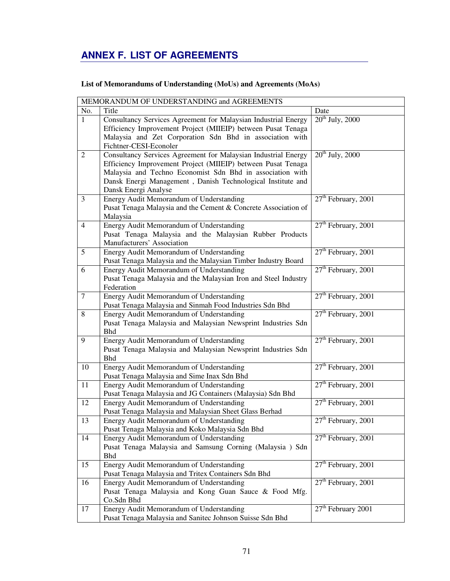# **ANNEX F. LIST OF AGREEMENTS**

# **List of Memorandums of Understanding (MoUs) and Agreements (MoAs)**

| No.<br>Title<br>Date<br>$20^{th}$ July, 2000<br>1<br>Consultancy Services Agreement for Malaysian Industrial Energy<br>Efficiency Improvement Project (MIIEIP) between Pusat Tenaga<br>Malaysia and Zet Corporation Sdn Bhd in association with<br>Fichtner-CESI-Econoler<br>$20th$ July, 2000<br>$\overline{2}$<br>Consultancy Services Agreement for Malaysian Industrial Energy<br>Efficiency Improvement Project (MIIEIP) between Pusat Tenaga<br>Malaysia and Techno Economist Sdn Bhd in association with<br>Dansk Energi Management, Danish Technological Institute and<br>Dansk Energi Analyse<br>$27th$ February, 2001<br>3<br>Energy Audit Memorandum of Understanding<br>Pusat Tenaga Malaysia and the Cement & Concrete Association of<br>Malaysia<br>$27th$ February, 2001<br>Energy Audit Memorandum of Understanding<br>$\overline{4}$<br>Pusat Tenaga Malaysia and the Malaysian Rubber Products<br>Manufacturers' Association<br>$27th$ February, 2001<br>5<br>Energy Audit Memorandum of Understanding<br>Pusat Tenaga Malaysia and the Malaysian Timber Industry Board<br>27 <sup>th</sup> February, 2001<br>6<br>Energy Audit Memorandum of Understanding<br>Pusat Tenaga Malaysia and the Malaysian Iron and Steel Industry<br>Federation<br>$27th$ February, 2001<br>$\tau$<br>Energy Audit Memorandum of Understanding<br>Pusat Tenaga Malaysia and Sinmah Food Industries Sdn Bhd<br>$27th$ February, 2001<br>8<br>Energy Audit Memorandum of Understanding<br>Pusat Tenaga Malaysia and Malaysian Newsprint Industries Sdn<br><b>Bhd</b><br>$27th$ February, 2001<br>Energy Audit Memorandum of Understanding<br>9<br>Pusat Tenaga Malaysia and Malaysian Newsprint Industries Sdn<br><b>Bhd</b><br>$27th$ February, 2001<br>Energy Audit Memorandum of Understanding<br>10<br>Pusat Tenaga Malaysia and Sime Inax Sdn Bhd<br>$27th$ February, 2001<br>11<br>Energy Audit Memorandum of Understanding<br>Pusat Tenaga Malaysia and JG Containers (Malaysia) Sdn Bhd<br>$27th$ February, 2001<br>12<br>Energy Audit Memorandum of Understanding<br>Pusat Tenaga Malaysia and Malaysian Sheet Glass Berhad<br>$27th$ February, 2001<br>Energy Audit Memorandum of Understanding<br>13<br>Pusat Tenaga Malaysia and Koko Malaysia Sdn Bhd<br>$27th$ February, 2001<br>Energy Audit Memorandum of Understanding<br>14<br>Pusat Tenaga Malaysia and Samsung Corning (Malaysia ) Sdn<br><b>Bhd</b><br>$27th$ February, 2001<br>15<br>Energy Audit Memorandum of Understanding<br>Pusat Tenaga Malaysia and Tritex Containers Sdn Bhd<br>$27th$ February, 2001<br>Energy Audit Memorandum of Understanding<br>16<br>Pusat Tenaga Malaysia and Kong Guan Sauce & Food Mfg.<br>Co.Sdn Bhd<br>$27th$ February 2001<br>17<br>Energy Audit Memorandum of Understanding | MEMORANDUM OF UNDERSTANDING and AGREEMENTS               |  |
|-------------------------------------------------------------------------------------------------------------------------------------------------------------------------------------------------------------------------------------------------------------------------------------------------------------------------------------------------------------------------------------------------------------------------------------------------------------------------------------------------------------------------------------------------------------------------------------------------------------------------------------------------------------------------------------------------------------------------------------------------------------------------------------------------------------------------------------------------------------------------------------------------------------------------------------------------------------------------------------------------------------------------------------------------------------------------------------------------------------------------------------------------------------------------------------------------------------------------------------------------------------------------------------------------------------------------------------------------------------------------------------------------------------------------------------------------------------------------------------------------------------------------------------------------------------------------------------------------------------------------------------------------------------------------------------------------------------------------------------------------------------------------------------------------------------------------------------------------------------------------------------------------------------------------------------------------------------------------------------------------------------------------------------------------------------------------------------------------------------------------------------------------------------------------------------------------------------------------------------------------------------------------------------------------------------------------------------------------------------------------------------------------------------------------------------------------------------------------------------------------------------------------------------------------------------------------------------------------------------------------------------------------------------------------------------------------------------------------------------------------------------------------------------|----------------------------------------------------------|--|
|                                                                                                                                                                                                                                                                                                                                                                                                                                                                                                                                                                                                                                                                                                                                                                                                                                                                                                                                                                                                                                                                                                                                                                                                                                                                                                                                                                                                                                                                                                                                                                                                                                                                                                                                                                                                                                                                                                                                                                                                                                                                                                                                                                                                                                                                                                                                                                                                                                                                                                                                                                                                                                                                                                                                                                                     |                                                          |  |
|                                                                                                                                                                                                                                                                                                                                                                                                                                                                                                                                                                                                                                                                                                                                                                                                                                                                                                                                                                                                                                                                                                                                                                                                                                                                                                                                                                                                                                                                                                                                                                                                                                                                                                                                                                                                                                                                                                                                                                                                                                                                                                                                                                                                                                                                                                                                                                                                                                                                                                                                                                                                                                                                                                                                                                                     |                                                          |  |
|                                                                                                                                                                                                                                                                                                                                                                                                                                                                                                                                                                                                                                                                                                                                                                                                                                                                                                                                                                                                                                                                                                                                                                                                                                                                                                                                                                                                                                                                                                                                                                                                                                                                                                                                                                                                                                                                                                                                                                                                                                                                                                                                                                                                                                                                                                                                                                                                                                                                                                                                                                                                                                                                                                                                                                                     |                                                          |  |
|                                                                                                                                                                                                                                                                                                                                                                                                                                                                                                                                                                                                                                                                                                                                                                                                                                                                                                                                                                                                                                                                                                                                                                                                                                                                                                                                                                                                                                                                                                                                                                                                                                                                                                                                                                                                                                                                                                                                                                                                                                                                                                                                                                                                                                                                                                                                                                                                                                                                                                                                                                                                                                                                                                                                                                                     |                                                          |  |
|                                                                                                                                                                                                                                                                                                                                                                                                                                                                                                                                                                                                                                                                                                                                                                                                                                                                                                                                                                                                                                                                                                                                                                                                                                                                                                                                                                                                                                                                                                                                                                                                                                                                                                                                                                                                                                                                                                                                                                                                                                                                                                                                                                                                                                                                                                                                                                                                                                                                                                                                                                                                                                                                                                                                                                                     |                                                          |  |
|                                                                                                                                                                                                                                                                                                                                                                                                                                                                                                                                                                                                                                                                                                                                                                                                                                                                                                                                                                                                                                                                                                                                                                                                                                                                                                                                                                                                                                                                                                                                                                                                                                                                                                                                                                                                                                                                                                                                                                                                                                                                                                                                                                                                                                                                                                                                                                                                                                                                                                                                                                                                                                                                                                                                                                                     |                                                          |  |
|                                                                                                                                                                                                                                                                                                                                                                                                                                                                                                                                                                                                                                                                                                                                                                                                                                                                                                                                                                                                                                                                                                                                                                                                                                                                                                                                                                                                                                                                                                                                                                                                                                                                                                                                                                                                                                                                                                                                                                                                                                                                                                                                                                                                                                                                                                                                                                                                                                                                                                                                                                                                                                                                                                                                                                                     |                                                          |  |
|                                                                                                                                                                                                                                                                                                                                                                                                                                                                                                                                                                                                                                                                                                                                                                                                                                                                                                                                                                                                                                                                                                                                                                                                                                                                                                                                                                                                                                                                                                                                                                                                                                                                                                                                                                                                                                                                                                                                                                                                                                                                                                                                                                                                                                                                                                                                                                                                                                                                                                                                                                                                                                                                                                                                                                                     |                                                          |  |
|                                                                                                                                                                                                                                                                                                                                                                                                                                                                                                                                                                                                                                                                                                                                                                                                                                                                                                                                                                                                                                                                                                                                                                                                                                                                                                                                                                                                                                                                                                                                                                                                                                                                                                                                                                                                                                                                                                                                                                                                                                                                                                                                                                                                                                                                                                                                                                                                                                                                                                                                                                                                                                                                                                                                                                                     |                                                          |  |
|                                                                                                                                                                                                                                                                                                                                                                                                                                                                                                                                                                                                                                                                                                                                                                                                                                                                                                                                                                                                                                                                                                                                                                                                                                                                                                                                                                                                                                                                                                                                                                                                                                                                                                                                                                                                                                                                                                                                                                                                                                                                                                                                                                                                                                                                                                                                                                                                                                                                                                                                                                                                                                                                                                                                                                                     |                                                          |  |
|                                                                                                                                                                                                                                                                                                                                                                                                                                                                                                                                                                                                                                                                                                                                                                                                                                                                                                                                                                                                                                                                                                                                                                                                                                                                                                                                                                                                                                                                                                                                                                                                                                                                                                                                                                                                                                                                                                                                                                                                                                                                                                                                                                                                                                                                                                                                                                                                                                                                                                                                                                                                                                                                                                                                                                                     |                                                          |  |
|                                                                                                                                                                                                                                                                                                                                                                                                                                                                                                                                                                                                                                                                                                                                                                                                                                                                                                                                                                                                                                                                                                                                                                                                                                                                                                                                                                                                                                                                                                                                                                                                                                                                                                                                                                                                                                                                                                                                                                                                                                                                                                                                                                                                                                                                                                                                                                                                                                                                                                                                                                                                                                                                                                                                                                                     |                                                          |  |
|                                                                                                                                                                                                                                                                                                                                                                                                                                                                                                                                                                                                                                                                                                                                                                                                                                                                                                                                                                                                                                                                                                                                                                                                                                                                                                                                                                                                                                                                                                                                                                                                                                                                                                                                                                                                                                                                                                                                                                                                                                                                                                                                                                                                                                                                                                                                                                                                                                                                                                                                                                                                                                                                                                                                                                                     |                                                          |  |
|                                                                                                                                                                                                                                                                                                                                                                                                                                                                                                                                                                                                                                                                                                                                                                                                                                                                                                                                                                                                                                                                                                                                                                                                                                                                                                                                                                                                                                                                                                                                                                                                                                                                                                                                                                                                                                                                                                                                                                                                                                                                                                                                                                                                                                                                                                                                                                                                                                                                                                                                                                                                                                                                                                                                                                                     |                                                          |  |
|                                                                                                                                                                                                                                                                                                                                                                                                                                                                                                                                                                                                                                                                                                                                                                                                                                                                                                                                                                                                                                                                                                                                                                                                                                                                                                                                                                                                                                                                                                                                                                                                                                                                                                                                                                                                                                                                                                                                                                                                                                                                                                                                                                                                                                                                                                                                                                                                                                                                                                                                                                                                                                                                                                                                                                                     |                                                          |  |
|                                                                                                                                                                                                                                                                                                                                                                                                                                                                                                                                                                                                                                                                                                                                                                                                                                                                                                                                                                                                                                                                                                                                                                                                                                                                                                                                                                                                                                                                                                                                                                                                                                                                                                                                                                                                                                                                                                                                                                                                                                                                                                                                                                                                                                                                                                                                                                                                                                                                                                                                                                                                                                                                                                                                                                                     |                                                          |  |
|                                                                                                                                                                                                                                                                                                                                                                                                                                                                                                                                                                                                                                                                                                                                                                                                                                                                                                                                                                                                                                                                                                                                                                                                                                                                                                                                                                                                                                                                                                                                                                                                                                                                                                                                                                                                                                                                                                                                                                                                                                                                                                                                                                                                                                                                                                                                                                                                                                                                                                                                                                                                                                                                                                                                                                                     |                                                          |  |
|                                                                                                                                                                                                                                                                                                                                                                                                                                                                                                                                                                                                                                                                                                                                                                                                                                                                                                                                                                                                                                                                                                                                                                                                                                                                                                                                                                                                                                                                                                                                                                                                                                                                                                                                                                                                                                                                                                                                                                                                                                                                                                                                                                                                                                                                                                                                                                                                                                                                                                                                                                                                                                                                                                                                                                                     |                                                          |  |
|                                                                                                                                                                                                                                                                                                                                                                                                                                                                                                                                                                                                                                                                                                                                                                                                                                                                                                                                                                                                                                                                                                                                                                                                                                                                                                                                                                                                                                                                                                                                                                                                                                                                                                                                                                                                                                                                                                                                                                                                                                                                                                                                                                                                                                                                                                                                                                                                                                                                                                                                                                                                                                                                                                                                                                                     |                                                          |  |
|                                                                                                                                                                                                                                                                                                                                                                                                                                                                                                                                                                                                                                                                                                                                                                                                                                                                                                                                                                                                                                                                                                                                                                                                                                                                                                                                                                                                                                                                                                                                                                                                                                                                                                                                                                                                                                                                                                                                                                                                                                                                                                                                                                                                                                                                                                                                                                                                                                                                                                                                                                                                                                                                                                                                                                                     |                                                          |  |
|                                                                                                                                                                                                                                                                                                                                                                                                                                                                                                                                                                                                                                                                                                                                                                                                                                                                                                                                                                                                                                                                                                                                                                                                                                                                                                                                                                                                                                                                                                                                                                                                                                                                                                                                                                                                                                                                                                                                                                                                                                                                                                                                                                                                                                                                                                                                                                                                                                                                                                                                                                                                                                                                                                                                                                                     |                                                          |  |
|                                                                                                                                                                                                                                                                                                                                                                                                                                                                                                                                                                                                                                                                                                                                                                                                                                                                                                                                                                                                                                                                                                                                                                                                                                                                                                                                                                                                                                                                                                                                                                                                                                                                                                                                                                                                                                                                                                                                                                                                                                                                                                                                                                                                                                                                                                                                                                                                                                                                                                                                                                                                                                                                                                                                                                                     |                                                          |  |
|                                                                                                                                                                                                                                                                                                                                                                                                                                                                                                                                                                                                                                                                                                                                                                                                                                                                                                                                                                                                                                                                                                                                                                                                                                                                                                                                                                                                                                                                                                                                                                                                                                                                                                                                                                                                                                                                                                                                                                                                                                                                                                                                                                                                                                                                                                                                                                                                                                                                                                                                                                                                                                                                                                                                                                                     |                                                          |  |
|                                                                                                                                                                                                                                                                                                                                                                                                                                                                                                                                                                                                                                                                                                                                                                                                                                                                                                                                                                                                                                                                                                                                                                                                                                                                                                                                                                                                                                                                                                                                                                                                                                                                                                                                                                                                                                                                                                                                                                                                                                                                                                                                                                                                                                                                                                                                                                                                                                                                                                                                                                                                                                                                                                                                                                                     |                                                          |  |
|                                                                                                                                                                                                                                                                                                                                                                                                                                                                                                                                                                                                                                                                                                                                                                                                                                                                                                                                                                                                                                                                                                                                                                                                                                                                                                                                                                                                                                                                                                                                                                                                                                                                                                                                                                                                                                                                                                                                                                                                                                                                                                                                                                                                                                                                                                                                                                                                                                                                                                                                                                                                                                                                                                                                                                                     |                                                          |  |
|                                                                                                                                                                                                                                                                                                                                                                                                                                                                                                                                                                                                                                                                                                                                                                                                                                                                                                                                                                                                                                                                                                                                                                                                                                                                                                                                                                                                                                                                                                                                                                                                                                                                                                                                                                                                                                                                                                                                                                                                                                                                                                                                                                                                                                                                                                                                                                                                                                                                                                                                                                                                                                                                                                                                                                                     |                                                          |  |
|                                                                                                                                                                                                                                                                                                                                                                                                                                                                                                                                                                                                                                                                                                                                                                                                                                                                                                                                                                                                                                                                                                                                                                                                                                                                                                                                                                                                                                                                                                                                                                                                                                                                                                                                                                                                                                                                                                                                                                                                                                                                                                                                                                                                                                                                                                                                                                                                                                                                                                                                                                                                                                                                                                                                                                                     |                                                          |  |
|                                                                                                                                                                                                                                                                                                                                                                                                                                                                                                                                                                                                                                                                                                                                                                                                                                                                                                                                                                                                                                                                                                                                                                                                                                                                                                                                                                                                                                                                                                                                                                                                                                                                                                                                                                                                                                                                                                                                                                                                                                                                                                                                                                                                                                                                                                                                                                                                                                                                                                                                                                                                                                                                                                                                                                                     |                                                          |  |
|                                                                                                                                                                                                                                                                                                                                                                                                                                                                                                                                                                                                                                                                                                                                                                                                                                                                                                                                                                                                                                                                                                                                                                                                                                                                                                                                                                                                                                                                                                                                                                                                                                                                                                                                                                                                                                                                                                                                                                                                                                                                                                                                                                                                                                                                                                                                                                                                                                                                                                                                                                                                                                                                                                                                                                                     |                                                          |  |
|                                                                                                                                                                                                                                                                                                                                                                                                                                                                                                                                                                                                                                                                                                                                                                                                                                                                                                                                                                                                                                                                                                                                                                                                                                                                                                                                                                                                                                                                                                                                                                                                                                                                                                                                                                                                                                                                                                                                                                                                                                                                                                                                                                                                                                                                                                                                                                                                                                                                                                                                                                                                                                                                                                                                                                                     |                                                          |  |
|                                                                                                                                                                                                                                                                                                                                                                                                                                                                                                                                                                                                                                                                                                                                                                                                                                                                                                                                                                                                                                                                                                                                                                                                                                                                                                                                                                                                                                                                                                                                                                                                                                                                                                                                                                                                                                                                                                                                                                                                                                                                                                                                                                                                                                                                                                                                                                                                                                                                                                                                                                                                                                                                                                                                                                                     |                                                          |  |
|                                                                                                                                                                                                                                                                                                                                                                                                                                                                                                                                                                                                                                                                                                                                                                                                                                                                                                                                                                                                                                                                                                                                                                                                                                                                                                                                                                                                                                                                                                                                                                                                                                                                                                                                                                                                                                                                                                                                                                                                                                                                                                                                                                                                                                                                                                                                                                                                                                                                                                                                                                                                                                                                                                                                                                                     |                                                          |  |
|                                                                                                                                                                                                                                                                                                                                                                                                                                                                                                                                                                                                                                                                                                                                                                                                                                                                                                                                                                                                                                                                                                                                                                                                                                                                                                                                                                                                                                                                                                                                                                                                                                                                                                                                                                                                                                                                                                                                                                                                                                                                                                                                                                                                                                                                                                                                                                                                                                                                                                                                                                                                                                                                                                                                                                                     |                                                          |  |
|                                                                                                                                                                                                                                                                                                                                                                                                                                                                                                                                                                                                                                                                                                                                                                                                                                                                                                                                                                                                                                                                                                                                                                                                                                                                                                                                                                                                                                                                                                                                                                                                                                                                                                                                                                                                                                                                                                                                                                                                                                                                                                                                                                                                                                                                                                                                                                                                                                                                                                                                                                                                                                                                                                                                                                                     |                                                          |  |
|                                                                                                                                                                                                                                                                                                                                                                                                                                                                                                                                                                                                                                                                                                                                                                                                                                                                                                                                                                                                                                                                                                                                                                                                                                                                                                                                                                                                                                                                                                                                                                                                                                                                                                                                                                                                                                                                                                                                                                                                                                                                                                                                                                                                                                                                                                                                                                                                                                                                                                                                                                                                                                                                                                                                                                                     |                                                          |  |
|                                                                                                                                                                                                                                                                                                                                                                                                                                                                                                                                                                                                                                                                                                                                                                                                                                                                                                                                                                                                                                                                                                                                                                                                                                                                                                                                                                                                                                                                                                                                                                                                                                                                                                                                                                                                                                                                                                                                                                                                                                                                                                                                                                                                                                                                                                                                                                                                                                                                                                                                                                                                                                                                                                                                                                                     |                                                          |  |
|                                                                                                                                                                                                                                                                                                                                                                                                                                                                                                                                                                                                                                                                                                                                                                                                                                                                                                                                                                                                                                                                                                                                                                                                                                                                                                                                                                                                                                                                                                                                                                                                                                                                                                                                                                                                                                                                                                                                                                                                                                                                                                                                                                                                                                                                                                                                                                                                                                                                                                                                                                                                                                                                                                                                                                                     |                                                          |  |
|                                                                                                                                                                                                                                                                                                                                                                                                                                                                                                                                                                                                                                                                                                                                                                                                                                                                                                                                                                                                                                                                                                                                                                                                                                                                                                                                                                                                                                                                                                                                                                                                                                                                                                                                                                                                                                                                                                                                                                                                                                                                                                                                                                                                                                                                                                                                                                                                                                                                                                                                                                                                                                                                                                                                                                                     |                                                          |  |
|                                                                                                                                                                                                                                                                                                                                                                                                                                                                                                                                                                                                                                                                                                                                                                                                                                                                                                                                                                                                                                                                                                                                                                                                                                                                                                                                                                                                                                                                                                                                                                                                                                                                                                                                                                                                                                                                                                                                                                                                                                                                                                                                                                                                                                                                                                                                                                                                                                                                                                                                                                                                                                                                                                                                                                                     |                                                          |  |
|                                                                                                                                                                                                                                                                                                                                                                                                                                                                                                                                                                                                                                                                                                                                                                                                                                                                                                                                                                                                                                                                                                                                                                                                                                                                                                                                                                                                                                                                                                                                                                                                                                                                                                                                                                                                                                                                                                                                                                                                                                                                                                                                                                                                                                                                                                                                                                                                                                                                                                                                                                                                                                                                                                                                                                                     |                                                          |  |
|                                                                                                                                                                                                                                                                                                                                                                                                                                                                                                                                                                                                                                                                                                                                                                                                                                                                                                                                                                                                                                                                                                                                                                                                                                                                                                                                                                                                                                                                                                                                                                                                                                                                                                                                                                                                                                                                                                                                                                                                                                                                                                                                                                                                                                                                                                                                                                                                                                                                                                                                                                                                                                                                                                                                                                                     |                                                          |  |
|                                                                                                                                                                                                                                                                                                                                                                                                                                                                                                                                                                                                                                                                                                                                                                                                                                                                                                                                                                                                                                                                                                                                                                                                                                                                                                                                                                                                                                                                                                                                                                                                                                                                                                                                                                                                                                                                                                                                                                                                                                                                                                                                                                                                                                                                                                                                                                                                                                                                                                                                                                                                                                                                                                                                                                                     |                                                          |  |
|                                                                                                                                                                                                                                                                                                                                                                                                                                                                                                                                                                                                                                                                                                                                                                                                                                                                                                                                                                                                                                                                                                                                                                                                                                                                                                                                                                                                                                                                                                                                                                                                                                                                                                                                                                                                                                                                                                                                                                                                                                                                                                                                                                                                                                                                                                                                                                                                                                                                                                                                                                                                                                                                                                                                                                                     |                                                          |  |
|                                                                                                                                                                                                                                                                                                                                                                                                                                                                                                                                                                                                                                                                                                                                                                                                                                                                                                                                                                                                                                                                                                                                                                                                                                                                                                                                                                                                                                                                                                                                                                                                                                                                                                                                                                                                                                                                                                                                                                                                                                                                                                                                                                                                                                                                                                                                                                                                                                                                                                                                                                                                                                                                                                                                                                                     |                                                          |  |
|                                                                                                                                                                                                                                                                                                                                                                                                                                                                                                                                                                                                                                                                                                                                                                                                                                                                                                                                                                                                                                                                                                                                                                                                                                                                                                                                                                                                                                                                                                                                                                                                                                                                                                                                                                                                                                                                                                                                                                                                                                                                                                                                                                                                                                                                                                                                                                                                                                                                                                                                                                                                                                                                                                                                                                                     | Pusat Tenaga Malaysia and Sanitec Johnson Suisse Sdn Bhd |  |